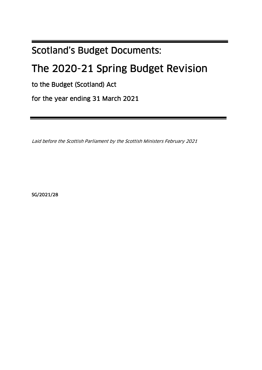# Scotland's Budget Documents:

# The 2020-21 Spring Budget Revision

to the Budget (Scotland) Act

for the year ending 31 March 2021

Laid before the Scottish Parliament by the Scottish Ministers February 2021

SG/2021/28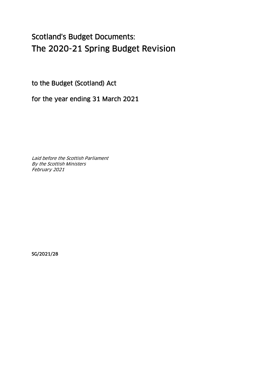# Scotland's Budget Documents: The 2020-21 Spring Budget Revision

to the Budget (Scotland) Act

for the year ending 31 March 2021

Laid before the Scottish Parliament By the Scottish Ministers February 2021

SG/2021/28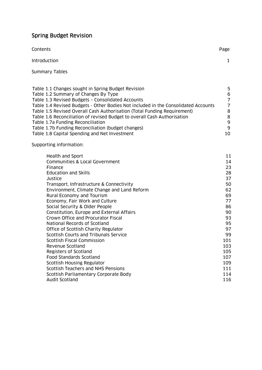# Spring Budget Revision

| Contents                                                                           | Page |
|------------------------------------------------------------------------------------|------|
| <b>Introduction</b>                                                                |      |
| Summary Tables                                                                     |      |
|                                                                                    |      |
| Table 1.1 Changes sought in Spring Budget Revision                                 | 5    |
| Table 1.2 Summary of Changes By Type                                               | 6    |
| Table 1.3 Revised Budgets - Consolidated Accounts                                  | 7    |
| Table 1.4 Revised Budgets - Other Bodies Not included in the Consolidated Accounts | 7    |
| Table 1.5 Revised Overall Cash Authorisation (Total Funding Requirement)           | 8    |
| Table 1.6 Reconciliation of revised Budget to overall Cash Authorisation           | 8    |
| Table 1.7a Funding Reconciliation                                                  | 9    |
| Table 1.7b Funding Reconciliation (budget changes)                                 | 9    |

Table 1.8 Capital Spending and Net Investment 10 10

Supporting information:

| Health and Sport                            | 11  |
|---------------------------------------------|-----|
| Communities & Local Government              | 14  |
| Finance                                     | 23  |
| <b>Education and Skills</b>                 | 28  |
| Justice                                     | 37  |
| Transport, Infrastructure & Connectivity    | 50  |
| Environment, Climate Change and Land Reform | 62  |
| Rural Economy and Tourism                   | 69  |
| Economy, Fair Work and Culture              | 77  |
| Social Security & Older People              | 86  |
| Constitution, Europe and External Affairs   | 90  |
| Crown Office and Procurator Fiscal          | 93  |
| National Records of Scotland                | 95  |
| Office of Scottish Charity Regulator        | 97  |
| Scottish Courts and Tribunals Service       | 99  |
| Scottish Fiscal Commission                  | 101 |
| Revenue Scotland                            | 103 |
| Registers of Scotland                       | 105 |
| <b>Food Standards Scotland</b>              | 107 |
| Scottish Housing Regulator                  | 109 |
| Scottish Teachers and NHS Pensions          | 111 |
| Scottish Parliamentary Corporate Body       | 114 |
| Audit Scotland                              | 116 |
|                                             |     |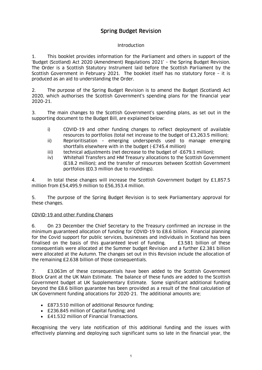# Spring Budget Revision

#### Introduction

1. This booklet provides information for the Parliament and others in support of the 'Budget (Scotland) Act 2020 (Amendment) Regulations 2021' – the Spring Budget Revision. The Order is a Scottish Statutory Instrument laid before the Scottish Parliament by the Scottish Government in February 2021. The booklet itself has no statutory force – it is produced as an aid to understanding the Order.

2. The purpose of the Spring Budget Revision is to amend the Budget (Scotland) Act 2020, which authorises the Scottish Government's spending plans for the financial year 2020-21.

3. The main changes to the Scottish Government's spending plans, as set out in the supporting document to the Budget Bill, are explained below:

- i) COVID-19 and other funding changes to reflect deployment of available resources to portfolios (total net increase to the budget of £3,263.5 million);
- ii) Reprioritisation emerging underspends used to manage emerging shortfalls elsewhere with in the budget (-£745.4 million)
- iii) technical adjustments (net decrease to the budget of -£679.1 million);
- iv) Whitehall Transfers and HM Treasury allocations to the Scottish Government (£18.2 million); and the transfer of resources between Scottish Government portfolios (£0.3 million due to roundings).

4. In total these changes will increase the Scottish Government budget by £1,857.5 million from £54,495.9 million to £56,353.4 million.

5. The purpose of the Spring Budget Revision is to seek Parliamentary approval for these changes.

#### COVID-19 and other Funding Changes

6. On 23 December the Chief Secretary to the Treasury confirmed an increase in the minimum guaranteed allocation of funding for COVID-19 to £8.6 billion. Financial planning for the Covid support for public services, businesses and individuals in Scotland has been finalised on the basis of this guaranteed level of funding. £3.581 billion of these consequentials were allocated at the Summer budget Revision and a further £2.381 billion were allocated at the Autumn. The changes set out in this Revision include the allocation of the remaining £2.638 billion of those consequentials.

7. £3,063m of these consequentials have been added to the Scottish Government Block Grant at the UK Main Estimate. The balance of these funds are added to the Scottish Government budget at UK Supplementary Estimate. Some significant additional funding beyond the £8.6 billion guarantee has been provided as a result of the final calculation of UK Government funding allocations for 2020-21. The additional amounts are;

- £873.510 million of additional Resource funding;
- £236.845 million of Capital funding; and
- £41.532 million of Financial Transactions.

Recognising the very late notification of this additional funding and the issues with effectively planning and deploying such significant sums so late in the financial year, the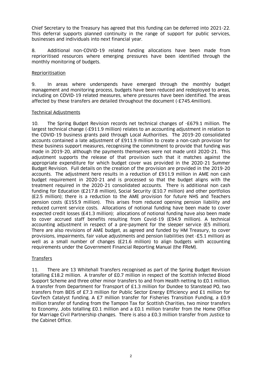Chief Secretary to the Treasury has agreed that this funding can be deferred into 2021-22. This deferral supports planned continuity in the range of support for public services, businesses and individuals into next financial year.

8. Additional non-COVID-19 related funding allocations have been made from reprioritised resources where emerging pressures have been identified through the monthly monitoring of budgets.

#### **Reprioritisation**

9. In areas where underspends have emerged through the monthly budget management and monitoring process, budgets have been reduced and redeployed to areas, including on COVID-19 related measures, where pressures have been identified. The areas affected by these transfers are detailed throughout the document (-£745.4million).

#### Technical Adjustments

10. The Spring Budget Revision records net technical changes of -£679.1 million. The largest technical change (-£911.9 million) relates to an accounting adjustment in relation to the COVID-19 business grants paid through Local Authorities. The 2019-20 consolidated accounts contained a late adjustment of £911.9 million to create a non-cash provision for these business support measures, recognising the commitment to provide that funding was made in 2019-20, although the payments themselves were not made until 2020-21. This adjustment supports the release of that provision such that it matches against the appropriate expenditure for which budget cover was provided in the 2020-21 Summer Budget Revision. Full details on the creation of the provision are provided in the 2019-20 accounts. The adjustment here results in a reduction of £911.9 million in AME non cash budget requirement in 2020-21 and is processed so that the budget aligns with the treatment required in the 2020-21 consolidated accounts. There is additional non cash funding for Education (£217.8 million), Social Security (£10.7 million) and other portfolios (£2.5 million); there is a reduction to the AME provision for future NHS and Teachers pension costs (£155.9 million). This arises from reduced opening pension liability and reduced current service costs. Allocations of notional funding have been made to cover expected credit losses (£41.3 million); allocations of notional funding have also been made to cover accrued staff benefits resulting from Covid-19 (£94.9 million). A technical accounting adjustment in respect of a pre-payment for the sleeper service (£5 million). There are also revisions of AME budget, as agreed and funded by HM Treasury, to cover provisions, impairments, fair value adjustments and pension liabilities (net -£5.1 million) as well as a small number of changes (£21.6 million) to align budgets with accounting requirements under the Government Financial Reporting Manual (the FReM).

#### **Transfers**

11. There are 13 Whitehall Transfers recognised as part of the Spring Budget Revision totalling £18.2 million. A transfer of £0.7 million in respect of the Scottish Infected Blood Support Scheme and three other minor transfers to and from Health netting to £0.1 million. A transfer from Department for Transport of £1.3 million for Dundee to Stanstead PO, two transfers from BEIS of £7.3 million for Public Sector Energy Efficiency and £1 million for GovTech Catalyst funding. A £7 million transfer for Fisheries Transition Funding, a £0.9 million transfer of funding from the Tampon Tax for Scottish Charities, two minor transfers to Economy, Jobs totalling £0.1 million and a £0.1 million transfer from the Home Office for Marriage Civil Partnership changes. There is also a £0.3 million transfer from Justice to the Cabinet Office.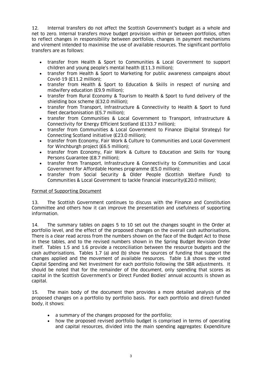12. Internal transfers do not affect the Scottish Government's budget as a whole and net to zero. Internal transfers move budget provision within or between portfolios, often to reflect changes in responsibility between portfolios, changes in payment mechanisms and virement intended to maximise the use of available resources. The significant portfolio transfers are as follows:

- transfer from Health & Sport to Communities & Local Government to support children and young people's mental health (£11.3 million);
- transfer from Health & Sport to Marketing for public awareness campaigns about Covid-19 (£11.2 million);
- transfer from Health & Sport to Education & Skills in respect of nursing and midwifery education (£9.9 million);
- transfer from Rural Economy & Tourism to Health & Sport to fund delivery of the shielding box scheme (£32.0 million);
- transfer from Transport, Infrastructure & Connectivity to Health & Sport to fund fleet decarbonisation (£5.7 million);
- transfer from Communities & Local Government to Transport, Infrastructure & Connectivity for Energy Efficient Scotland (£133.7 million);
- transfer from Communities & Local Government to Finance (Digital Strategy) for Connecting Scotland initiative (£23.0 million);
- transfer from Economy, Fair Work & Culture to Communities and Local Government for Winchburgh project (£6.5 million);
- transfer from Economy, Fair Work & Culture to Education and Skills for Young Persons Guarantee (£8.7 million);
- transfer from Transport, Infrastructure & Connectivity to Communities and Local Government for Affordable Homes programme (£5.0 million);
- transfer from Social Security & Older People (Scottish Welfare Fund) to Communities & Local Government to tackle financial insecurity(£20.0 million);

#### Format of Supporting Document

13. The Scottish Government continues to discuss with the Finance and Constitution Committee and others how it can improve the presentation and usefulness of supporting information.

14. The summary tables on pages 5 to 10 set out the changes sought in the Order at portfolio level, and the effect of the proposed changes on the overall cash authorisations. There is a clear read across from the numbers shown on the face of the Budget Act to those in these tables, and to the revised numbers shown in the Spring Budget Revision Order itself. Tables 1.5 and 1.6 provide a reconciliation between the resource budgets and the cash authorisations. Tables 1.7 (a) and (b) show the sources of funding that support the changes applied and the movement of available resources. Table 1.8 shows the voted Capital Spending and Net Investment for each portfolio following the SBR adjustments. It should be noted that for the remainder of the document, only spending that scores as capital in the Scottish Government's or Direct Funded Bodies' annual accounts is shown as capital.

15. The main body of the document then provides a more detailed analysis of the proposed changes on a portfolio by portfolio basis. For each portfolio and direct-funded body, it shows:

- a summary of the changes proposed for the portfolio;
- how the proposed revised portfolio budget is comprised in terms of operating and capital resources, divided into the main spending aggregates: Expenditure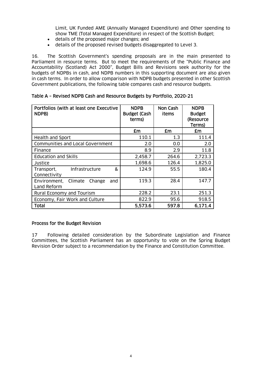Limit, UK Funded AME (Annually Managed Expenditure) and Other spending to show TME (Total Managed Expenditure) in respect of the Scottish Budget;

- details of the proposed major changes; and
- details of the proposed revised budgets disaggregated to Level 3.

16. The Scottish Government's spending proposals are in the main presented to Parliament in resource terms. But to meet the requirements of the "Public Finance and Accountability (Scotland) Act 2000", Budget Bills and Revisions seek authority for the budgets of NDPBs in cash, and NDPB numbers in this supporting document are also given in cash terms. In order to allow comparison with NDPB budgets presented in other Scottish Government publications, the following table compares cash and resource budgets.

| Portfolios (with at least one Executive<br>NDPB)        | <b>NDPB</b><br><b>Budget (Cash</b><br>terms) | Non Cash<br>items | <b>NDPB</b><br><b>Budget</b><br>(Resource<br>Terms) |
|---------------------------------------------------------|----------------------------------------------|-------------------|-----------------------------------------------------|
|                                                         | £m                                           | £m                | £m                                                  |
| <b>Health and Sport</b>                                 | 110.1                                        | 1.3               | 111.4                                               |
| Communities and Local Government                        | 2.0                                          | 0.0               | 2.0                                                 |
| Finance                                                 | 8.9                                          | 2.9               | 11.8                                                |
| <b>Education and Skills</b>                             | 2,458.7                                      | 264.6             | 2,723.3                                             |
| Justice                                                 | 1,698.6                                      | 126.4             | 1,825.0                                             |
| &<br>Infrastructure<br>Transport,<br>Connectivity       | 124.9                                        | 55.5              | 180.4                                               |
| Environment,<br>Climate<br>Change<br>and<br>Land Reform | 119.3                                        | 28.4              | 147.7                                               |
| Rural Economy and Tourism                               | 228.2                                        | 23.1              | 251.3                                               |
| Economy, Fair Work and Culture                          | 822.9                                        | 95.6              | 918.5                                               |
| Total                                                   | 5,573.6                                      | 597.8             | 6,171.4                                             |

#### Table A – Revised NDPB Cash and Resource Budgets by Portfolio, 2020-21

#### Process for the Budget Revision

17 Following detailed consideration by the Subordinate Legislation and Finance Committees, the Scottish Parliament has an opportunity to vote on the Spring Budget Revision Order subject to a recommendation by the Finance and Constitution Committee.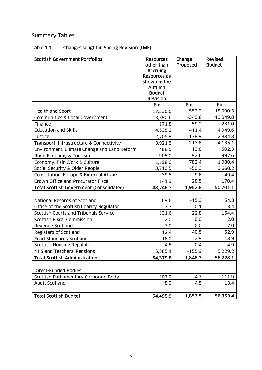# Summary Tables

# Table 1.1 Changes sought in Spring Revision (TME)

| <b>Scottish Government Portfolios</b>           | <b>Resources</b><br>other than<br><b>Accruing</b><br>Resources as<br>shown in the<br>Autumn<br><b>Budget</b><br>Revision | Change<br>Proposed | <b>Revised</b><br><b>Budget</b> |
|-------------------------------------------------|--------------------------------------------------------------------------------------------------------------------------|--------------------|---------------------------------|
|                                                 | £m                                                                                                                       | £m                 | <b>£m</b>                       |
| Health and Sport                                | 17,536.6                                                                                                                 | 553.9              | 18,090.5                        |
| Communities & Local Government                  | 13,390.6                                                                                                                 | $-340.8$           | 13,049.8                        |
| Finance                                         | 171.8                                                                                                                    | 59.2               | 231.0                           |
| <b>Education and Skills</b>                     | 4,538.2                                                                                                                  | 411.4              | 4,949.6                         |
| Justice                                         | 2,705.9                                                                                                                  | 178.9              | 2,884.8                         |
| Transport, Infrastructure & Connectivity        | 3,921.5                                                                                                                  | 213.6              | 4,135.1                         |
| Environment, Climate Change and Land Reform     | 488.5                                                                                                                    | 13.8               | 502.3                           |
| Rural Economy & Tourism                         | 905.0                                                                                                                    | 92.6               | 997.6                           |
| Economy, Fair Work & Culture                    | 1,198.0                                                                                                                  | 782.4              | 1,980.4                         |
| Social Security & Older People                  | 3,710.5                                                                                                                  | $-50.3$            | 3,660.2                         |
| Constitution, Europe & External Affairs         | 39.8                                                                                                                     | 9.6                | 49.4                            |
| Crown Office and Procurator Fiscal              | 141.9                                                                                                                    | 28.5               | 170.4                           |
| <b>Total Scottish Government (Consolidated)</b> | 48,748.3                                                                                                                 | 1,952.8            | 50,701.1                        |
|                                                 |                                                                                                                          |                    |                                 |
| National Records of Scotland                    | 69.6                                                                                                                     | $-15.3$            | 54.3                            |
| Office of the Scottish Charity Regulator        | 3.3                                                                                                                      | 0.1                | 3.4                             |
| Scottish Courts and Tribunals Service           | 131.6                                                                                                                    | 22.8               | 154.4                           |
| <b>Scottish Fiscal Commission</b>               | 2.0                                                                                                                      | 0.0                | 2.0                             |
| Revenue Scotland                                | 7.0                                                                                                                      | 0.0                | 7.0                             |
| <b>Registers of Scotland</b>                    | 12.4                                                                                                                     | 40.5               | 52.9                            |
| <b>Food Standards Scotland</b>                  | 16.0                                                                                                                     | 2.9                | 18.9                            |
| <b>Scottish Housing Regulator</b>               | 4.5                                                                                                                      | 0.4                | 4.9                             |
| NHS and Teachers' Pensions                      | 5,385.1                                                                                                                  | $-155.9$           | 5,229.2                         |
| <b>Total Scottish Administration</b>            | 54,379.8                                                                                                                 | 1,848.3            | 56,228.1                        |
|                                                 |                                                                                                                          |                    |                                 |
| <b>Direct-Funded Bodies</b>                     |                                                                                                                          |                    |                                 |
| Scottish Parliamentary Corporate Body           | 107.2                                                                                                                    | 4.7                | 111.9                           |
| Audit Scotland                                  | 8.9                                                                                                                      | 4.5                | 13.4                            |
| <b>Total Scottish Budget</b>                    | 54,495.9                                                                                                                 | 1,857.5            | 56,353.4                        |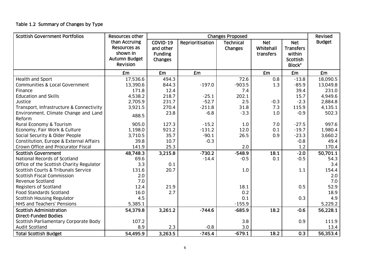# Table 1.2 Summary of Changes by Type

| <b>Scottish Government Portfolios</b>          | <b>Resources other</b>                                                                      | <b>Changes Proposed</b>                                   |                  |                             |                                      | Revised                                                               |               |
|------------------------------------------------|---------------------------------------------------------------------------------------------|-----------------------------------------------------------|------------------|-----------------------------|--------------------------------------|-----------------------------------------------------------------------|---------------|
|                                                | than Accruing<br><b>Resources as</b><br>shown in<br><b>Autumn Budget</b><br><b>Revision</b> | COVID-19<br>and other<br><b>Funding</b><br><b>Changes</b> | Reprioritisation | <b>Technical</b><br>Changes | <b>Net</b><br>Whitehall<br>transfers | <b>Net</b><br><b>Transfers</b><br>within<br><b>Scottish</b><br>Block* | <b>Budget</b> |
|                                                | £m                                                                                          | £m                                                        | <b>£m</b>        |                             | <b>£m</b>                            | £m                                                                    | <b>£m</b>     |
| Health and Sport                               | 17,536.6                                                                                    | 494.3                                                     |                  | 72.6                        | 0.8                                  | $-13.8$                                                               | 18,090.5      |
| Communities & Local Government                 | 13,390.6                                                                                    | 844.3                                                     | $-197.0$         | $-903.5$                    | 1.3                                  | $-85.9$                                                               | 13,049.8      |
| Finance                                        | 171.8                                                                                       | 12.4                                                      |                  | 7.4                         |                                      | 39.4                                                                  | 231.0         |
| <b>Education and Skills</b>                    | 4,538.2                                                                                     | 218.7                                                     | $-25.1$          | 202.1                       |                                      | 15.7                                                                  | 4,949.6       |
| Justice                                        | 2,705.9                                                                                     | 231.7                                                     | $-52.7$          | 2.5                         | $-0.3$                               | $-2.3$                                                                | 2,884.8       |
| Transport, Infrastructure & Connectivity       | 3,921.5                                                                                     | 270.4                                                     | $-211.8$         | 31.8                        | 7.3                                  | 115.9                                                                 | 4,135.1       |
| Environment, Climate Change and Land<br>Reform | 488.5                                                                                       | 23.8                                                      | $-6.8$           | $-3.3$                      | 1.0                                  | $-0.9$                                                                | 502.3         |
| Rural Economy & Tourism                        | 905.0                                                                                       | 127.3                                                     | $-15.2$          | 1.0                         | 7.0                                  | $-27.5$                                                               | 997.6         |
| Economy, Fair Work & Culture                   | 1,198.0                                                                                     | 921.2                                                     | $-131.2$         | 12.0                        | 0.1                                  | $-19.7$                                                               | 1,980.4       |
| Social Security & Older People                 | 3,710.5                                                                                     | 35.7                                                      | $-90.1$          | 26.5                        | 0.9                                  | $-23.3$                                                               | 3,660.2       |
| Constitution, Europe & External Affairs        | 39.8                                                                                        | 10.7                                                      | $-0.3$           |                             |                                      | $-0.8$                                                                | 49.4          |
| Crown Office and Procurator Fiscal             | 141.9                                                                                       | 25.3                                                      |                  | 2.0                         |                                      | 1.2                                                                   | 170.4         |
| <b>Scottish Government</b>                     | 48,748.3                                                                                    | 3,215.8                                                   | $-730.2$         | $-548.9$                    | 18.1                                 | $-2.0$                                                                | 50,701.1      |
| National Records of Scotland                   | 69.6                                                                                        |                                                           | $-14.4$          | $-0.5$                      | 0.1                                  | $-0.5$                                                                | 54.3          |
| Office of the Scottish Charity Regulator       | 3.3                                                                                         | 0.1                                                       |                  |                             |                                      |                                                                       | 3.4           |
| Scottish Courts & Tribunals Service            | 131.6                                                                                       | 20.7                                                      |                  | 1.0                         |                                      | 1.1                                                                   | 154.4         |
| <b>Scottish Fiscal Commission</b>              | 2.0                                                                                         |                                                           |                  |                             |                                      |                                                                       | 2.0           |
| Revenue Scotland                               | 7.0                                                                                         |                                                           |                  |                             |                                      |                                                                       | 7.0           |
| <b>Registers of Scotland</b>                   | 12.4                                                                                        | 21.9                                                      |                  | 18.1                        |                                      | 0.5                                                                   | 52.9          |
| <b>Food Standards Scotland</b>                 | 16.0                                                                                        | 2.7                                                       |                  | 0.2                         |                                      |                                                                       | 18.9          |
| <b>Scottish Housing Regulator</b>              | 4.5                                                                                         |                                                           |                  | 0.1                         |                                      | 0.3                                                                   | 4.9           |
| NHS and Teachers' Pensions                     | 5,385.1                                                                                     |                                                           |                  | $-155.9$                    |                                      |                                                                       | 5,229.2       |
| <b>Scottish Administration</b>                 | 54,379.8                                                                                    | 3,261.2                                                   | $-744.6$         | $-685.9$                    | 18.2                                 | $-0.6$                                                                | 56,228.1      |
| <b>Direct-Funded Bodies</b>                    |                                                                                             |                                                           |                  |                             |                                      |                                                                       |               |
| Scottish Parliamentary Corporate Body          | 107.2                                                                                       |                                                           |                  | 3.8                         |                                      | 0.9                                                                   | 111.9         |
| Audit Scotland                                 | 8.9                                                                                         | 2.3                                                       | $-0.8$           | 3.0                         |                                      |                                                                       | 13.4          |
| <b>Total Scottish Budget</b>                   | 54,495.9                                                                                    | 3,263.5                                                   | $-745.4$         | $-679.1$                    | 18.2                                 | 0.3                                                                   | 56,353.4      |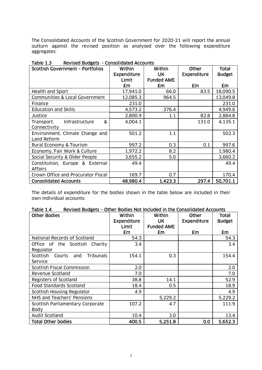The Consolidated Accounts of the Scottish Government for 2020-21 will report the annual outturn against the revised position as analysed over the following expenditure aggregates:

| <b>INCAPACA DOUBLIS</b><br><b>Scottish Government - Portfolios</b> | Within<br><b>Expenditure</b><br>Limit | Within<br><b>UK</b><br><b>Funded AME</b> | Other<br><b>Expenditure</b> | <b>Total</b><br><b>Budget</b> |
|--------------------------------------------------------------------|---------------------------------------|------------------------------------------|-----------------------------|-------------------------------|
|                                                                    | £m                                    | £m                                       | £m                          | £m                            |
| <b>Health and Sport</b>                                            | 17,941.0                              | 66.0                                     | 83.5                        | 18,090.5                      |
| Communities & Local Government                                     | 12,085.3                              | 964.5                                    |                             | 13,049.8                      |
| Finance                                                            | 231.0                                 |                                          |                             | 231.0                         |
| <b>Education and Skills</b>                                        | 4,573.2                               | 376.4                                    |                             | 4,949.6                       |
| Justice                                                            | 2,800.9                               | 1.1                                      | 82.8                        | 2,884.8                       |
| &<br>Infrastructure<br>Transport,<br>Connectivity                  | 4,004.1                               |                                          | 131.0                       | 4,135.1                       |
| Environment, Climate Change and<br>Land Reform                     | 501.2                                 | 1.1                                      |                             | 502.3                         |
| Rural Economy & Tourism                                            | 997.2                                 | 0.3                                      | 0.1                         | 997.6                         |
| Economy, Fair Work & Culture                                       | 1,972.2                               | 8.2                                      |                             | 1,980.4                       |
| Social Security & Older People                                     | 3,655.2                               | 5.0                                      |                             | 3,660.2                       |
| Constitution, Europe & External<br><b>Affairs</b>                  | 49.4                                  |                                          |                             | 49.4                          |
| Crown Office and Procurator Fiscal                                 | 169.7                                 | 0.7                                      |                             | 170.4                         |
| <b>Consolidated Accounts</b>                                       | 48,980.4                              | 1,423.3                                  | 297.4                       | 50,701.1                      |

 $Table 1.3$ Table 1.3 Revised Budgets - Consolidated Accounts

The details of expenditure for the bodies shown in the table below are included in their own individual accounts:

| Table 1.4 | Revised Budgets - Other Bodies Not Included in the Consolidated Accounts |
|-----------|--------------------------------------------------------------------------|
|-----------|--------------------------------------------------------------------------|

| <b>Other Bodies</b>                                      | Within<br>Expenditure<br>Limit | Within<br><b>UK</b><br><b>Funded AME</b> | Other<br><b>Expenditure</b> | <b>Total</b><br><b>Budget</b> |
|----------------------------------------------------------|--------------------------------|------------------------------------------|-----------------------------|-------------------------------|
|                                                          | £m                             | £m                                       | £m                          | £m                            |
| National Records of Scotland                             | 54.3                           |                                          |                             | 54.3                          |
| Office of<br>Scottish<br>Charity<br>the<br>Regulator     | 3.4                            |                                          |                             | 3.4                           |
| <b>Tribunals</b><br>Scottish<br>Courts<br>and<br>Service | 154.1                          | 0.3                                      |                             | 154.4                         |
| <b>Scottish Fiscal Commission</b>                        | 2.0                            |                                          |                             | 2.0                           |
| Revenue Scotland                                         | 7.0                            |                                          |                             | 7.0                           |
| <b>Registers of Scotland</b>                             | 38.8                           | 14.1                                     |                             | 52.9                          |
| <b>Food Standards Scotland</b>                           | 18.4                           | 0.5                                      |                             | 18.9                          |
| Scottish Housing Regulator                               | 4.9                            |                                          |                             | 4.9                           |
| NHS and Teachers' Pensions                               |                                | 5,229.2                                  |                             | 5,229.2                       |
| Scottish Parliamentary Corporate<br><b>Body</b>          | 107.2                          | 4.7                                      |                             | 111.9                         |
| Audit Scotland                                           | 10.4                           | 3.0                                      |                             | 13.4                          |
| <b>Total Other bodies</b>                                | 400.5                          | 5.251.8                                  | 0.0                         | 5,652.3                       |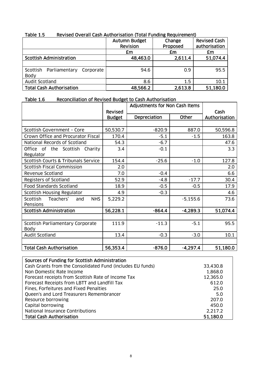| c.i siubi<br>Revised Overall Cash Authorisation (Tutal Funding Requirement) |                      |          |                     |  |  |
|-----------------------------------------------------------------------------|----------------------|----------|---------------------|--|--|
|                                                                             | <b>Autumn Budget</b> | Change   | <b>Revised Cash</b> |  |  |
|                                                                             | Revision             | Proposed | authorisation       |  |  |
|                                                                             | £m                   | £m       | £m                  |  |  |
| <b>Scottish Administration</b>                                              | 48,463.0             | 2,611.4  | 51,074.4            |  |  |
|                                                                             |                      |          |                     |  |  |
| Scottish<br>Parliamentary<br>Corporate<br>Body                              | 94.6                 | 0.9      | 95.5                |  |  |
| <b>Audit Scotland</b>                                                       | 8.6                  | 1.5      | 10.1                |  |  |
| <b>Total Cash Authorisation</b>                                             | 48,566.2             | 2,613.8  | 51,180.0            |  |  |

## Table 1.5 Revised Overall Cash Authorisation (Total Funding Requirement)

### Table 1.6 Reconciliation of Revised Budget to Cash Authorisation

|                                            |                | <b>Adjustments for Non Cash Items</b> |            |               |
|--------------------------------------------|----------------|---------------------------------------|------------|---------------|
|                                            | <b>Revised</b> |                                       | Cash       |               |
|                                            | <b>Budget</b>  | <b>Depreciation</b>                   | Other      | Authorisation |
|                                            |                |                                       |            |               |
| Scottish Government - Core                 | 50,530.7       | $-820.9$                              | 887.0      | 50,596.8      |
| Crown Office and Procurator Fiscal         | 170.4          | $-5.1$                                | $-1.5$     | 163.8         |
| National Records of Scotland               | 54.3           | $-6.7$                                |            | 47.6          |
| Office of the Scottish<br>Charity          | 3.4            | $-0.1$                                |            | 3.3           |
| Regulator                                  |                |                                       |            |               |
| Scottish Courts & Tribunals Service        | 154.4          | $-25.6$                               | $-1.0$     | 127.8         |
| <b>Scottish Fiscal Commission</b>          | 2.0            |                                       |            | 2.0           |
| Revenue Scotland                           | 7.0            | $-0.4$                                |            | 6.6           |
| Registers of Scotland                      | 52.9           | $-4.8$                                | $-17.7$    | 30.4          |
| <b>Food Standards Scotland</b>             | 18.9           | $-0.5$                                | $-0.5$     | 17.9          |
| <b>Scottish Housing Regulator</b>          | 4.9            | $-0.3$                                |            | 4.6           |
| Scottish<br>Teachers'<br><b>NHS</b><br>and | 5,229.2        |                                       | $-5,155.6$ | 73.6          |
| Pensions                                   |                |                                       |            |               |
| <b>Scottish Administration</b>             | 56,228.1       | $-864.4$                              | $-4,289.3$ | 51,074.4      |
|                                            |                |                                       |            |               |
| Scottish Parliamentary Corporate           | 111.9          | $-11.3$                               | $-5.1$     | 95.5          |
| <b>Body</b>                                |                |                                       |            |               |
| <b>Audit Scotland</b>                      | 13.4           | $-0.3$                                | $-3.0$     | 10.1          |
|                                            |                |                                       |            |               |
| <b>Total Cash Authorisation</b>            | 56,353.4       | $-876.0$                              | $-4,297.4$ | 51,180.0      |

| Sources of Funding for Scottish Administration             |          |
|------------------------------------------------------------|----------|
| Cash Grants from the Consolidated Fund (includes EU funds) | 33,430.8 |
| Non Domestic Rate Income                                   | 1,868.0  |
| Forecast receipts from Scottish Rate of Income Tax         | 12,365.0 |
| Forecast Receipts from LBTT and Landfill Tax               | 612.0    |
| Fines, Forfeitures and Fixed Penalties                     | 25.0     |
| Queen's and Lord Treasurers Remembrancer                   | 5.0      |
| Resource borrowing                                         | 207.0    |
| Capital borrowing                                          | 450.0    |
| National Insurance Contributions                           | 2,217.2  |
| <b>Total Cash Authorisation</b>                            | 51,180.0 |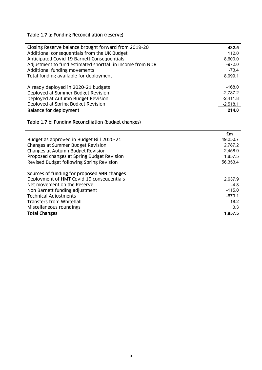# Table 1.7 a: Funding Reconciliation (reserve)

| Closing Reserve balance brought forward from 2019-20      | 432.5      |
|-----------------------------------------------------------|------------|
| Additional consequentials from the UK Budget              | 112.0      |
| Anticipated Covid 19 Barnett Consequentials               | 8,600.0    |
| Adjustment to fund estimated shortfall in income from NDR | $-972.0$   |
| Additional funding movements                              | $-73.4$    |
| Total funding available for deployment                    | 8,099.1    |
|                                                           |            |
| Already deployed in 2020-21 budgets                       | $-168.0$   |
| Deployed at Summer Budget Revision                        | $-2,787.2$ |
| Deployed at Autumn Budget Revision                        | $-2,411.8$ |
| Deployed at Spring Budget Revision                        | $-2,518.1$ |
| Balance for deployment                                    | 214.0      |

## Table 1.7 b: Funding Reconciliation (budget changes)

|                                             | £m       |
|---------------------------------------------|----------|
| Budget as approved in Budget Bill 2020-21   | 49,250.7 |
| Changes at Summer Budget Revision           | 2,787.2  |
| Changes at Autumn Budget Revision           | 2,458.0  |
| Proposed changes at Spring Budget Revision  | 1,857.5  |
| Revised Budget following Spring Revision    | 56,353.4 |
|                                             |          |
| Sources of funding for proposed SBR changes |          |
| Deployment of HMT Covid 19 consequentials   | 2,637.9  |
| Net movement on the Reserve                 | $-4.8$   |
| Non Barnett funding adjustment              | $-115.0$ |
| <b>Technical Adjustments</b>                | $-679.1$ |
| Transfers from Whitehall                    | 18.2     |
| Miscellaneous roundings                     | 0.3      |
| <b>Total Changes</b>                        | 1,857.5  |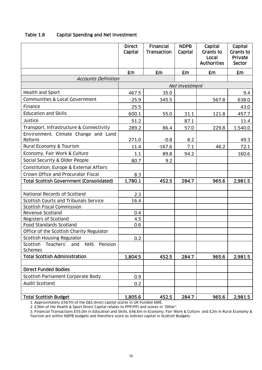|                                                         | <b>Direct</b><br>Capital | Financial<br>Transaction | <b>NDPB</b><br>Capital | Capital<br><b>Grants to</b><br>Local<br><b>Authorities</b> | Capital<br><b>Grants to</b><br>Private<br>Sector |
|---------------------------------------------------------|--------------------------|--------------------------|------------------------|------------------------------------------------------------|--------------------------------------------------|
|                                                         | £m                       | £m                       | £m                     | £m                                                         | £m                                               |
| <i>Accounts Definition</i>                              |                          |                          |                        |                                                            |                                                  |
|                                                         |                          |                          | Net Investment         |                                                            |                                                  |
| Health and Sport                                        | 467.5                    | 35.0                     |                        |                                                            | 9.4                                              |
| Communities & Local Government                          | $-25.9$                  | 345.5                    |                        | 567.8                                                      | 638.0                                            |
| Finance                                                 | 25.5                     |                          |                        |                                                            | 43.0                                             |
| <b>Education and Skills</b>                             | 600.1                    | 55.0                     | 31.1                   | 121.8                                                      | 457.7                                            |
| Justice                                                 | 51.2                     |                          | 87.1                   |                                                            | 11.4                                             |
| Transport, Infrastructure & Connectivity                | 289.2                    | 86.4                     | 57.0                   | 229.8                                                      | 1,540.0                                          |
| Environment, Climate Change and Land<br>Reform          | 271.0                    | $-0.8$                   | 8.2                    |                                                            | 49.3                                             |
| Rural Economy & Tourism                                 | 11.4                     | $-167.6$                 | 7.1                    | 46.2                                                       | 72.1                                             |
| Economy, Fair Work & Culture                            | 1.1                      | 89.8                     | 94.2                   |                                                            | 160.6                                            |
| Social Security & Older People                          | 80.7                     | 9.2                      |                        |                                                            |                                                  |
| Constitution, Europe & External Affairs                 |                          |                          |                        |                                                            |                                                  |
| Crown Office and Procurator Fiscal                      | 8.3                      |                          |                        |                                                            |                                                  |
| <b>Total Scottish Government (Consolidated)</b>         | 1,780.1                  | 452.5                    | 284.7                  | 965.6                                                      | 2,981.5                                          |
|                                                         |                          |                          |                        |                                                            |                                                  |
| National Records of Scotland                            | 2.3                      |                          |                        |                                                            |                                                  |
| Scottish Courts and Tribunals Service                   | 16.4                     |                          |                        |                                                            |                                                  |
| <b>Scottish Fiscal Commission</b>                       |                          |                          |                        |                                                            |                                                  |
| Revenue Scotland                                        | 0.4                      |                          |                        |                                                            |                                                  |
| Registers of Scotland<br><b>Food Standards Scotland</b> | 4.5<br>0.6               |                          |                        |                                                            |                                                  |
| Office of the Scottish Charity Regulator                |                          |                          |                        |                                                            |                                                  |
| <b>Scottish Housing Regulator</b>                       | 0.2                      |                          |                        |                                                            |                                                  |
| Scottish<br>Teachers'<br><b>NHS</b><br>Pension<br>and   |                          |                          |                        |                                                            |                                                  |
| <b>Schemes</b>                                          |                          |                          |                        |                                                            |                                                  |
| <b>Total Scottish Administration</b>                    | 1,804.5                  | 452.5                    | 284.7                  | 965.6                                                      | 2,981.5                                          |
|                                                         |                          |                          |                        |                                                            |                                                  |
| <b>Direct Funded Bodies</b>                             |                          |                          |                        |                                                            |                                                  |
| Scottish Parliament Corporate Body                      | 0.9                      |                          |                        |                                                            |                                                  |
| <b>Audit Scotland</b>                                   | 0.2                      |                          |                        |                                                            |                                                  |
|                                                         |                          |                          |                        |                                                            |                                                  |
| <b>Total Scottish Budget</b>                            | 1,805.6                  | 452.5                    | 284.7                  | 965.6                                                      | 2,981.5                                          |

### Table 1.8 Capital Spending and Net Investment

1. Approximately £567m of the E&S direct capital scores in UK Funded AME.

2. £36m of the Health & Sport Direct Capital relates to PPP/PFI and scores in "Other".

3. Financial Transactions £55.0m in Education and Skills, £46.6m in Economy, Fair Work & Culture and £2m in Rural Economy & Tourism are within NDPB budgets and therefore score as Indirect capital in Scottish Budgets.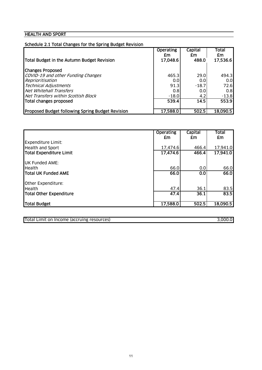## **HEALTH AND SPORT**

| Schedule 2.1 Total Changes for the Spring Budget Revision |                        |               |                  |
|-----------------------------------------------------------|------------------------|---------------|------------------|
|                                                           | <b>Operating</b><br>£m | Capital<br>£m | Total<br>£m      |
| Total Budget in the Autumn Budget Revision                | 17,048.6               | 488.0         | 17,536.6         |
| <b>Changes Proposed</b>                                   |                        |               |                  |
| COVID-19 and other Funding Changes                        | 465.3                  | 29.0          | 494.3            |
| Reprioritisation                                          | 0.0                    | 0.0           | 0.0 <sub>l</sub> |
| <b>Technical Adjustments</b>                              | 91.3                   | $-18.7$       | 72.6             |
| Net Whitehall Transfers                                   | 0.8                    | 0.0           | 0.8 <sub>l</sub> |
| Net Transfers within Scottish Block                       | $-18.0$                | 4.2           | $-13.8$          |
| Total changes proposed                                    | 539.4                  | 14.5          | 553.9            |
| <b>Proposed Budget following Spring Budget Revision</b>   | 17,588.0               | 502.5         | 18,090.5         |

|                            | <b>Operating</b><br>£m | Capital<br>£m | <b>Total</b><br>£m |
|----------------------------|------------------------|---------------|--------------------|
| <b>Expenditure Limit:</b>  |                        |               |                    |
| <b>Health and Sport</b>    | 17,474.6               | 466.4         | 17,941.0           |
| Total Expenditure Limit    | 17,474.6               | 466.4         | 17,941.0           |
| <b>UK Funded AME:</b>      |                        |               |                    |
| <b>Health</b>              | 66.0                   | 0.0           | 66.0               |
| <b>Total UK Funded AME</b> | 66.0                   | 0.0           | 66.0               |
| Other Expenditure:         |                        |               |                    |
| <b>Health</b>              | 47.4                   | 36.1          | 83.5               |
| Total Other Expenditure    | 47.4                   | 36.1          | 83.5               |
| Total Budget               | 17,588.0               | 502.5         | 18,090.5           |

Total Limit on Income (accruing resources) 3,000.0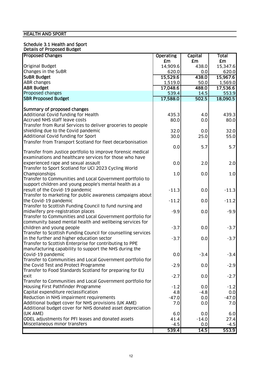## HEALTH AND SPORT

#### Schedule 3.1 Health and Sport Details of Proposed Budget

| <b>Proposed Changes</b>                                                             | <b>Operating</b> | <b>Capital</b> | Total          |
|-------------------------------------------------------------------------------------|------------------|----------------|----------------|
|                                                                                     | £m               | £m             | £m             |
| <b>Original Budget</b>                                                              | 14,909.6         | 438.0          | 15,347.6       |
| Changes in the SuBR                                                                 | 620.0            | 0.0            | 620.0          |
| <b>SUBR Budget</b>                                                                  | 15,529.6         | 438.0          | 15,967.6       |
| <b>ABR</b> changes                                                                  | 1,519.0          | 50.0           | 1,569.0        |
| <b>ABR Budget</b>                                                                   | 17,048.6         | 488.0          | 17,536.6       |
| Proposed changes                                                                    | 539.4            | 14.5           | 553.9          |
| <b>SBR Proposed Budget</b>                                                          | 17,588.0         | 502.5          | 18,090.5       |
|                                                                                     |                  |                |                |
| Summary of proposed changes                                                         |                  |                |                |
| Additional Covid funding for Health                                                 | 435.3            | 4.0            | 439.3          |
| Accrued NHS staff leave costs                                                       | 80.0             | 0.0            | 80.0           |
| Transfer from Rural Services to deliver groceries to people                         |                  |                |                |
| shielding due to the Covid pandemic                                                 | 32.0             | 0.0            | 32.0           |
| Additional Covid funding for Sport                                                  | 30.0             | 25.0           | 55.0           |
| Transfer from Transport Scotland for fleet decarbonisation                          |                  |                |                |
|                                                                                     | 0.0              | 5.7            | 5.7            |
| Transfer from Justice portfolio to improve forensic medical                         |                  |                |                |
| examinations and healthcare services for those who have                             |                  |                |                |
| experienced rape and sexual assault                                                 | 0.0              | 2.0            | 2.0            |
| Transfer to Sport Scotland for UCI 2023 Cycling World                               |                  |                |                |
| Championships                                                                       | 1.0              | 0.0            | 1.0            |
| Transfer to Communities and Local Government portfolio to                           |                  |                |                |
| support children and young people's mental health as a                              |                  |                |                |
| result of the Covid-19 pandemic                                                     | $-11.3$          | 0.0            | $-11.3$        |
| Transfer to marketing for public awareness campaigns about                          |                  |                |                |
| the Covid-19 pandemic                                                               | $-11.2$          | 0.0            | $-11.2$        |
| Transfer to Scottish Funding Council to fund nursing and                            |                  |                |                |
| midwifery pre-registration places                                                   | $-9.9$           | 0.0            | $-9.9$         |
| Transfer to Communities and Local Government portfolio for                          |                  |                |                |
| community based mental health and wellbeing services for                            |                  |                |                |
| children and young people                                                           | $-3.7$           | 0.0            | $-3.7$         |
| Transfer to Scottish Funding Council for counselling services                       |                  |                |                |
| in the further and higher education sector                                          | $-3.7$           | 0.0            | $-3.7$         |
| Transfer to Scottish Enterprise for contributing to PPE                             |                  |                |                |
| manufacturing capability to support the NHS during the                              |                  |                |                |
| Covid-19 pandemic                                                                   | 0.0              | $-3.4$         | $-3.4$         |
| Transfer to Communities and Local Government portfolio for                          |                  |                |                |
| the Covid Test and Protect Programme                                                | $-2.9$           | 0.0            | $-2.9$         |
| Transfer to Food Standards Scotland for preparing for EU                            |                  |                |                |
| exit                                                                                | $-2.7$           | 0.0            | $-2.7$         |
| Transfer to Communities and Local Government portfolio for                          |                  |                |                |
| Housing First Pathfinder Programme                                                  | $-1.2$           | 0.0            | $-1.2$         |
| Capital expenditure reclassification                                                | 4.8              | $-4.8$         |                |
| Reduction in NHS impairment requirements                                            | $-47.0$          | 0.0            | 0.0<br>$-47.0$ |
| Additional budget cover for NHS provisions (UK AME)                                 |                  | 0.0            | 7.0            |
|                                                                                     | 7.0              |                |                |
| Additional budget cover for NHS donated asset depreciation<br>(UK AME)              |                  |                |                |
|                                                                                     | 6.0              | 0.0            | 6.0            |
| ODEL adjustments for PFI leases and donated assets<br>Miscellaneous minor transfers | 41.4             | $-14.0$        | 27.4           |
|                                                                                     | $-4.5$           | 0.0            | $-4.5$         |
|                                                                                     | 539.4            | 14.5           | 553.9          |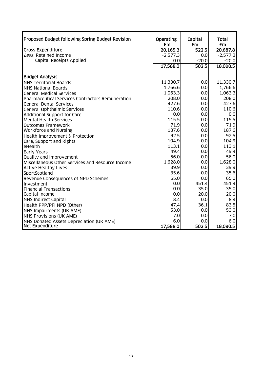| Proposed Budget following Spring Budget Revision<br><b>Gross Expenditure</b><br>Less: Retained Income<br><b>Capital Receipts Applied</b>                                            | <b>Operating</b><br>£m<br>20,165.3<br>$-2,577.3$<br>0.0<br>17,588.0 | Capital<br><b>£m</b><br>522.5<br>0.0<br>$-20.0$<br>502.5 | <b>Total</b><br><b>£m</b><br>20,687.8<br>$-2,577.3$<br>$-20.0$<br>18,090.5 |
|-------------------------------------------------------------------------------------------------------------------------------------------------------------------------------------|---------------------------------------------------------------------|----------------------------------------------------------|----------------------------------------------------------------------------|
| <b>Budget Analysis</b><br><b>NHS Territorial Boards</b><br><b>NHS National Boards</b><br><b>General Medical Services</b><br><b>Pharmaceutical Services Contractors Remuneration</b> | 11,330.7<br>1,766.6<br>1,063.3<br>208.0                             | 0.0<br>0.0<br>0.0<br>0.0                                 | 11,330.7<br>1,766.6<br>1,063.3<br>208.0                                    |
| <b>General Dental Services</b>                                                                                                                                                      | 427.6                                                               | 0.0                                                      | 427.6                                                                      |
| <b>General Ophthalmic Services</b>                                                                                                                                                  | 110.6                                                               | 0.0                                                      | 110.6                                                                      |
| <b>Additional Support for Care</b>                                                                                                                                                  | 0.0                                                                 | 0.0                                                      | 0.0                                                                        |
| <b>Mental Health Services</b>                                                                                                                                                       | 115.5                                                               | 0.0                                                      | 115.5                                                                      |
| <b>Outcomes Framework</b>                                                                                                                                                           | 71.9                                                                | 0.0                                                      | 71.9                                                                       |
| Workforce and Nursing                                                                                                                                                               | 187.6                                                               | 0.0                                                      | 187.6                                                                      |
| <b>Health Improvement &amp; Protection</b>                                                                                                                                          | 92.5                                                                | 0.0                                                      | 92.5                                                                       |
| Care, Support and Rights                                                                                                                                                            | 104.9                                                               | 0.0                                                      | 104.9                                                                      |
| eHealth                                                                                                                                                                             | 113.1                                                               | 0.0                                                      | 113.1                                                                      |
| <b>Early Years</b>                                                                                                                                                                  | 49.4                                                                | 0.0                                                      | 49.4                                                                       |
| Quality and Improvement                                                                                                                                                             | 56.0                                                                | 0.0                                                      | 56.0                                                                       |
| Miscellaneous Other Services and Resource Income                                                                                                                                    | 1,628.0                                                             | 0.0                                                      | 1,628.0                                                                    |
| <b>Active Healthy Lives</b>                                                                                                                                                         | 39.9                                                                | 0.0                                                      | 39.9                                                                       |
| SportScotland                                                                                                                                                                       | 35.6                                                                | 0.0                                                      | 35.6                                                                       |
| Revenue Consequences of NPD Schemes                                                                                                                                                 | 65.0                                                                | 0.0                                                      | 65.0                                                                       |
| Investment                                                                                                                                                                          | 0.0                                                                 | 451.4                                                    | 451.4                                                                      |
| <b>Financial Transactions</b>                                                                                                                                                       | 0.0                                                                 | 35.0                                                     | 35.0                                                                       |
| Capital Income                                                                                                                                                                      | 0.0                                                                 | $-20.0$                                                  | $-20.0$                                                                    |
| <b>NHS Indirect Capital</b>                                                                                                                                                         | 8.4                                                                 | 0.0                                                      | 8.4                                                                        |
| Health PPP/PFI NPD (Other)                                                                                                                                                          | 47.4                                                                | 36.1                                                     | 83.5                                                                       |
| NHS Impairments (UK AME)                                                                                                                                                            | 53.0                                                                | 0.0                                                      | 53.0                                                                       |
| <b>NHS Provisions (UK AME)</b>                                                                                                                                                      | 7.0                                                                 | 0.0                                                      | 7.0                                                                        |
| NHS Donated Assets Depreciation (UK AME)                                                                                                                                            | 6.0                                                                 | 0.0                                                      | 6.0                                                                        |
| <b>Net Expenditure</b>                                                                                                                                                              | 17,588.0                                                            | 502.5                                                    | 18,090.5                                                                   |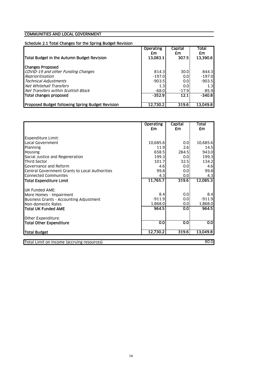#### Schedule 2.1 Total Changes for the Spring Budget Revision

| <b>Operating</b><br>£m<br>13.083.1 | <b>Capital</b><br>£m<br>307.5 | Total<br>£m<br>13,390.6 |
|------------------------------------|-------------------------------|-------------------------|
|                                    |                               |                         |
| 814.3                              | 30.0                          | 844.3                   |
| $-197.0$                           | 0.01                          | $-197.0$                |
| $-903.5$                           | 0.01                          | $-903.5$                |
| 1.3                                | 0.01                          | 1.3                     |
| $-68.0$                            | $-17.9$                       | $-85.9$                 |
| $-352.9$                           | 12.1                          | $-340.8$                |
|                                    |                               | 13.049.8                |
|                                    | 12.730.2                      | 319.6                   |

|                                                | <b>Operating</b><br>£m | <b>Capital</b><br>£m | <b>Total</b><br>£m |
|------------------------------------------------|------------------------|----------------------|--------------------|
| Expenditure Limit:                             |                        |                      |                    |
| Local Government                               | 10,685.6               | 0.0                  | 10,685.6           |
| Planning                                       | 11.9                   | 2.6                  | 14.5               |
| <b>Housing</b>                                 | 658.5                  | 284.5                | 943.0              |
| Social Justice and Regeneration                | 199.3                  | 0.0                  | 199.3              |
| <b>Third Sector</b>                            | 101.7                  | 32.5                 | 134.2              |
| Governance and Reform                          | 4.6                    | 0.0                  | 4.6                |
| Central Government Grants to Local Authorities | 99.8                   | 0.0                  | 99.8               |
| <b>Connected Communites</b>                    | 4.3                    | 0.0                  | 4.3                |
| <b>Total Expenditure Limit</b>                 | 11,765.7               | 319.6                | 12,085.3           |
| <b>UK Funded AME:</b>                          |                        |                      |                    |
| More Homes - Impairment                        | 8.4                    | 0.0                  | 8.4                |
| <b>Business Grants - Accounting Adjustment</b> | $-911.9$               | 0.0                  | $-911.9$           |
| Non-domestic Rates                             | 1,868.0                | 0.0                  | 1,868.0            |
| lTotal UK Funded AME                           | 964.5                  | 0.0                  | 964.5              |
| Other Expenditure:                             |                        |                      |                    |
| <b>Total Other Expenditure</b>                 | 0.0                    | 0.0                  | 0.0                |
| Total Budget                                   | 12,730.2               | 319.6                | 13,049.8           |
| Total Limit on Income (accruing resources)     |                        |                      | 80.0               |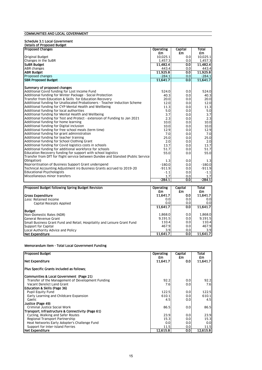#### Schedule 3.1 Local Government

| <b>Details of Proposed Budget</b>                                                |                  |                  |              |
|----------------------------------------------------------------------------------|------------------|------------------|--------------|
| <b>Proposed Changes</b>                                                          | <b>Operating</b> | Capital          | <b>Total</b> |
|                                                                                  | £m               | £m               | £m           |
| <b>Original Budget</b>                                                           | 10,025.1         | 0.0              | 10,025.1     |
| Changes in the SuBR                                                              | 1,457.3          | 0.0              | 1,457.3      |
| <b>SUBR Budget</b>                                                               | 11.482.4         | 0.0              | 11,482.4     |
| <b>ABR</b> changes                                                               | 443.4            | 0.0              | 443.4        |
| <b>ABR Budget</b>                                                                | 11,925.8         | $\overline{0.0}$ | 11,925.8     |
| Proposed changes                                                                 | $-284.1$         | 0.0              | $-284.1$     |
| <b>ISBR Proposed Budget</b>                                                      | 11.641.7         | 0.0              | 11.641.7     |
|                                                                                  |                  |                  |              |
| <b>Summary of proposed changes</b>                                               |                  |                  |              |
| Additional Covid funding for Lost Income Fund                                    | 524.0            | 0.0              | 524.0        |
| Additional funding for Winter Package - Social Protection                        | 40.3             | 0.0              | 40.3         |
| Transfer from Education & Skills for Education Recovery                          | 20.0             | 0.0              | 20.0         |
| Additional funding for Unallocated Probationers - Teacher Induction Scheme       | 12.0             | 0.0              | 12.0         |
| Additional funding for CYP Mental Health and Wellbeing                           | 11.3             | 0.0              | 11.3         |
| Additional funding for local authorities                                         | 5.0              | 0.0              | 5.0          |
| Additional funding for Mental Health and Wellbeing                               | 3.7              | 0.0              | 3.7          |
| Additional funding for Test and Protect - extension of Funding to Jan 2021       | 2.3              | 0.0              | 2.3          |
| Additional funding for home learning                                             | 10.0             | 0.0              | 10.0         |
| Additional funding for Digital inclusion                                         | 10.0             | 0.0              | 10.0         |
| Additional funding for free school meals (term time)                             | 12.9             | 0.0              | 12.9         |
| Additional funding for grant administration                                      | 7.0              | 0.0              | 7.0          |
| Additional funding for teacher training                                          | 25.0             | 0.0              | 25.0         |
| Additional funding for School Clothing Grant                                     | 2.0              | 0.0              | 2.0          |
| Additional funding for Covid logistics costs in schools                          | 13.7             | 0.0              | 13.7         |
| Additional funding for additional workforce for schools                          | 51.7             | 0.0              | 51.7         |
| Education Recovery funding for support with school logistics                     | 55.0             | 0.0              | 55.0         |
| Transfer from DfT for flight service between Dundee and Stansted (Public Service |                  |                  |              |
| Obligation)                                                                      | 1.3              | 0.0              | 1.3          |
| Reprioritisation of Business Support Grant underspend                            | $-180.0$         | 0.0              | $-180.0$     |
| Technical Accounting Adjustment iro Business Grants accrued to 2019-20           | $-911.9$         | 0.0              | $-911.9$     |
| <b>Educational Psychologists</b>                                                 | $-1.1$           | 0.0              | $-1.1$       |
| Miscellaneous minor transfers                                                    | 1.7              | 0.0              | 1.7          |
|                                                                                  | $-284.1$         | 0.0              | $-284.1$     |

| <b>Proposed Budget following Spring Budget Revision</b>                  | <b>Operating</b><br>£m | Capital<br>£m    | <b>Total</b><br>£m |
|--------------------------------------------------------------------------|------------------------|------------------|--------------------|
| <b>Gross Expenditure</b>                                                 | 11.641.7               | 0.0              | 11.641.7           |
| Less: Retained Income                                                    | 0.0                    | 0.0              | 0.0                |
| Capital Receipts Applied                                                 | 0.0                    | 0.0              | 0.0                |
|                                                                          | 11.641.7               | 0.0 <sub>l</sub> | 11.641.7           |
| <b>Budget</b>                                                            |                        |                  |                    |
| Non-Domestic Rates (NDR)                                                 | 1,868.0                | 0.01             | 1.868.0            |
| General Revenue Grant                                                    | 9.191.5                | 0.01             | 9.191.5            |
| Small Business Grant Fund and Retail, Hospitality and Leisure Grant Fund | 110.4                  | 0.0              | 110.4              |
| Support for Capital                                                      | 467.9                  | 0.01             | 467.9              |
| Local Authority Advice and Policy                                        | 3.9                    | 0.0              | 3.9                |
| <b>INet Expenditure</b>                                                  | 11.641.7               | 0.0              | 11.641.7           |

#### Memorandum Item - Total Local Government Funding

| <b>Proposed Budget</b>                               | <b>Operating</b> | Capital | Total    |
|------------------------------------------------------|------------------|---------|----------|
|                                                      | £m               | £m      | £m       |
| Net Expenditure                                      | 11,641.7         | 0.0     | 11,641.7 |
| <b>IPlus Specific Grants included as follows:</b>    |                  |         |          |
| <b>ICommunities &amp; Local Government (Page 21)</b> |                  |         |          |
| Transfer of the Management of Development Funding    | 92.2             | 0.0     | 92.2     |
| Vacant Derelict Land Grant                           | 7.6              | 0.0     | 7.6      |
| Education & Skills (Page 36)                         |                  |         |          |
| <b>Pupil Equity Fund</b>                             | 122.5            | 0.0     | 122.5    |
| Early Learning and Childcare Expansion               | 610.1            | 0.0     | 610.1    |
| Gaelic                                               | 4.5              | 0.0     | 4.5      |
| Justice (Page 49)                                    |                  |         |          |
| Criminal Justice Social Work                         | 86.5             | 0.0     | 86.5     |
| Transport, Infrastructure & Connectivity (Page 61)   |                  |         |          |
| Cycling, Walking and Safer Routes                    | 23.9             | 0.0     | 23.9     |
| Regional Transport Partnership                       | 15.3             | 0.0     | 15.3     |
| Heat Networks Early Adopter's Challenge Fund         | 0.0              | 0.0     | 0.0      |
| Support for Inter-Island Ferries                     | 11.5             | 0.0     | 11.5     |
| Net Expenditure                                      | 12.615.8         | 0.0     | 12.615.8 |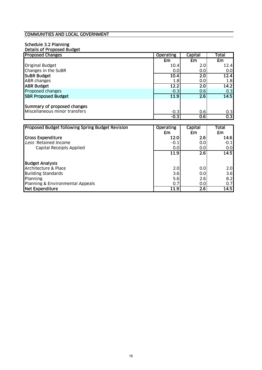#### Schedule 3.2 Planning Details of Proposed Budget

| <b>Proposed Changes</b>                                      | <b>Operating</b> | Capital | Total |
|--------------------------------------------------------------|------------------|---------|-------|
|                                                              | £m               | £m      | £m    |
| <b>Original Budget</b>                                       | 10.4             | 2.0     | 12.4  |
| Changes in the SuBR                                          | 0.0              | 0.0     | 0.0   |
| <b>SUBR Budget</b>                                           | 10.4             | 2.0     | 12.4  |
| <b>ABR</b> changes                                           | 1.8              | 0.0     | 1.8   |
| <b>ABR Budget</b>                                            | 12.2             | 2.0     | 14.2  |
| Proposed changes                                             | $-0.3$           | 0.6     | 0.3   |
| <b>SBR Proposed Budget</b>                                   | 11.9             | 2.6     | 14.5  |
| Summary of proposed changes<br>Miscellaneous minor transfers | $-0.3$           | 0.6     | 0.3   |
|                                                              | $-0.3$           | 0.6     | 0.3   |
|                                                              |                  |         |       |

| <b>Proposed Budget following Spring Budget Revision</b> | <b>Operating</b><br>£m | Capital<br>£m    | Total<br>£m |
|---------------------------------------------------------|------------------------|------------------|-------------|
|                                                         |                        |                  |             |
| <b>Gross Expenditure</b>                                | 12.0                   | 2.6              | 14.6        |
| Less: Retained Income                                   | $-0.1$                 | 0.01             | $-0.1$      |
| Capital Receipts Applied                                | 0.0                    | 0.0 <sub>l</sub> | 0.0         |
|                                                         | 11.9                   | 2.6              | 14.5        |
| <b>Budget Analysis</b>                                  |                        |                  |             |
| Architecture & Place                                    | 2.0                    | 0.0              | 2.0         |
| <b>Building Standards</b>                               | 3.6                    | 0.0              | 3.6         |
| Planning                                                | 5.6                    | 2.6              | 8.2         |
| Planning & Environmental Appeals                        | 0.7                    | 0.0 <sub>l</sub> | 0.7         |
| Net Expenditure                                         | 11.9                   | $\overline{2.6}$ | 14.5        |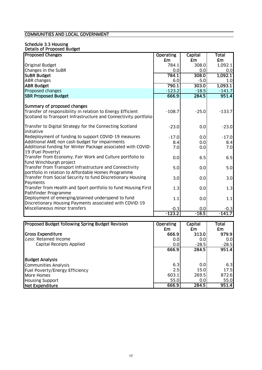#### Schedule 3.3 Housing Details of Proposed Budget

| <b>Proposed Changes</b>                                                                                            | <b>Operating</b> | <b>Capital</b> | <b>Total</b>     |
|--------------------------------------------------------------------------------------------------------------------|------------------|----------------|------------------|
|                                                                                                                    | £m               | <b>£m</b>      | £m               |
| <b>Original Budget</b>                                                                                             | 784.1            | 308.0          | 1,092.1          |
| Changes in the SuBR                                                                                                | 0.0              | 0.0            | 0.0              |
| <b>SUBR Budget</b>                                                                                                 | 784.1            | 308.0          | 1,092.1          |
| <b>ABR</b> changes                                                                                                 | 6.0              | $-5.0$         | 1.0 <sub>l</sub> |
| <b>ABR Budget</b>                                                                                                  | 790.1            | 303.0          | 1,093.1          |
| Proposed changes                                                                                                   | $-123.2$         | $-18.5$        | $-141.7$         |
| <b>SBR Proposed Budget</b>                                                                                         | 666.9            | 284.5          | 951.4            |
| Summary of proposed changes                                                                                        |                  |                |                  |
| Transfer of responsibility in relation to Energy Efficient                                                         | $-108.7$         | $-25.0$        | $-133.7$         |
| Scotland to Transport Infrastructure and Connectivity portfolio                                                    |                  |                |                  |
| Transfer to Digital Strategy for the Connecting Scotland                                                           | $-23.0$          | 0.0            | $-23.0$          |
| initiative                                                                                                         |                  |                |                  |
| Redeployment of funding to support COVID-19 measures                                                               | $-17.0$          | 0.0            | $-17.0$          |
| Additional AME non cash budget for impairments                                                                     | 8.4              | 0.0            | 8.4              |
| Additional funding for Winter Package associated with COVID-<br>19 (Fuel Poverty)                                  | 7.0              | 0.0            | 7.0              |
| Transfer from Economy, Fair Work and Culture portfolio to<br>fund Winchburgh project                               | 0.0              | 6.5            | 6.5              |
| Transfer from Transport Infrastructure and Connectivity                                                            | 5.0              | 0.0            | 5.0              |
| portfolio in relation to Affordable Homes Programme<br>Transfer from Social Security to fund Discretionary Housing | 3.0              | 0.0            | 3.0              |
| Payments                                                                                                           |                  |                |                  |
| Transfer from Health and Sport portfolio to fund Housing First                                                     | 1.3              | 0.0            | 1.3              |
| Pathfinder Programme                                                                                               |                  |                |                  |
| Deployment of emerging/planned underspend to fund<br>Discretionary Housing Payments associated with COVID-19       | 1.1              | 0.0            | 1.1              |
| Miscellaneous minor transfers                                                                                      | $-0.3$           | 0.0            | $-0.3$           |
|                                                                                                                    | $-123.2$         | $-18.5$        | $-141.7$         |
|                                                                                                                    |                  |                |                  |

| Proposed Budget following Spring Budget Revision | <b>Operating</b> | <b>Capital</b> | <b>Total</b> |
|--------------------------------------------------|------------------|----------------|--------------|
|                                                  | £m               | £m             | £m           |
| <b>Gross Expenditure</b>                         | 666.9            | 313.0          | 979.9        |
| Less: Retained Income                            | 0.0              | 0.0            | 0.0          |
| Capital Receipts Applied                         | 0.0              | $-28.5$        | $-28.5$      |
|                                                  | 666.9            | 284.5          | 951.4        |
| <b>Budget Analysis</b>                           |                  |                |              |
| Communities Analysis                             | 6.3              | 0.0            | 6.3          |
| Fuel Poverty/Energy Efficiency                   | 2.5              | 15.0           | 17.5         |
| More Homes                                       | 603.1            | 269.5          | 872.6        |
| <b>Housing Support</b>                           | 55.0             | 0.01           | 55.0         |
| Net Expenditure                                  | 666.9            | 284.5          | 951.4        |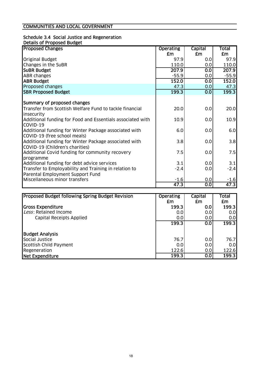# Schedule 3.4 Social Justice and Regeneration

| Details of Proposed Budget |
|----------------------------|
|----------------------------|

| <b>Proposed Changes</b>                                    | <b>Operating</b> | Capital | Total   |
|------------------------------------------------------------|------------------|---------|---------|
|                                                            | £m               | £m      | £m      |
| <b>Original Budget</b>                                     | 97.9             | 0.0     | 97.9    |
| Changes in the SuBR                                        | 110.0            | 0.0     | 110.0   |
| <b>SUBR Budget</b>                                         | 207.9            | 0.0     | 207.9   |
| <b>ABR changes</b>                                         | $-55.9$          | 0.0     | $-55.9$ |
| <b>ABR Budget</b>                                          | 152.0            | 0.0     | 152.0   |
| Proposed changes                                           | 47.3             | 0.0     | 47.3    |
| <b>SBR Proposed Budget</b>                                 | 199.3            | 0.0     | 199.3   |
|                                                            |                  |         |         |
| Summary of proposed changes                                |                  |         |         |
| Transfer from Scottish Welfare Fund to tackle financial    | 20.0             | 0.0     | 20.0    |
| insecurity                                                 |                  |         |         |
| Additional funding for Food and Essentials associated with | 10.9             | 0.0     | 10.9    |
| COVID-19                                                   |                  |         |         |
| Additional funding for Winter Package associated with      | 6.0              | 0.0     | 6.0     |
| COVID-19 (free school meals)                               |                  |         |         |
| Additional funding for Winter Package associated with      | 3.8              | 0.0     | 3.8     |
| COVID-19 (Children's charities)                            |                  |         |         |
| Additional Covid funding for community recovery            | 7.5              | 0.0     | 7.5     |
| programme                                                  |                  |         |         |
| Additional funding for debt advice services                | 3.1              | 0.0     | 3.1     |
| Transfer to Employability and Training in relation to      | $-2.4$           | 0.0     | $-2.4$  |
| Parental Employment Support Fund                           |                  |         |         |
| Miscellaneous minor transfers                              | <u>-1.6</u>      | 0.0     | $-1.6$  |
|                                                            | 47.3             | 0.0     | 47.3    |

| <b>Proposed Budget following Spring Budget Revision</b> | <b>Operating</b> | <b>Capital</b> | Total |
|---------------------------------------------------------|------------------|----------------|-------|
|                                                         | £m               | £m             | £m    |
| <b>Gross Expenditure</b>                                | 199.3            | 0.0            | 199.3 |
| Less: Retained Income                                   | 0.0              | 0.0            | 0.0   |
| Capital Receipts Applied                                | 0.0              | 0.0            | 0.0   |
|                                                         | 199.3            | 0.0            | 199.3 |
|                                                         |                  |                |       |
| <b>Budget Analysis</b>                                  |                  |                |       |
| Social Justice                                          | 76.7             | 0.0            | 76.7  |
| Scottish Child Payment                                  | 0.0              | 0.0            | 0.0   |
| Regeneration                                            | 122.6            | 0.0            | 122.6 |
| Net Expenditure                                         | 199.3            | 0.0            | 199.3 |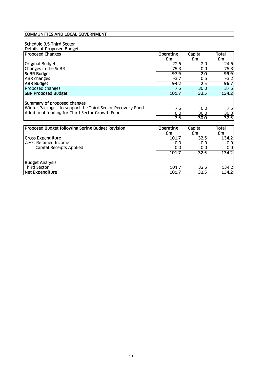#### Schedule 3.5 Third Sector

| Details of Proposed Budget                                 |                  |                |           |
|------------------------------------------------------------|------------------|----------------|-----------|
| <b>Proposed Changes</b>                                    | <b>Operating</b> | Capital        | Total     |
|                                                            | £m               | <b>£m</b>      | £m        |
| <b>Original Budget</b>                                     | 22.6             | 2.0            | 24.6      |
| Changes in the SuBR                                        | 75.3             | 0.0            | 75.3      |
| <b>SUBR Budget</b>                                         | 97.9             | 2.0            | 99.9      |
| ABR changes                                                | $-3.7$           | 0.5            | $-3.2$    |
| <b>ABR Budget</b>                                          | 94.2             | 2.5            | 96.7      |
| Proposed changes                                           | 7.5              | 30.0           | 37.5      |
| <b>SBR Proposed Budget</b>                                 | 101.7            | 32.5           | 134.2     |
|                                                            |                  |                |           |
| Summary of proposed changes                                |                  |                |           |
| Winter Package - to support the Third Sector Recovery Fund | 7.5              | 0.0            | 7.5       |
| Additional funding for Third Sector Growth Fund            | 0.0              | 30.0           | 30.0      |
|                                                            | 7.5              | 30.0           | 37.5      |
|                                                            |                  |                |           |
| Proposed Budget following Spring Budget Revision           | <b>Operating</b> | <b>Capital</b> | Total     |
|                                                            | £m               | £m             | <b>£m</b> |
| <b>Gross Expenditure</b>                                   | 101.7            | 32.5           | 134.2     |
| Less: Retained Income                                      | 0.0              | 0.0            | 0.0       |
| Capital Receipts Applied                                   | 0.0              | 0.0            | 0.0       |
|                                                            | 101.7            | 32.5           | 134.2     |
|                                                            |                  |                |           |
| <b>Budget Analysis</b>                                     |                  |                |           |
| <b>Third Sector</b>                                        | 101.7            | 32.5           | 134.2     |
| <b>Net Expenditure</b>                                     | 101.7            | 32.5           | 134.2     |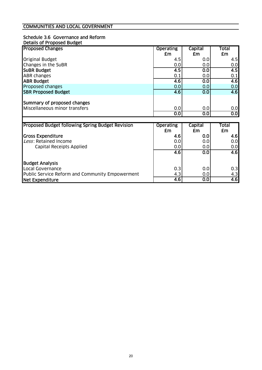#### Schedule 3.6 Governance and Reform Details of Proposed Budget

| <b>Proposed Changes</b>       | <b>Operating</b>     | <b>Capital</b>       | Total |
|-------------------------------|----------------------|----------------------|-------|
|                               | £m                   | £m                   | £m    |
| <b>Original Budget</b>        | 4.5                  | 0.0                  | 4.5   |
| Changes in the SuBR           | 0.0                  | 0.0                  | 0.0   |
| <b>SUBR Budget</b>            | 4.5                  | 0.0                  | 4.5   |
| <b>ABR changes</b>            | 0.1                  | 0.0                  | 0.1   |
| <b>ABR Budget</b>             | 4.6                  | 0.0                  | 4.6   |
| Proposed changes              | 0.0                  | 0.0                  | 0.0   |
| <b>SBR Proposed Budget</b>    | 4.6                  | 0.0                  | 4.6   |
| Summary of proposed changes   |                      |                      |       |
| Miscellaneous minor transfers | 0.0                  | 0.0                  | 0.0   |
|                               | $\overline{\text{}}$ | $\overline{\text{}}$ | 0.0   |

| <b>Proposed Budget following Spring Budget Revision</b> | <b>Operating</b><br>£m | Capital<br>£m | Total<br>£m |
|---------------------------------------------------------|------------------------|---------------|-------------|
| <b>Gross Expenditure</b>                                | 4.6                    | 0.0           | 4.6         |
| Less: Retained Income                                   | 0.0                    | 0.0           | 0.0         |
| Capital Receipts Applied                                | 0.0                    | 0.0           | 0.0         |
|                                                         | 4.6                    | 0.0           | 4.6         |
|                                                         |                        |               |             |
| <b>Budget Analysis</b>                                  |                        |               |             |
| Local Governance                                        | 0.3                    | 0.0           | 0.3         |
| Public Service Reform and Community Empowerment         | 4.3                    | 0.0           | 4.3         |
| <b>Net Expenditure</b>                                  | 4.6                    | 0.0           | 4.6         |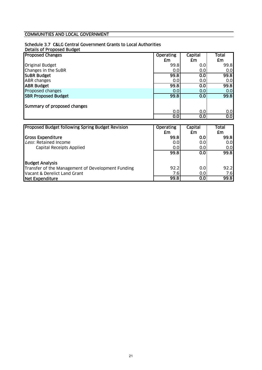#### Schedule 3.7 C&LG Central Government Grants to Local Authorities

Details of Proposed Budget

| <b>Proposed Changes</b>                           | <b>Operating</b> | Capital | Total |
|---------------------------------------------------|------------------|---------|-------|
|                                                   | £m               | £m      | £m    |
| <b>Original Budget</b>                            | 99.8             | 0.0     | 99.8  |
| Changes in the SuBR                               | 0.0              | 0.0     | 0.0   |
| <b>SUBR Budget</b>                                | 99.8             | 0.0     | 99.8  |
| <b>ABR</b> changes                                | 0.0              | 0.0     | 0.0   |
| <b>ABR Budget</b>                                 | 99.8             | 0.0     | 99.8  |
| Proposed changes                                  | 0.0              | 0.0     | 0.0   |
| <b>SBR Proposed Budget</b>                        | 99.8             | 0.0     | 99.8  |
| Summary of proposed changes                       |                  |         |       |
|                                                   | 0.0              | 0.0     | 0.0   |
|                                                   | 0.0              | 0.0     | 0.0   |
|                                                   |                  |         |       |
| Proposed Budget following Spring Budget Revision  | <b>Operating</b> | Capital | Total |
|                                                   | £m               | £m      | £m    |
| <b>Gross Expenditure</b>                          | 99.8             | 0.0     | 99.8  |
| Less: Retained Income                             | 0.0              | 0.0     | 0.0   |
| Capital Receipts Applied                          | 0.0              | 0.0     | 0.0   |
|                                                   | 99.8             | 0.0     | 99.8  |
| <b>Budget Analysis</b>                            |                  |         |       |
| Transfer of the Management of Development Funding | 92.2             | 0.0     | 92.2  |
| Vacant & Derelict Land Grant                      | 7.6              | 0.0     | 7.6   |
| Net Expenditure                                   | 99.8             | 0.0     | 99.8  |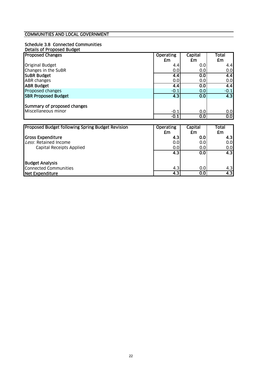# Schedule 3.8 Connected Communities

| Details of Proposed Budget                       |                  |         |                  |
|--------------------------------------------------|------------------|---------|------------------|
| <b>Proposed Changes</b>                          | <b>Operating</b> | Capital | Total            |
|                                                  | £m               | £m      | £m               |
| <b>Original Budget</b>                           | 4.4              | 0.0     | 4.4              |
| Changes in the SuBR                              | 0.0              | 0.0     | 0.0              |
| <b>SUBR Budget</b>                               | 4.4              | 0.0     | $\overline{4.4}$ |
| <b>ABR changes</b>                               | 0.0              | 0.0     | 0.0              |
| <b>ABR Budget</b>                                | 4.4              | 0.0     | $\overline{4.4}$ |
| Proposed changes                                 | $-0.1$           | 0.0     | $-0.1$           |
| <b>SBR Proposed Budget</b>                       | 4.3              | 0.0     | $\overline{4.3}$ |
|                                                  |                  |         |                  |
| Summary of proposed changes                      |                  |         |                  |
| Miscellaneous minor                              | $-0.1$           | 0.0     | 0.0              |
|                                                  | $-0.1$           | 0.0     | 0.0              |
|                                                  |                  |         |                  |
| Proposed Budget following Spring Budget Revision | <b>Operating</b> | Capital | Total            |
|                                                  | £m               | £m      | £m               |
| <b>Gross Expenditure</b>                         | 4.3              | 0.0     | 4.3              |
| Less: Retained Income                            | 0.0              | 0.0     | 0.0              |
| Capital Receipts Applied                         | 0.0              | 0.0     | 0.0              |
|                                                  | 4.3              | 0.0     | 4.3              |
|                                                  |                  |         |                  |
| <b>Budget Analysis</b>                           |                  |         |                  |
| <b>Connected Communities</b>                     | 4.3              | 0.0     | 4.3              |
| <b>Net Expenditure</b>                           | 4.3              | 0.0     | 4.3              |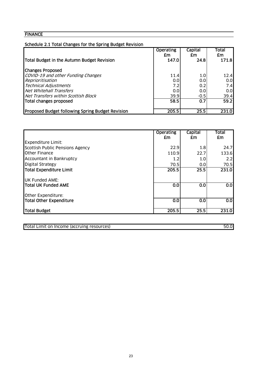| Schedule 2.1 Total Changes for the Spring Budget Revision |                        |                  |             |
|-----------------------------------------------------------|------------------------|------------------|-------------|
|                                                           | <b>Operating</b><br>£m | Capital<br>£m    | Total<br>£m |
| Total Budget in the Autumn Budget Revision                | 147.0                  | 24.8             | 171.8       |
| <b>Changes Proposed</b>                                   |                        |                  |             |
| COVID-19 and other Funding Changes                        | 11.4                   | 1.0 <sub>l</sub> | 12.4        |
| Reprioritisation                                          | 0.0                    | 0.0              | 0.0         |
| <b>Technical Adjustments</b>                              | 7.2                    | 0.2              | 7.4         |
| Net Whitehall Transfers                                   | 0.0                    | 0.0              | 0.0         |
| Net Transfers within Scottish Block                       | 39.9                   | $-0.5$           | 39.4        |
| Total changes proposed                                    | 58.5                   | 0.7              | 59.2        |
| <b>Proposed Budget following Spring Budget Revision</b>   | 205.5                  | 25.5             | 231.0       |

|                                 | <b>Operating</b><br>£m | Capital<br>£m | <b>Total</b><br>£m |
|---------------------------------|------------------------|---------------|--------------------|
| <b>Expenditure Limit:</b>       |                        |               |                    |
| Scottish Public Pensions Agency | 22.9                   | 1.8           | 24.7               |
| <b>I</b> Other Finance          | 110.9                  | 22.7          | 133.6              |
| Accountant in Bankruptcy        | 1.2                    | 1.0           | 2.2                |
| <b>Digital Strategy</b>         | 70.5                   | 0.0           | 70.5               |
| Total Expenditure Limit         | 205.5                  | 25.5          | 231.0              |
| <b>UK Funded AME:</b>           |                        |               |                    |
| Total UK Funded AME             | 0.0                    | 0.0           | $\overline{0.0}$   |
| Other Expenditure:              |                        |               |                    |
| Total Other Expenditure         | 0.0                    | 0.0           | 0.0                |
| Total Budget                    | 205.5                  | 25.5          | 231.0              |

Total Limit on Income (accruing resources) 50.0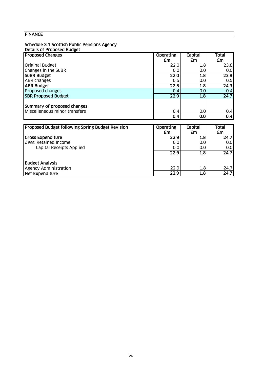#### Schedule 3.1 Scottish Public Pensions Agency

#### Details of Proposed Budget

| <b>Proposed Changes</b>                          | <b>Operating</b>  | Capital          | Total |
|--------------------------------------------------|-------------------|------------------|-------|
|                                                  | £m                | £m               | £m    |
| <b>Original Budget</b>                           | 22.0              | 1.8              | 23.8  |
| Changes in the SuBR                              | 0.0               | 0.0              | 0.0   |
| <b>SUBR Budget</b>                               | 22.0              | $\overline{1.8}$ | 23.8  |
| <b>ABR changes</b>                               | 0.5               | 0.0              | 0.5   |
| <b>ABR Budget</b>                                | 22.5              | 1.8              | 24.3  |
| Proposed changes                                 | 0.4               | 0.0              | 0.4   |
| <b>SBR Proposed Budget</b>                       | $\overline{22.9}$ | $\overline{1.8}$ | 24.7  |
|                                                  |                   |                  |       |
| Summary of proposed changes                      |                   |                  |       |
| Miscelleneous minor transfers                    | 0.4               | 0.0              | 0.4   |
|                                                  | 0.4               | 0.0              | 0.4   |
|                                                  |                   |                  |       |
| Proposed Budget following Spring Budget Revision | <b>Operating</b>  | Capital          | Total |
|                                                  | £m                | £m               | £m    |
| <b>Gross Expenditure</b>                         | 22.9              | 1.8              | 24.7  |
| Less: Retained Income                            | 0.0               | 0.0              | 0.0   |
| Capital Receipts Applied                         | 0.0               | 0.0              | 0.0   |
|                                                  | 22.9              | $\overline{1.8}$ | 24.7  |
|                                                  |                   |                  |       |
| <b>Budget Analysis</b>                           |                   |                  |       |
| <b>Agency Administration</b>                     | 22.9              | 1.8              | 24.7  |

Net Expenditure 22.9 1.8 24.7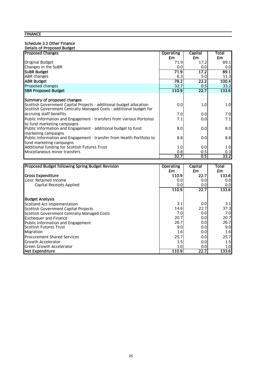#### Schedule 3.2 Other Finance

| Details of Proposed Budget                                                                                                                 |                  |         |       |
|--------------------------------------------------------------------------------------------------------------------------------------------|------------------|---------|-------|
| <b>Proposed Changes</b>                                                                                                                    | <b>Operating</b> | Capital | Total |
|                                                                                                                                            | £m               | £m      | £m    |
| <b>Original Budget</b>                                                                                                                     | 71.9             | 17.2    | 89.1  |
| Changes in the SuBR                                                                                                                        | 0.0              | 0.0     | 0.0   |
| <b>SUBR Budget</b>                                                                                                                         | 71.9             | 17.2    | 89.1  |
| <b>ABR</b> changes                                                                                                                         | 6.3              | 5.0     | 11.3  |
| <b>IABR Budget</b>                                                                                                                         | 78.2             | 22.2    | 100.4 |
| Proposed changes                                                                                                                           | 32.7             | 0.5     | 33.2  |
| <b>SBR Proposed Budget</b>                                                                                                                 | 110.9            | 22.7    | 133.6 |
|                                                                                                                                            |                  |         |       |
| Summary of proposed changes                                                                                                                |                  |         |       |
| Scottish Government Capital Projects - additional budget allocation<br>Scottish Government Centrally Managed Costs - additional budget for | 0.0              | 1.0     | 1.0   |
| accruing staff benefits                                                                                                                    | 7.0              | 0.0     | 7.0   |
| <b>Public Information and Engagement - transfers from various Portolios</b><br>to fund marketing campaigns                                 | 7.1              | 0.0     | 7.1   |
| Public Information and Engagement - additional budget to fund<br>marketing campaigns                                                       | 8.0              | 0.0     | 8.0   |
| Public Information and Engagement - transfer from Health Portfolio to<br>fund marketing campaigns                                          | 8.8              | 0.0     | 8.8   |
| Additional funding for Scottish Futures Trust                                                                                              | 1.0              | 0.0     | 1.0   |
| Miscellaneous minor transfers                                                                                                              | 0.8              | $-0.5$  | 0.3   |
|                                                                                                                                            | 32.7             | 0.5     | 33.2  |

| <b>Proposed Budget following Spring Budget Revision</b> | <b>Operating</b> | <b>Capital</b> | <b>Total</b>     |
|---------------------------------------------------------|------------------|----------------|------------------|
|                                                         | £m               | £m             | £m               |
| Gross Expenditure                                       | 110.9            | 22.7           | 133.6            |
| Less: Retained Income                                   | 0.0              | 0.0            | 0.01             |
| Capital Receipts Applied                                | 0.0              | 0.0            | 0.01             |
|                                                         | 110.9            | 22.7           | 133.6            |
| <b>Budget Analysis</b>                                  |                  |                |                  |
| Scotland Act Implementation                             | 3.1              | 0.0            | 3.1              |
| Scottish Government Capital Projects                    | 14.6             | 22.7           | 37.3             |
| Scottish Government Centrally Managed Costs             | 7.0              | 0.0            | 7.0 <sub>l</sub> |
| <b>Exchequer and Finance</b>                            | 20.7             | 0.0            | 20.7             |
| Public Information and Engagement                       | 26.7             | 0.0            | 26.7             |
| Scottish Futures Trust                                  | 9.0              | 0.0            | 9.0 <sub>l</sub> |
| Migration                                               | 1.6              | 0.0            | 1.6              |
| <b>Procurement Shared Services</b>                      | 25.7             | 0.0            | 25.7             |
| <b>Growth Accelerator</b>                               | 1.5              | 0.0            | 1.5              |
| Green Growth Accelerator                                | 1.0              | 0.0            | 1.0 <sub>l</sub> |
| Net Expenditure                                         | 110.9            | 22.7           | 133.6            |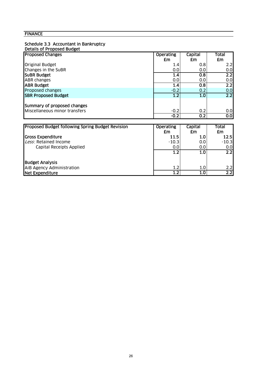#### Schedule 3.3 Accountant in Bankruptcy

| <b>Proposed Changes</b>                          | <b>Operating</b>       | Capital          | Total                 |
|--------------------------------------------------|------------------------|------------------|-----------------------|
|                                                  | £m                     | £m               | £m                    |
| <b>Original Budget</b>                           | 1.4                    | 0.8              | 2.2                   |
| Changes in the SuBR                              | 0.0                    | 0.0              | 0.0                   |
| <b>SUBR Budget</b>                               | 1.4                    | 0.8              | 2.2                   |
| <b>ABR</b> changes                               | 0.0                    | 0.0              | 0.0                   |
| <b>ABR Budget</b>                                | 1.4                    | 0.8              | 2.2                   |
| Proposed changes                                 | $-0.2$                 | 0.2              | 0.0                   |
| <b>SBR Proposed Budget</b>                       | 1.2                    | 1.0              | $\overline{2.2}$      |
|                                                  |                        |                  |                       |
| Summary of proposed changes                      |                        |                  |                       |
| Miscellaneous minor transfers                    | $-0.2$                 | 0.2              | 0.0                   |
|                                                  | $-0.2$                 | $\overline{0.2}$ | $\overline{\text{O}}$ |
|                                                  |                        |                  |                       |
| Proposed Budget following Spring Budget Revision | <b>Operating</b><br>£m | Capital<br>£m    | Total<br>£m           |

|                                 | £m      | £m               | £m      |
|---------------------------------|---------|------------------|---------|
| <b>Gross Expenditure</b>        | 11.5    | 1.OI             | 12.5    |
| Less: Retained Income           | $-10.3$ | 0.0              | $-10.3$ |
| <b>Capital Receipts Applied</b> | 0.0     | 0.01             | 0.0     |
|                                 | 1.2     | 1.0 <sub>l</sub> | 2.2     |
| <b>Budget Analysis</b>          |         |                  |         |
| AiB Agency Administration       | 1.2     | 1.0 <sub>l</sub> | 2.2     |
| Net Expenditure                 | 1.2     | 1.0              | 2.2     |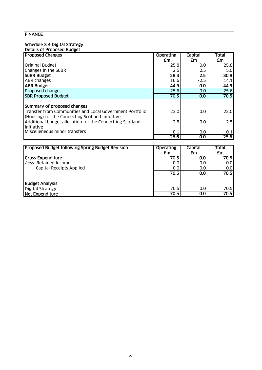# Schedule 3.4 Digital Strategy

| <b>Details of Proposed Budget</b>                                                                            |                  |                  |                  |
|--------------------------------------------------------------------------------------------------------------|------------------|------------------|------------------|
| <b>Proposed Changes</b>                                                                                      | <b>Operating</b> | Capital          | Total            |
|                                                                                                              | £m               | £m               | £m               |
| <b>Original Budget</b>                                                                                       | 25.8             | 0.0              | 25.8             |
| Changes in the SuBR                                                                                          | 2.5              | 2.5              | 5.0 <sub>l</sub> |
| SuBR Budget                                                                                                  | 28.3             | $\overline{2.5}$ | 30.8             |
| <b>ABR</b> changes                                                                                           | 16.6             | $-2.5$           | 14.1             |
| <b>ABR Budget</b>                                                                                            | 44.9             | 0.0              | 44.9             |
| Proposed changes                                                                                             | 25.6             | 0.0              | 25.6             |
| <b>SBR Proposed Budget</b>                                                                                   | 70.5             | 0.0              | 70.5             |
| Summary of proposed changes                                                                                  |                  |                  |                  |
| Transfer from Communities and Local Government Portfolio<br>(Housing) for the Connecting Scotland initiative | 23.0             | 0.0              | 23.0             |
| Additional budget allocation for the Connectiing Scotland<br>initiative                                      | 2.5              | 0.0              | 2.5              |
| Miscelleneous minor transfers                                                                                | 0.1              | 0.0              | 0.1              |
|                                                                                                              | 25.6             | 0.0              | 25.6             |

| <b>Proposed Budget following Spring Budget Revision</b> | <b>Operating</b><br>£m | Capital<br>£m | Total<br>£m      |
|---------------------------------------------------------|------------------------|---------------|------------------|
| <b>Gross Expenditure</b>                                | 70.5                   | 0.01          | 70.5I            |
| Less: Retained Income                                   | 0.0                    | 0.0           | 0.0              |
| Capital Receipts Applied                                | 0.0                    | 0.01          | 0.0 <sub>l</sub> |
|                                                         | 70.5                   | 0.0           | 70.5l            |
| <b>Budget Analysis</b>                                  |                        |               |                  |
| <b>Digital Strategy</b>                                 | 70.5                   | 0.0           | 70.5             |
| Net Expenditure                                         | 70.5                   | 0.0           | 70.51            |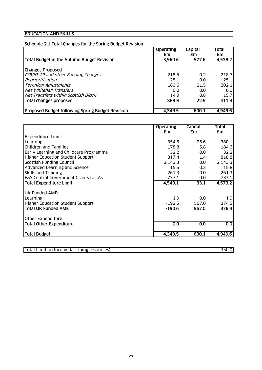#### EDUCATION AND SKILLS

## Schedule 2.1 Total Changes for the Spring Budget Revision

| Total Budget in the Autumn Budget Revision              | <b>Operating</b><br>£m<br>3,960.6 | <b>Capital</b><br>£m<br>577.6 | <b>Total</b><br>£m<br>4,538.2 |
|---------------------------------------------------------|-----------------------------------|-------------------------------|-------------------------------|
| <b>Changes Proposed</b>                                 |                                   |                               |                               |
| COVID-19 and other Funding Changes                      | 218.5                             | 0.2                           | 218.7                         |
| Reprioritisation                                        | $-25.1$                           | 0.0                           | $-25.1$                       |
| <b>Technical Adjustments</b>                            | 180.6                             | 21.5                          | 202.1                         |
| Net Whitehall Transfers                                 | 0.0                               | 0.0                           | 0.0                           |
| Net Transfers within Scottish Block                     | 14.9                              | 0.8                           | 15.7                          |
| Total changes proposed                                  | 388.9                             | 22.5                          | 411.4                         |
| <b>Proposed Budget following Spring Budget Revision</b> | 4,349.5                           | 600.1                         | 4.949.6                       |

|                                                 | <b>Operating</b> | Capital | Total   |
|-------------------------------------------------|------------------|---------|---------|
| <b>Expenditure Limit:</b>                       | £m               | £m      | £m      |
| Learning                                        | 354.5            | 25.6    | 380.1   |
| Children and Families                           | 178.8            | 5.8     | 184.6   |
| Early Learning and Childcare Programme          | 32.2             | 0.0     | 32.2    |
| <b>Higher Education Student Support</b>         | 817.4            | 1.4     | 818.8   |
| <b>Scottish Funding Council</b>                 | 2,143.3          | 0.0     | 2,143.3 |
| Advanced Learning and Science                   | 15.5             | 0.3     | 15.8    |
| <b>Skills and Training</b>                      | 261.3            | 0.0     | 261.3   |
| <b>E&amp;S Central Government Grants to LAs</b> | 737.1            | 0.0     | 737.1   |
| <b>Total Expenditure Limit</b>                  | 4,540.1          | 33.1    | 4,573.2 |
| <b>UK Funded AME:</b>                           |                  |         |         |
| Learning                                        | 1.9              | 0.0     | 1.9     |
| <b>Higher Education Student Support</b>         | $-192.5$         | 567.0   | 374.5   |
| <b>Total UK Funded AME</b>                      | $-190.6$         | 567.0   | 376.4   |
| Other Expenditure:                              |                  |         |         |
| <b>Total Other Expenditure</b>                  | 0.0              | 0.0     | 0.0     |
| Total Budget                                    | 4,349.5          | 600.1   | 4,949.6 |

| Total Limit on Income (accruing resources) | 350.C |  |
|--------------------------------------------|-------|--|
|                                            |       |  |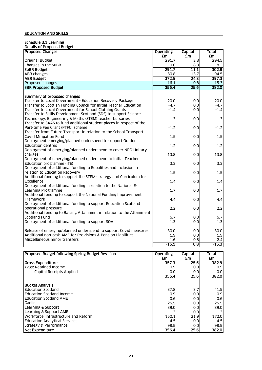#### Schedule 3.1 Learning

| <b>Details of Proposed Budget</b> |
|-----------------------------------|
|-----------------------------------|

| <b>Proposed Changes</b>                                                | <b>Operating</b> | Capital | Total     |
|------------------------------------------------------------------------|------------------|---------|-----------|
|                                                                        | £m               | £m      | <b>£m</b> |
| <b>Original Budget</b>                                                 | 291.7            | 2.8     | 294.5     |
| Changes in the SuBR                                                    | 0.0              | 8.3     | 8.3       |
| <b>SUBR Budget</b>                                                     | 291.7            | 11.1    | 302.8     |
| ABR changes                                                            | 80.8             | 13.7    | 94.5      |
| <b>ABR Budget</b>                                                      | 372.5            | 24.8    | 397.3     |
| Proposed changes                                                       | $-16.1$          | 0.8     | $-15.3$   |
| <b>SBR Proposed Budget</b>                                             | 356.4            | 25.6    | 382.0     |
|                                                                        |                  |         |           |
| Summary of proposed changes                                            |                  |         |           |
| Transfer to Local Government - Education Recovery Package              | $-20.0$          | 0.0     | $-20.0$   |
| Transfer to Scottish Funding Council for Initial Teacher Education     | $-4.7$           | 0.0     | $-4.7$    |
| Transfer to Local Government for School Clothing Grants                | $-1.4$           | 0.0     | $-1.4$    |
| Transfer to Skills Development Scotland (SDS) to support Science,      |                  |         |           |
| Technology, Engineering & Maths (STEM) teacher bursaries               | $-1.3$           | 0.0     | $-1.3$    |
| Transfer to SAAS to fund additional student places in respect of the   |                  |         |           |
| Part-time Fee Grant (PTFG) scheme                                      | $-1.2$           | 0.0     | $-1.2$    |
| Transfer from Future Transport in relation to the School Transport     |                  |         |           |
| Covid Mitigation Fund                                                  | 1.5              | 0.0     | 1.5       |
| Deployment emerging/planned underspend to support Outdoor              |                  |         |           |
| <b>Education Centres</b>                                               | 1.2              | 0.0     | 1.2       |
| Deployment of emerging/planned underspend to cover NPD Unitary         |                  |         |           |
| charges                                                                | 13.8             | 0.0     | 13.8      |
| Deployment of emerging/planned underspend to Initial Teacher           |                  |         |           |
| Education programme (ITE)                                              | 3.3              | 0.0     | 3.3       |
| Deployment of additional funding to Equalities and Inclusion in        |                  |         |           |
| relation to Education Recovery                                         | 1.5              | 0.0     | 1.5       |
| Additional funding to support the STEM strategy and Curriculum for     |                  |         |           |
| Excellence                                                             | 1.4              | 0.0     | 1.4       |
| Deployment of additional funding in relation to the National E-        |                  |         |           |
| Learning Programme                                                     | 1.7              | 0.0     | 1.7       |
| Additional funding to support the National Funding Improvement         |                  |         |           |
| Framework                                                              | 4.4              | 0.0     | 4.4       |
| Deployment of additional funding to support Education Scotland         |                  |         |           |
| operational pressure                                                   | 2.2              | 0.0     | 2.2       |
| Additional funding to Raising Attainment in relation to the Attainment |                  |         |           |
| Scotland Fund                                                          | 6.7              | 0.0     | 6.7       |
| Deployment of additional funding to support SQA                        | 1.3              | 0.0     | 1.3       |
|                                                                        |                  |         |           |
| Release of emerging/planned underspend to support Covid measures       | $-30.0$          | 0.0     | $-30.0$   |
| Additional non-cash AME for Provisions & Pension Liabilities           | 1.9              | 0.0     | 1.9       |
| Miscellaneous minor transfers                                          | 1.6              | 0.8     | 2.4       |
|                                                                        | $-16.1$          | 0.8     | $-15.3$   |

| <b>Proposed Budget following Spring Budget Revision</b> | <b>Operating</b> | Capital | Total            |
|---------------------------------------------------------|------------------|---------|------------------|
|                                                         | £m               | £m      | £m               |
| Gross Expenditure                                       | 357.3            | 25.6    | 382.9            |
| Less: Retained Income                                   | $-0.9$           | 0.0     | $-0.9$           |
| Capital Receipts Applied                                | 0.0              | 0.0     | 0.0              |
|                                                         | 356.4            | 25.6    | 382.0            |
| <b>Budget Analysis</b>                                  |                  |         |                  |
| <b>Education Scotland</b>                               | 37.8             | 3.7     | 41.5             |
| <b>Education Scotland Income</b>                        | $-0.9$           | 0.0     | $-0.9$           |
| <b>Education Scotland AME</b>                           | 0.6              | 0.0     | 0.6              |
| Gaelic                                                  | 25.5             | 0.0     | 25.5             |
| Learning & Support                                      | 39.0             | 0.0     | 39.0             |
| Learning & Support AME                                  | 1.3              | 0.0     | 1.3 <sub>l</sub> |
| Workforce. Infrastructure and Reform                    | 150.1            | 21.9    | 172.0            |
| <b>Education Analytical Services</b>                    | 4.5              | 0.0     | 4.5              |
| Strategy & Performance                                  | 98.5             | 0.0     | 98.5             |
| Net Expenditure                                         | 356.4            | 25.6    | 382.0            |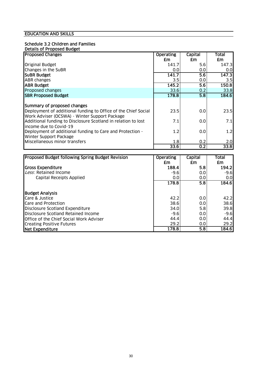#### EDUCATION AND SKILLS

# Schedule 3.2 Children and Families

| Details of Proposed Budget                                     |                  |                  |       |
|----------------------------------------------------------------|------------------|------------------|-------|
| <b>Proposed Changes</b>                                        | <b>Operating</b> | Capital          | Total |
|                                                                | £m               | £m               | £m    |
| <b>Original Budget</b>                                         | 141.7            | 5.6              | 147.3 |
| Changes in the SuBR                                            | 0.0              | 0.0              | 0.0   |
| <b>SUBR Budget</b>                                             | 141.7            | 5.6              | 147.3 |
| <b>ABR</b> changes                                             | $3.5\,$          | 0.0              | 3.5   |
| <b>ABR Budget</b>                                              | 145.2            | 5.6              | 150.8 |
| Proposed changes                                               | 33.6             | 0.2              | 33.8  |
| <b>SBR Proposed Budget</b>                                     | 178.8            | 5.8              | 184.6 |
|                                                                |                  |                  |       |
| Summary of proposed changes                                    |                  |                  |       |
| Deployment of additional funding to Office of the Chief Social | 23.5             | 0.0              | 23.5  |
| Work Adviser (OCSWA) - Winter Support Package                  |                  |                  |       |
| Additional funding to Disclosure Scotland in relation to lost  | 7.1              | 0.0              | 7.1   |
| lincome due to Covid-19                                        |                  |                  |       |
| Deployment of additional funding to Care and Protection -      | 1.2              | 0.0              | 1.2   |
| <b>Winter Support Package</b>                                  |                  |                  |       |
| Miscellaneous minor transfers                                  | 1.8              | 0.2              | 2.0   |
|                                                                | 33.6             | $\overline{0.2}$ | 33.8  |

| Proposed Budget following Spring Budget Revision | <b>Operating</b> | Capital          | Total  |
|--------------------------------------------------|------------------|------------------|--------|
|                                                  | £m               | <b>£m</b>        | £m     |
| Gross Expenditure                                | 188.4            | 5.8              | 194.2  |
| Less: Retained Income                            | $-9.6$           | 0.0              | $-9.6$ |
| Capital Receipts Applied                         | 0.0              | 0.0              | 0.0    |
|                                                  | 178.8            | $\overline{5.8}$ | 184.6  |
|                                                  |                  |                  |        |
| <b>Budget Analysis</b>                           |                  |                  |        |
| Care & Justice                                   | 42.2             | 0.0              | 42.2   |
| Care and Protection                              | 38.6             | 0.0              | 38.6   |
| Disclosure Scotland Expenditure                  | 34.0             | 5.8              | 39.8   |
| Disclosure Scotland Retained Income              | $-9.6$           | 0.0              | $-9.6$ |
| <b>Office of the Chief Social Work Adviser</b>   | 44.4             | 0.0              | 44.4   |
| <b>Creating Positive Futures</b>                 | 29.2             | 0.0              | 29.2   |
| Net Expenditure                                  | 178.8            | 5.8              | 184.6  |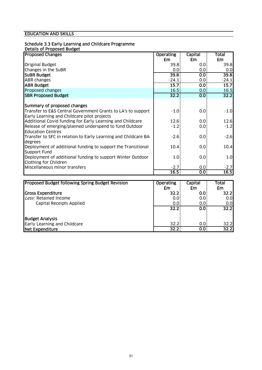# Schedule 3.3 Early Learning and Childcare Programme

### Details of Proposed Budget

| <b>Proposed Changes</b>                                                                                     | <b>Operating</b> | Capital    | <b>Total</b> |
|-------------------------------------------------------------------------------------------------------------|------------------|------------|--------------|
|                                                                                                             | £m               | £m         | £m           |
| <b>Original Budget</b>                                                                                      | 39.8             | 0.0        | 39.8         |
| Changes in the SuBR                                                                                         | 0.0              | 0.0        | 0.0          |
| <b>SUBR Budget</b>                                                                                          | 39.8             | 0.0        | 39.8         |
| <b>ABR</b> changes                                                                                          | $-24.1$          | 0.0        | $-24.1$      |
| <b>ABR Budget</b>                                                                                           | 15.7             | 0.0        | 15.7         |
| Proposed changes                                                                                            | 16.5             | 0.0        | 16.5         |
| <b>SBR Proposed Budget</b>                                                                                  | 32.2             | 0.0        | 32.2         |
| Summary of proposed changes                                                                                 |                  |            |              |
| Transfer to E&S Central Government Grants to LA's to support<br>Early Learning and Childcare pilot projects | $-1.0$           | 0.0        | $-1.0$       |
| Additional Covid funding for Early Learning and Childcare                                                   | 12.6             | 0.0        | 12.6         |
| Release of emerging/planned underspend to fund Outdoor<br><b>Education Centres</b>                          | $-1.2$           | 0.0        | $-1.2$       |
| Transfer to SFC in relation to Early Learning and Childcare BA<br>degrees                                   | $-2.6$           | 0.0        | $-2.6$       |
| Deployment of additional funding to support the Transitional<br>Support Fund                                | 10.4             | 0.0        | 10.4         |
| Deployment of additional funding to support Winter Outdoor<br>Clothing for Children                         | 1.0              | 0.0        | 1.0          |
| Miscellaneous minor transfers                                                                               | $-2.7$           | 0.0        | $-2.7$       |
|                                                                                                             | 16.5             | 0.0        | 16.5         |
|                                                                                                             |                  |            |              |
| <b>Bronosod Budget following Spring Budget Bovicion</b>                                                     | Operating        | $C$ anital | $T0$ tal     |

| <b>Proposed Budget following Spring Budget Revision</b> | <b>Operating</b> | Capital | Total             |
|---------------------------------------------------------|------------------|---------|-------------------|
|                                                         | £m               | £m      | £m                |
| <b>Gross Expenditure</b>                                | 32.2             | 0.0     | 32.2 <sub>1</sub> |
| Less: Retained Income                                   | 0.0              | 0.0     | 0.0 <sub>l</sub>  |
| <b>Capital Receipts Applied</b>                         | 0.0              | 0.0     | 0.0               |
|                                                         | 32.2             | 0.0     | 32.2              |
| <b>Budget Analysis</b>                                  |                  |         |                   |
| Early Learning and Childcare                            | 32.2             | 0.0     | 32.2              |
| Net Expenditure                                         | 32.2             | 0.0     | 32.2              |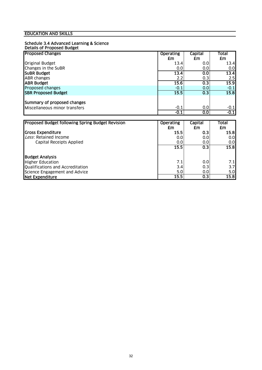#### Schedule 3.4 Advanced Learning & Science Details of Proposed Budget

| <b>Proposed Changes</b>       | <b>Operating</b> |        | <b>Capital</b>   | Total  |
|-------------------------------|------------------|--------|------------------|--------|
|                               |                  | £m     | £m               | £m     |
| <b>Original Budget</b>        |                  | 13.4   | 0.0              | 13.4   |
| Changes in the SuBR           |                  | 0.0    | 0.0              | 0.0    |
| <b>SUBR Budget</b>            |                  | 13.4   | 0.0              | 13.4   |
| <b>ABR</b> changes            |                  | 2.2    | 0.3              | 2.5    |
| <b>ABR Budget</b>             |                  | 15.6   | $\overline{0.3}$ | 15.9   |
| Proposed changes              |                  | $-0.1$ | 0.0 <sub>1</sub> | $-0.1$ |
| <b>SBR Proposed Budget</b>    |                  | 15.5   | 0.3              | 15.8   |
|                               |                  |        |                  |        |
| Summary of proposed changes   |                  |        |                  |        |
| Miscellaneous minor transfers |                  | $-0.1$ | 0.0              | $-0.1$ |
|                               |                  | $-0.1$ | $\overline{0.0}$ | $-0.1$ |

| <b>Proposed Budget following Spring Budget Revision</b> | <b>Operating</b><br>£m | Capital<br>£m | Total<br>£m |
|---------------------------------------------------------|------------------------|---------------|-------------|
| <b>Gross Expenditure</b>                                | 15.5                   | 0.3           | 15.8        |
| Less: Retained Income                                   | 0.0                    | 0.0           | 0.0         |
| Capital Receipts Applied                                | 0.0                    | 0.0           | 0.0         |
|                                                         | 15.5                   | 0.3           | 15.8        |
| <b>Budget Analysis</b>                                  |                        |               |             |
| <b>Higher Education</b>                                 | 7.1                    | 0.0           | 7.1         |
| Qualifications and Accreditation                        | 3.4                    | 0.3           | 3.7         |
| Science Engagement and Advice                           | 5.0                    | 0.0           | 5.0         |
| Net Expenditure                                         | 15.5                   | 0.3           | 15.8        |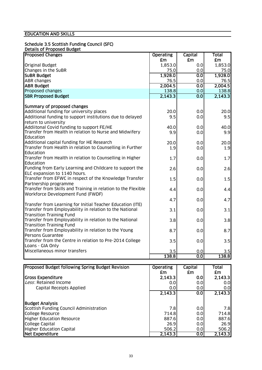### Schedule 3.5 Scottish Funding Council (SFC)

#### Details of Proposed Budget

| <b>Proposed Changes</b>                                                                 | <b>Operating</b> | Capital    | <b>Total</b> |
|-----------------------------------------------------------------------------------------|------------------|------------|--------------|
|                                                                                         | £m               | <b>£m</b>  | £m           |
| Original Budget                                                                         | 1,853.0          | 0.0        | 1,853.0      |
| Changes in the SuBR                                                                     | 75.0             | 0.0        | 75.0         |
| <b>SUBR Budget</b>                                                                      | 1,928.0          | 0.0        | 1,928.0      |
| <b>ABR</b> changes                                                                      | 76.5             | 0.0        | 76.5         |
| <b>ABR Budget</b>                                                                       | 2,004.5          | 0.0        | 2,004.5      |
| Proposed changes                                                                        | 138.8            | 0.0        | 138.8        |
| <b>SBR Proposed Budget</b>                                                              | 2,143.3          | 0.0        | 2,143.3      |
|                                                                                         |                  |            |              |
| Summary of proposed changes                                                             |                  |            |              |
| Additional funding for university places                                                | 20.0             | 0.0        | 20.0         |
| Additional funding to support institutions due to delayed                               | 9.5              | 0.0        | 9.5          |
| return to university                                                                    |                  |            |              |
| Addiitonal Covid funding to support FE/HE                                               | 40.0             | 0.0        | 40.0         |
| Transfer from Health in relation to Nurse and Midwifery                                 | 9.9              | 0.0        | 9.9          |
| Education                                                                               |                  |            |              |
| Additional capital funding for HE Research                                              | 20.0             | 0.0        | 20.0         |
| Transfer from Health in relation to Counselling in Further                              | 1.9              | 0.0        | 1.9          |
| Education                                                                               |                  |            |              |
| Transfer from Health in relation to Counselling in Higher                               | 1.7              | 0.0        | 1.7          |
| Education                                                                               |                  |            |              |
| Funding from Early Learning and Childcare to support the                                | 2.6              | 0.0        | 2.6          |
| ELC expansion to 1140 hours.                                                            |                  |            |              |
| Transfer from EFWC in respect of the Knowledge Transfer                                 | 1.5              | 0.0        | 1.5          |
| Partnership programme                                                                   |                  |            |              |
| Transfer from Skills and Training in relation to the Flexible                           | 4.4              | 0.0        | 4.4          |
| Workforce Development Fund (FWDF)                                                       |                  |            |              |
|                                                                                         | 4.7              | 0.0        | 4.7          |
| Transfer from Learning for Initial Teacher Education (ITE)                              |                  |            |              |
| Transfer from Employability in relation to the National                                 | 3.1              | 0.0        | 3.1          |
| <b>Transition Training Fund</b>                                                         |                  |            |              |
| Transfer from Employability in relation to the National                                 | 3.8              | 0.0        | 3.8          |
| <b>Transition Training Fund</b><br>Transfer from Employability in relation to the Young |                  |            |              |
| <b>Persons Guarantee</b>                                                                | 8.7              | 0.0        | 8.7          |
| Transfer from the Centre in relation to Pre-2014 College                                |                  |            |              |
| Loans - GIA Only                                                                        | 3.5              | 0.0        | 3.5          |
| Miscellaneous minor transfers                                                           |                  |            |              |
|                                                                                         | 3.5<br>138.8     | 0.0<br>0.0 | 3.5<br>138.8 |
|                                                                                         |                  |            |              |

| Proposed Budget following Spring Budget Revision | <b>Operating</b> | Capital          | Total   |
|--------------------------------------------------|------------------|------------------|---------|
|                                                  | £m               | £m               | £m      |
| <b>Gross Expenditure</b>                         | 2,143.3          | 0.01             | 2,143.3 |
| Less: Retained Income                            | 0.0              | 0.0              | 0.0     |
| Capital Receipts Applied                         | 0.0              | 0.0              | 0.0     |
|                                                  | 2,143.3          | 0.0 <sub>l</sub> | 2,143.3 |
| <b>Budget Analysis</b>                           |                  |                  |         |
| Scottish Funding Council Administration          | 7.8              | 0.0              | 7.8     |
| College Resource                                 | 714.8            | 0.0              | 714.8   |
| <b>Higher Education Resource</b>                 | 887.6            | 0.0              | 887.6   |
| <b>College Capital</b>                           | 26.9             | 0.0              | 26.9    |
| <b>Higher Education Capital</b>                  | 506.2            | 0.0              | 506.2   |
| Net Expenditure                                  | 2,143.3          | 0.01             | 2,143.3 |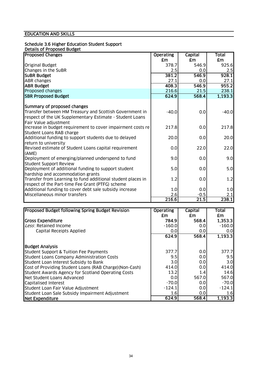# Schedule 3.6 Higher Education Student Support

| Details of Proposed Budget |  |  |  |  |
|----------------------------|--|--|--|--|
|                            |  |  |  |  |
|                            |  |  |  |  |

| <b>Proposed Changes</b>                                     | <b>Operating</b> | Capital | Total     |
|-------------------------------------------------------------|------------------|---------|-----------|
|                                                             | £m               | £m      | <b>£m</b> |
| <b>Original Budget</b>                                      | 378.7            | 546.9   | 925.6     |
| Changes in the SuBR                                         | 2.5              | 0.0     | 2.5       |
| <b>SUBR Budget</b>                                          | 381.2            | 546.9   | 928.1     |
| <b>ABR</b> changes                                          | 27.1             | 0.0     | 27.1      |
| <b>ABR Budget</b>                                           | 408.3            | 546.9   | 955.2     |
| Proposed changes                                            | 216.6            | 21.5    | 238.1     |
| <b>SBR Proposed Budget</b>                                  | 624.9            | 568.4   | 1,193.3   |
|                                                             |                  |         |           |
| Summary of proposed changes                                 |                  |         |           |
| Transfer between HM Treasury and Scottish Government in     | $-40.0$          | 0.0     | $-40.0$   |
| respect of the UK Supplementary Estimate - Student Loans    |                  |         |           |
| Fair Value adjustment                                       |                  |         |           |
| Increase in budget requirement to cover impairment costs re | 217.8            | 0.0     | 217.8     |
| Student Loans RAB charge                                    |                  |         |           |
| Additional funding to support students due to delayed       | 20.0             | 0.0     | 20.0      |
| return to university                                        |                  |         |           |
| Revised estimate of Student Loans capital requirement       | 0.0              | 22.0    | 22.0      |
| (AME)                                                       |                  |         |           |
| Deployment of emerging/planned underspend to fund           | 9.0              | 0.0     | 9.0       |
| <b>Student Support Review</b>                               |                  |         |           |
| Deployment of additional funding to support student         | 5.0              | 0.0     | 5.0       |
| hardship and accommodation grants                           |                  |         |           |
| Transfer from Learning to fund additional student places in | 1.2              | 0.0     | 1.2       |
| respect of the Part-time Fee Grant (PTFG) scheme            |                  |         |           |
| Additional funding to cover debt sale subsidy increase      | 1.0              | 0.0     | 1.0       |
| Miscellaneous minor transfers                               | 2.6              | $-0.5$  | 2.1       |
|                                                             | 216.6            | 21.5    | 238.1     |

| Proposed Budget following Spring Budget Revision        | <b>Operating</b> | Capital | Total    |
|---------------------------------------------------------|------------------|---------|----------|
|                                                         | £m               | £m.     | £m       |
| <b>Gross Expenditure</b>                                | 784.9            | 568.4   | 1,353.3  |
| Less: Retained Income                                   | $-160.0$         | 0.0     | $-160.0$ |
| Capital Receipts Applied                                | 0.0              | 0.0     | 0.0      |
|                                                         | 624.9            | 568.4   | 1,193.3  |
| <b>Budget Analysis</b>                                  |                  |         |          |
| Student Support & Tuition Fee Payments                  | 377.7            | 0.0     | 377.7    |
| Student Loans Company Administration Costs              | 9.5              | 0.0     | 9.5      |
| Student Loan Interest Subsidy to Bank                   | 3.0              | 0.0     | 3.0      |
| Cost of Providing Student Loans (RAB Charge) (Non-Cash) | 414.0            | 0.0     | 414.0    |
| Student Awards Agency for Scotland Operating Costs      | 13.2             | 1.4     | 14.6     |
| Net Student Loans Advanced                              | 0.0              | 567.0   | 567.0    |
| Capitalised Interest                                    | $-70.0$          | 0.0     | $-70.0$  |
| Student Loan Fair Value Adjustment                      | $-124.1$         | 0.0     | $-124.1$ |
| Student Loan Sale Subsidy Impairment Adjustment         | 1.6              | 0.0     | 1.6      |
| Net Expenditure                                         | 624.9            | 568.4   | 1,193.3  |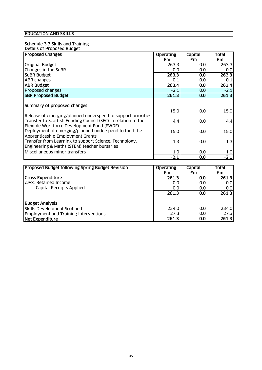#### Schedule 3.7 Skills and Training Details of Proposed Budget

| <b>Proposed Changes</b>                                       | <b>Operating</b> | <b>Capital</b>          | <b>Total</b> |
|---------------------------------------------------------------|------------------|-------------------------|--------------|
|                                                               | £m               | £m                      | £m           |
| <b>Original Budget</b>                                        | 263.3            | 0.0                     | 263.3        |
| Changes in the SuBR                                           | 0.0              | 0.0                     | 0.0          |
| <b>SUBR Budget</b>                                            | 263.3            | 0.0                     | 263.3        |
| <b>ABR</b> changes                                            | 0.1              | 0.0                     | 0.1          |
| <b>ABR Budget</b>                                             | 263.4            | $\overline{\textbf{O}}$ | 263.4        |
| Proposed changes                                              | $-2.1$           | 0.0                     | $-2.1$       |
| <b>SBR Proposed Budget</b>                                    | 261.3            | $\overline{\text{O}}$   | 261.3        |
|                                                               |                  |                         |              |
| Summary of proposed changes                                   |                  |                         |              |
| Release of emerging/planned underspend to support priorities  | $-15.0$          | 0.0                     | $-15.0$      |
| Transfer to Scottish Funding Council (SFC) in relation to the | $-4.4$           | 0.0                     | $-4.4$       |
| Flexible Workforce Development Fund (FWDF)                    |                  |                         |              |
| Deployment of emerging/planned underspend to fund the         | 15.0             | 0.0                     | 15.0         |
| Apprenticeship Employment Grants                              |                  |                         |              |
| Transfer from Learning to support Science, Technology,        | 1.3              | 0.0                     | 1.3          |
| Engineering & Maths (STEM) teacher bursaries                  |                  |                         |              |
| Miscellaneous minor transfers                                 | 1.0              | 0.0                     | 1.0          |
|                                                               | $-2.1$           | 0.0                     | $-2.1$       |
|                                                               |                  |                         |              |
| Proposed Budget following Spring Budget Revision              | <b>Operating</b> | Capital                 | Total        |
|                                                               | £m               | £m                      | £m           |
| <b>Gross Expenditure</b>                                      | 261.3            | 0.0                     | 261.3        |

| <b>Gross Expenditure</b>                     | 261.3 | 0.0 | 261.3            |
|----------------------------------------------|-------|-----|------------------|
| Less: Retained Income                        | 0.0   | 0.0 | 0.0 <sub>l</sub> |
| Capital Receipts Applied                     | 0.0   | 0.0 | 0.01             |
|                                              | 261.3 | 0.0 | 261.3            |
| <b>Budget Analysis</b>                       |       |     |                  |
| Skills Development Scotland                  | 234.0 | 0.0 | 234.0            |
| <b>Employment and Training Interventions</b> | 27.3  | 0.0 | 27.3             |
| Net Expenditure                              | 261.3 | 0.0 | 261.3            |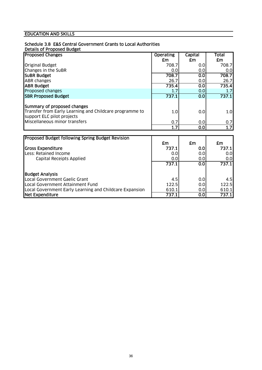# Schedule 3.8 E&S Central Government Grants to Local Authorities

#### Details of Proposed Budget

| <b>Proposed Changes</b>                                                               | <b>Operating</b> | Capital | Total |
|---------------------------------------------------------------------------------------|------------------|---------|-------|
|                                                                                       | £m               | £m      | £m    |
| <b>Original Budget</b>                                                                | 708.7            | 0.0     | 708.7 |
| Changes in the SuBR                                                                   | 0.0              | 0.0     | 0.0   |
| <b>SUBR Budget</b>                                                                    | 708.7            | 0.0     | 708.7 |
| <b>ABR</b> changes                                                                    | 26.7             | 0.0     | 26.7  |
| <b>ABR Budget</b>                                                                     | 735.4            | 0.0     | 735.4 |
| Proposed changes                                                                      |                  | 0.0     | 1.7   |
| <b>SBR Proposed Budget</b>                                                            | 737.1            | 0.0     | 737.1 |
| Summary of proposed changes                                                           |                  |         |       |
| Transfer from Early Learning and Childcare programme to<br>support ELC pilot projects | 1.0              | 0.0     | 1.0   |
| Miscellaneous minor transfers                                                         | 0.7              | 0.0     | 0.7   |
|                                                                                       | 1.7              | 0.0     | 1.7   |
|                                                                                       |                  |         |       |

| <b>Proposed Budget following Spring Budget Revision</b> |       |                  |       |
|---------------------------------------------------------|-------|------------------|-------|
|                                                         | £m    | £m               | £m    |
| <b>Gross Expenditure</b>                                | 737.1 | 0.01             | 737.1 |
| Less: Retained Income                                   | 0.0   | 0.0              | 0.0   |
| Capital Receipts Applied                                | 0.0   | 0.0              | 0.0   |
|                                                         | 737.1 | 0.0 <sub>1</sub> | 737.1 |
| <b>Budget Analysis</b>                                  |       |                  |       |
| Local Government Gaelic Grant                           | 4.5   | 0.0              | 4.5   |
| Local Government Attainment Fund                        | 122.5 | 0.0              | 122.5 |
| Local Government Early Learning and Childcare Expansion | 610.1 | 0.0              | 610.1 |
| Net Expenditure                                         | 737.1 | 0.0              | 737.1 |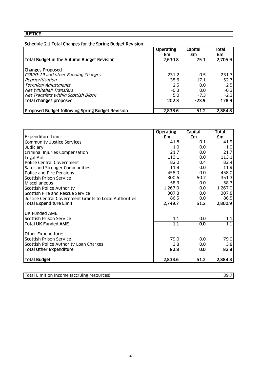# Schedule 2.1 Total Changes for the Spring Budget Revision

| Total Budget in the Autumn Budget Revision              | <b>Operating</b><br>£m<br>2,630.8 | Capital<br>£m<br>75.1 | Total<br>£m<br>2,705.9 |
|---------------------------------------------------------|-----------------------------------|-----------------------|------------------------|
| <b>Changes Proposed</b>                                 |                                   |                       |                        |
| COVID-19 and other Funding Changes                      | 231.2                             | 0.5                   | 231.7                  |
| Reprioritisation                                        | $-35.6$                           | $-17.1$               | $-52.7$                |
| <b>Technical Adjustments</b>                            | 2.5                               | 0.0                   | 2.5                    |
| <b>Net Whitehall Transfers</b>                          | $-0.3$                            | 0.0                   | $-0.3$                 |
| Net Transfers within Scottish Block                     | 5.0                               | $-7.3$                | $-2.3$                 |
| Total changes proposed                                  | 202.8                             | $-23.9$               | 178.9                  |
| <b>Proposed Budget following Spring Budget Revision</b> | 2,833.6                           | 51.2                  | 2,884.8                |

|                                                        | <b>Operating</b> | Capital | <b>Total</b>     |
|--------------------------------------------------------|------------------|---------|------------------|
| <b>Expenditure Limit:</b>                              | £m               | £m      | £m               |
| Community Justice Services                             | 41.8             | 0.1     | 41.9             |
| Judiciary                                              | 1.0              | 0.0     | 1.0              |
| Criminal Injuries Compensation                         | 21.7             | 0.0     | 21.7             |
| Legal Aid                                              | 113.1            | 0.0     | 113.1            |
| <b>Police Central Government</b>                       | 82.0             | 0.4     | 82.4             |
| Safer and Stronger Communities                         | 11.9             | 0.0     | 11.9             |
| Police and Fire Pensions                               | 458.0            | 0.0     | 458.0            |
| <b>Scottish Prison Service</b>                         | 300.6            | 50.7    | 351.3            |
| Miscellaneous                                          | 58.3             | 0.0     | 58.3             |
| Scottish Police Authority                              | 1,267.0          | 0.0     | 1,267.0          |
| Scottish Fire and Rescue Service                       | 307.8            | 0.0     | 307.8            |
| Justice Central Government Grants to Local Authorities | 86.5             | 0.0     | 86.5             |
| <b>Total Expenditure Limit</b>                         | 2,749.7          | 51.2    | 2,800.9          |
| <b>UK Funded AME:</b>                                  |                  |         |                  |
| Scottish Prison Service                                | 1.1              | 0.0     | 1.1              |
| Total UK Funded AME                                    | $\overline{1.1}$ | 0.0     | $\overline{1.1}$ |
| Other Expenditure:                                     |                  |         |                  |
| <b>Scottish Prison Service</b>                         | 79.0             | 0.0     | 79.0             |
| Scottish Police Authority Loan Charges                 | 3.8              | 0.0     | 3.8              |
| <b>Total Other Expenditure</b>                         | 82.8             | 0.0     | 82.8             |
| Total Budget                                           | 2,833.6          | 51.2    | 2,884.8          |

| Total Limit on Income (accruing resources) | וד בפ |
|--------------------------------------------|-------|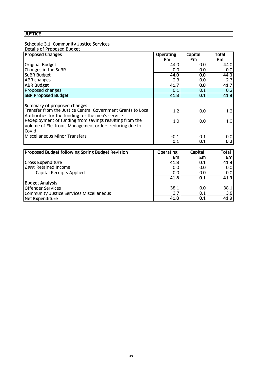# Schedule 3.1 Community Justice Services

| <b>Details of Proposed Budget</b> |  |
|-----------------------------------|--|

| <b>Proposed Changes</b>                                      | <b>Operating</b> | Capital | <b>Total</b>     |
|--------------------------------------------------------------|------------------|---------|------------------|
|                                                              | £m               | £m      | £m               |
| <b>Original Budget</b>                                       | 44.0             | 0.0     | 44.0             |
| Changes in the SuBR                                          | 0.0              | 0.0     | 0.0              |
| <b>SUBR Budget</b>                                           | 44.0             | 0.0     | 44.0             |
| <b>ABR</b> changes                                           | $-2.3$           | 0.0     | $-2.3$           |
| <b>ABR Budget</b>                                            | 41.7             | 0.0     | 41.7             |
| Proposed changes                                             | 0.1              | 0.1     | 0.2              |
| <b>SBR Proposed Budget</b>                                   | 41.8             | 0.1     | 41.9             |
|                                                              |                  |         |                  |
| Summary of proposed changes                                  |                  |         |                  |
| Transfer from the Justice Central Government Grants to Local | 1.2              | 0.0     | 1.2              |
| Authorities for the funding for the men's service            |                  |         |                  |
| Redeployment of funding from savings resulting from the      | $-1.0$           | 0.0     | $-1.0$           |
| volume of Electronic Management orders reducing due to       |                  |         |                  |
| Covid                                                        |                  |         |                  |
| Miscellaneous Minor Transfers                                | $-0.1$           | 0.1     | 0.0              |
|                                                              | 0.1              | 0.1     | $\overline{0.2}$ |

| Proposed Budget following Spring Budget Revision | <b>Operating</b> | <b>Capital</b> | Total            |
|--------------------------------------------------|------------------|----------------|------------------|
|                                                  | £m               | <b>£m</b>      | <b>£ml</b>       |
| <b>Gross Expenditure</b>                         | 41.8             | 0.1            | 41.9             |
| Less: Retained Income                            | 0.0              | 0.0            | 0.0              |
| Capital Receipts Applied                         | 0.0              | 0.0            | 0.0 <sub>l</sub> |
|                                                  | 41.8             | 0.1            | 41.9             |
| <b>Budget Analysis</b>                           |                  |                |                  |
| <b>Offender Services</b>                         | 38.1             | 0.0            | 38.1             |
| Community Justice Services Miscellaneous         | 3.7              | 0.1            | 3.8              |
| Net Expenditure                                  | 41.8             | 0.1            | 41.9             |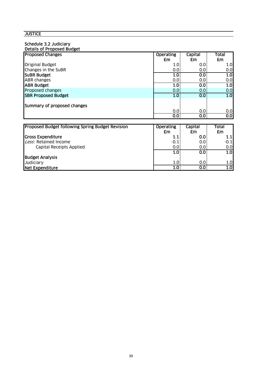# Schedule 3.2 Judiciary

| Details of Proposed Budget                              |                  |                         |                  |
|---------------------------------------------------------|------------------|-------------------------|------------------|
| <b>Proposed Changes</b>                                 | <b>Operating</b> | Capital                 | Total            |
|                                                         | £m               | £m                      | £m               |
| <b>Original Budget</b>                                  | 1.0              | 0.0                     | 1.0              |
| Changes in the SuBR                                     | 0.0              | 0.0                     | 0.0              |
| <b>SUBR Budget</b>                                      | 1.0              | 0.0                     | 1.0              |
| <b>ABR</b> changes                                      | 0.0              | 0.0                     | 0.0              |
| <b>ABR Budget</b>                                       | $\overline{1.0}$ | 0.0                     | 1.0              |
| Proposed changes                                        | 0.0              | 0.0                     | 0.0              |
| <b>SBR Proposed Budget</b>                              | 1.0              | 0.0                     | 1.0              |
|                                                         |                  |                         |                  |
| Summary of proposed changes                             |                  |                         |                  |
|                                                         | 0.0              | 0.0                     | 0.0              |
|                                                         | 0.0              | $\overline{\textbf{O}}$ | $\overline{0.0}$ |
|                                                         |                  |                         |                  |
| <b>Proposed Budget following Spring Budget Revision</b> | <b>Operating</b> | Capital                 | Total            |
|                                                         | £m               | £m                      | £m               |
| <b>Gross Expenditure</b>                                | 1.1              | 0.0                     | 1.1              |
| Less: Retained Income                                   | $-0.1$           | 0.0                     | $-0.1$           |
| Capital Receipts Applied                                | 0.0              | 0.0                     | 0.0              |
|                                                         | 1.0              | 0.0                     | 1.0              |
| <b>Budget Analysis</b>                                  |                  |                         |                  |
| Judiciary                                               | 1.0              | 0.0                     | 1.0              |
| <b>Net Expenditure</b>                                  | 1.0              | 0.0                     | 1.0              |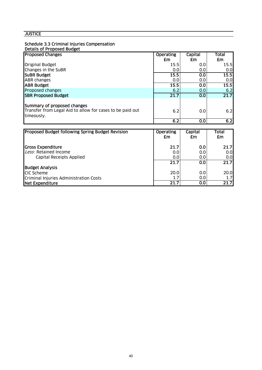### Schedule 3.3 Criminal Injuries Compensation

#### Details of Proposed Budget

| <b>Proposed Changes</b>                                                                                | <b>Operating</b> | Capital | <b>Total</b> |
|--------------------------------------------------------------------------------------------------------|------------------|---------|--------------|
|                                                                                                        | £m               | £m      | £m           |
| Original Budget                                                                                        | 15.5             | 0.0     | 15.5         |
| Changes in the SuBR                                                                                    | 0.0              | 0.0     | 0.0          |
| <b>SUBR Budget</b>                                                                                     | 15.5             | 0.0     | 15.5         |
| <b>ABR changes</b>                                                                                     | 0.0              | 0.0     | 0.0          |
| <b>ABR Budget</b>                                                                                      | 15.5             | 0.0     | 15.5         |
| Proposed changes                                                                                       | 6.2              | 0.0     | 6.2          |
| <b>SBR Proposed Budget</b>                                                                             | 21.7             | 0.0     | 21.7         |
| Summary of proposed changes<br>Transfer from Legal Aid to allow for cases to be paid out<br>timeously. | 6.2              | 0.0     | 6.2          |
|                                                                                                        | 6.2              | 0.0     | 6.2          |

| <b>Proposed Budget following Spring Budget Revision</b> | <b>Operating</b><br>£m | Capital<br>£m    | Total<br>£m      |
|---------------------------------------------------------|------------------------|------------------|------------------|
| <b>Cross Expenditure</b>                                | 21.7                   | 0.0              | <b>21.71</b>     |
| Less: Retained Income                                   | 0.0                    | 0.0 <sub>l</sub> | 0.0 <sub>l</sub> |
| Capital Receipts Applied                                | 0.0                    | 0.0 <sub>l</sub> | 0.0 <sub>l</sub> |
|                                                         | 21.7                   | 0.0              | 21.7             |
| <b>Budget Analysis</b>                                  |                        |                  |                  |
| <b>ICIC Scheme</b>                                      | 20.0                   | 0.0              | 20.0             |
| Criminal Injuries Administration Costs                  | 1.7                    | 0.0              | 1.7 <sub>l</sub> |
| Net Expenditure                                         | 21.7                   | $\overline{0.0}$ | 21.7             |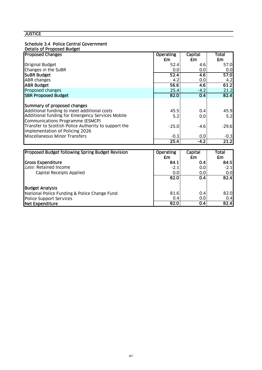### Schedule 3.4 Police Central Government

#### Details of Proposed Budget

| <b>Proposed Changes</b>                              | <b>Operating</b> | Capital | Total   |
|------------------------------------------------------|------------------|---------|---------|
|                                                      | £m               | £m      | £m      |
| <b>Original Budget</b>                               | 52.4             | 4.6     | 57.0    |
| Changes in the SuBR                                  | 0.0              | 0.0     | 0.0     |
| <b>SUBR Budget</b>                                   | 52.4             | 4.6     | 57.0    |
| <b>ABR changes</b>                                   | 4.2              | 0.0     | 4.2     |
| <b>ABR Budget</b>                                    | 56.6             | 4.6     | 61.2    |
| Proposed changes                                     | 25.4             | $-4.2$  | 21.2    |
| <b>SBR Proposed Budget</b>                           | 82.0             | 0.4     | 82.4    |
|                                                      |                  |         |         |
| Summary of proposed changes                          |                  |         |         |
| Additional funding to meet additional costs          | 45.5             | 0.4     | 45.9    |
| Additional funding for Emergency Services Mobile     | 5.2              | 0.0     | 5.2     |
| Communications Programme (ESMCP)                     |                  |         |         |
| Transfer to Scottish Police Authority to support the | $-25.0$          | -4.6    | $-29.6$ |
| implementation of Policing 2026                      |                  |         |         |
| Miscellaneous Minor Transfers                        | $-0.3$           | 0.0     | $-0.3$  |
|                                                      | 25.4             | $-4.2$  | 21.2    |

| <b>Proposed Budget following Spring Budget Revision</b> | <b>Operating</b><br>£m | Capital<br>£m | Total<br>£m |
|---------------------------------------------------------|------------------------|---------------|-------------|
| <b>Gross Expenditure</b>                                | 84.1                   | 0.41          | 84.5        |
| Less: Retained Income                                   | $-2.1$                 | 0.0           | $-2.1$      |
| Capital Receipts Applied                                | 0.0                    | 0.0           | 0.0         |
|                                                         | 82.0                   | 0.4           | 82.4        |
| <b>Budget Analysis</b>                                  |                        |               |             |
| National Police Funding & Police Change Fund            | 81.6                   | 0.4           | 82.0        |
| Police Support Services                                 | 0.4                    | 0.0           | 0.4         |
| Net Expenditure                                         | 82.0                   | 0.4           | 82.4        |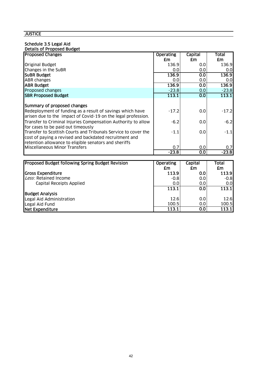#### Schedule 3.5 Legal Aid Details of Proposed Budget

| <b>Proposed Changes</b>                                        | <b>Operating</b> | Capital          | Total   |
|----------------------------------------------------------------|------------------|------------------|---------|
|                                                                |                  |                  |         |
|                                                                | £m               | £m               | £m      |
| Original Budget                                                | 136.9            | 0.01             | 136.9   |
| Changes in the SuBR                                            | 0.0              | 0.0              | 0.01    |
| <b>SUBR Budget</b>                                             | 136.9            | 0.0              | 136.9   |
| ABR changes                                                    | 0.0              | 0.0              | 0.0     |
| <b>ABR Budget</b>                                              | 136.9            | 0.0              | 136.9   |
| Proposed changes                                               | $-23.8$          | 0.0 <sub>1</sub> | $-23.8$ |
| <b>SBR Proposed Budget</b>                                     | 113.1            | 0.0              | 113.1   |
|                                                                |                  |                  |         |
| Summary of proposed changes                                    |                  |                  |         |
| Redeployment of funding as a result of savings which have      | $-17.2$          | 0.0              | $-17.2$ |
| arisen due to the impact of Covid-19 on the legal profession.  |                  |                  |         |
| Transfer to Criminal Injuries Compensation Authority to allow  | $-6.2$           | 0.0              | $-6.2$  |
| for cases to be paid out timeously                             |                  |                  |         |
| Transfer to Scottish Courts and Tribunals Service to cover the | $-1.1$           | 0.0              | $-1.1$  |
| cost of paying a revised and backdated recruitment and         |                  |                  |         |
| retention allowance to eligible senators and sheriffs          |                  |                  |         |
| Miscellaneous Minor Transfers                                  | 0.7              | 0.0              | 0.7     |
|                                                                | $-23.8$          | 0.0              | $-23.8$ |

| <b>Proposed Budget following Spring Budget Revision</b> | <b>Operating</b> | Capital          | Total  |
|---------------------------------------------------------|------------------|------------------|--------|
|                                                         | £m               | £m               | £m     |
| <b>Gross Expenditure</b>                                | 113.9            | 0.0              | 113.9  |
| Less: Retained Income                                   | $-0.8$           | 0.0              | $-0.8$ |
| Capital Receipts Applied                                | 0.0              | 0.0              | 0.01   |
|                                                         | 113.1            | 0.0              | 113.1  |
| <b>Budget Analysis</b>                                  |                  |                  |        |
| Legal Aid Administration                                | 12.6             | 0.0              | 12.6   |
| Legal Aid Fund                                          | 100.5            | 0.0 <sub>l</sub> | 100.5  |
| Net Expenditure                                         | 113.1            | 0.0              | 113.1  |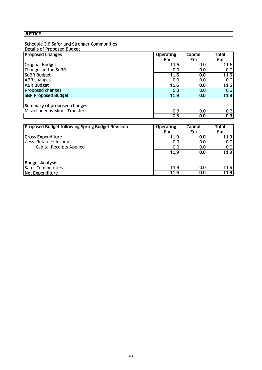### Schedule 3.6 Safer and Stronger Communities

#### Details of Proposed Budget

| <b>Proposed Changes</b>                                 | <b>Operating</b> | Capital | Total |
|---------------------------------------------------------|------------------|---------|-------|
|                                                         | £m               | £m      | £m    |
| <b>Original Budget</b>                                  | 11.6             | 0.0     | 11.6  |
| Changes in the SuBR                                     | 0.0              | 0.0     | 0.0   |
| <b>SUBR Budget</b>                                      | 11.6             | 0.0     | 11.6  |
| <b>ABR</b> changes                                      | 0.0              | 0.0     | 0.0   |
| <b>ABR Budget</b>                                       | 11.6             | 0.0     | 11.6  |
| Proposed changes                                        | 0.3              | 0.0     | 0.3   |
| <b>SBR Proposed Budget</b>                              | 11.9             | 0.0     | 11.9  |
|                                                         |                  |         |       |
| Summary of proposed changes                             |                  |         |       |
| <b>Miscellaneous Minor Transfers</b>                    | 0.3              | 0.0     | 0.3   |
|                                                         | 0.3              | 0.0     | 0.3   |
|                                                         |                  |         |       |
| <b>Proposed Budget following Spring Budget Revision</b> | <b>Operating</b> | Capital | Total |
|                                                         | £m               | £m      | £m    |
| <b>Gross Expenditure</b>                                | 11.9             | 0.0     | 11.9  |
| Less: Retained Income                                   | 0.0              | 0.0     | 0.0   |
| Capital Receipts Applied                                | 0.0              | 0.0     | 0.0   |
|                                                         | 11.9             | 0.0     | 11.9  |
|                                                         |                  |         |       |
| <b>Budget Analysis</b>                                  |                  |         |       |

Safer Communities 11.9 0.0 11.9 Net Expenditure 11.9 0.0 11.9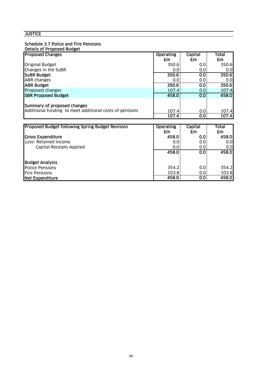# Schedule 3.7 Police and Fire Pensions<br>Details of Proposed Budget

| Details of Proposed Budget |
|----------------------------|
|----------------------------|

| <b>Proposed Changes</b>                                                                | <b>Operating</b> | Capital                 | <b>Total</b> |
|----------------------------------------------------------------------------------------|------------------|-------------------------|--------------|
|                                                                                        | £m               | £m                      | £m           |
| Original Budget                                                                        | 350.6            | 0.0                     | 350.6        |
| Changes in the SuBR                                                                    | 0.0              | 0.0                     | 0.0          |
| <b>SUBR Budget</b>                                                                     | 350.6            | 0.0                     | 350.6        |
| <b>ABR changes</b>                                                                     | 0.0              | 0.0                     | 0.0          |
| <b>ABR Budget</b>                                                                      | 350.6            | 0.0                     | 350.6        |
| Proposed changes                                                                       | 107.4            | 0.0                     | 107.4        |
| <b>SBR Proposed Budget</b>                                                             | 458.0            | 0.0                     | 458.0        |
| Summary of proposed changes<br>Additional funding to meet additional costs of pensions | 107.4            | 0.0                     | 107.4        |
|                                                                                        | 107.4            | $\overline{\textbf{O}}$ | 107.4        |
|                                                                                        |                  |                         |              |
| Proposed Budget following Spring Budget Revision                                       | <b>Operating</b> | Capital                 | Total        |
|                                                                                        | £m               | £m                      | £m           |
| <b>Gross Expenditure</b>                                                               | 458.0            | 0.0                     | 458.0        |
| Less: Retained Income                                                                  | 0.0              | 0.0                     | 0.0          |
| Capital Receipts Applied                                                               | 0.0              | 0.0                     | 0.0          |
|                                                                                        | 458.0            | 0.0                     | 458.0        |
|                                                                                        |                  |                         |              |
| <b>Budget Analysis</b>                                                                 |                  |                         |              |
| <b>Police Pensions</b>                                                                 | 354.2            | 0.0                     | 354.2        |
| <b>Fire Pensions</b>                                                                   | 103.8            | 0.0                     | 103.8        |
| Net Expenditure                                                                        | 458.0            | 0.0                     | 458.0        |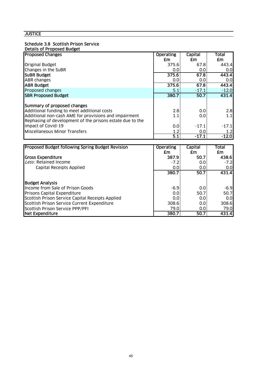# Schedule 3.8 Scottish Prison Service

| Details of Proposed Budget |
|----------------------------|
|----------------------------|

| <b>Proposed Changes</b>                                   | <b>Operating</b> | Capital | Total   |
|-----------------------------------------------------------|------------------|---------|---------|
|                                                           | £m               | £m      | £m      |
| <b>Original Budget</b>                                    | 375.6            | 67.8    | 443.4   |
| Changes in the SuBR                                       | 0.0              | 0.0     | 0.0     |
| <b>SUBR Budget</b>                                        | 375.6            | 67.8    | 443.4   |
| <b>ABR</b> changes                                        | 0.0              | 0.0     | 0.0     |
| <b>ABR Budget</b>                                         | 375.6            | 67.8    | 443.4   |
| Proposed changes                                          | 5.1              | $-17.1$ | $-12.0$ |
| <b>SBR Proposed Budget</b>                                | 380.7            | 50.7    | 431.4   |
|                                                           |                  |         |         |
| Summary of proposed changes                               |                  |         |         |
| Additional funding to meet additional costs               | 2.8              | 0.0     | 2.8     |
| Additional non-cash AME for provisions and impairment     | 1.1              | 0.0     | 1.1     |
| Rephasing of development of the prisons estate due to the |                  |         |         |
| impact of Covid-19                                        | 0.0              | $-17.1$ | $-17.1$ |
| Miscellaneous Minor Transfers                             | 1.2              | 0.0     | 1.2     |
|                                                           | $\overline{5.1}$ | $-17.1$ | $-12.0$ |

| Proposed Budget following Spring Budget Revision | <b>Operating</b> | Capital          | Total  |
|--------------------------------------------------|------------------|------------------|--------|
|                                                  | £m               | £m               | £m     |
| <b>Gross Expenditure</b>                         | 387.9            | 50.7             | 438.6  |
| Less: Retained Income                            | $-7.2$           | 0.0 <sub>l</sub> | $-7.2$ |
| Capital Receipts Applied                         | 0.0              | 0.0 <sub>l</sub> | 0.01   |
|                                                  | 380.7            | 50.7             | 431.4  |
| <b>Budget Analysis</b>                           |                  |                  |        |
| Income from Sale of Prison Goods                 | $-6.9$           | 0.0              | $-6.9$ |
| <b>Prisons Capital Expenditure</b>               | 0.0              | 50.7             | 50.7   |
| Scottish Prison Service Capital Receipts Applied | 0.0              | 0.01             | 0.01   |
| Scottish Prison Service Current Expenditure      | 308.6            | 0.0              | 308.6  |
| Scottish Prison Service PPP/PFI                  | 79.0             | 0.01             | 79.0   |
| Net Expenditure                                  | 380.7            | 50.7             | 431.4  |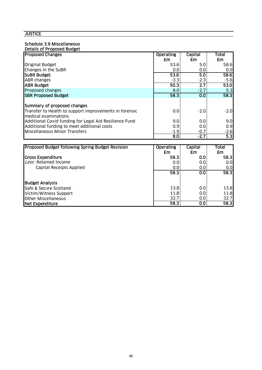### Schedule 3.9 Miscellaneous

| Details of Proposed Budget                             |                  |                  |              |
|--------------------------------------------------------|------------------|------------------|--------------|
| <b>Proposed Changes</b>                                | <b>Operating</b> | Capital          | <b>Total</b> |
|                                                        | £m               | £m               | £m           |
| <b>Original Budget</b>                                 | 53.6             | 5.0              | 58.6         |
| Changes in the SuBR                                    | 0.0              | 0.0              | 0.01         |
| <b>SUBR Budget</b>                                     | 53.6             | 5.0              | 58.6         |
| <b>ABR</b> changes                                     | $-3.3$           | $-2.3$           | $-5.6$       |
| <b>IABR Budget</b>                                     | 50.3             | $\overline{2.7}$ | 53.0         |
| Proposed changes                                       | 8.0              | $-2.7$           | 5.3          |
| <b>SBR Proposed Budget</b>                             | 58.3             | 0.0              | 58.3         |
|                                                        |                  |                  |              |
| Summary of proposed changes                            |                  |                  |              |
| Transfer to Health to support improvements in forensic | 0.0              | $-2.0$           | $-2.0$       |
| medical examinations                                   |                  |                  |              |
| Additional Covid funding for Legal Aid Resilience Fund | 9.0              | 0.0              | 9.0          |
| Additional funding to meet additional costs            | 0.9              | 0.0              | 0.9          |
| Miscellaneous Minor Transfers                          | $-1.9$           | $-0.7$           | $-2.6$       |
|                                                        | 8.0              | $-2.7$           | 5.3          |

| Proposed Budget following Spring Budget Revision | <b>Operating</b> | Capital          | Total |
|--------------------------------------------------|------------------|------------------|-------|
|                                                  | £m               | £m               | £m    |
| <b>Gross Expenditure</b>                         | 58.3             | 0.01             | 58.3  |
| Less: Retained Income                            | 0.0              | 0.0              | 0.0   |
| Capital Receipts Applied                         | 0.0              | 0.0 <sub>l</sub> | 0.0   |
|                                                  | 58.3             | 0.0              | 58.3  |
| <b>Budget Analysis</b>                           |                  |                  |       |
| Safe & Secure Scotland                           | 13.8             | 0.0              | 13.8  |
| Victim/Witness Support                           | 11.8             | 0.0              | 11.8  |
| <b>Other Miscellaneous</b>                       | 32.7             | 0.0              | 32.7  |
| <b>Net Expenditure</b>                           | 58.3             | 0.0              | 58.3  |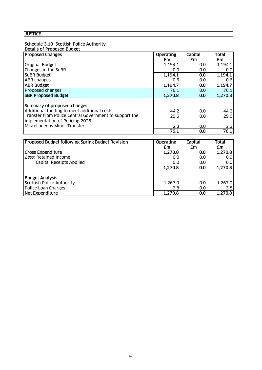# Schedule 3.10 Scottish Police Authority

| Details of Proposed Budget |
|----------------------------|
|----------------------------|

| <b>Proposed Changes</b>                                | <b>Operating</b> | Capital | Total   |
|--------------------------------------------------------|------------------|---------|---------|
|                                                        | £m               | £m      | £m      |
| <b>Original Budget</b>                                 | 1,194.1          | 0.0     | 1,194.1 |
| Changes in the SuBR                                    | 0.0              | 0.0     | 0.0     |
| <b>SUBR Budget</b>                                     | 1,194.1          | 0.0     | 1,194.1 |
| <b>ABR changes</b>                                     | 0.6              | 0.0     | 0.6     |
| <b>ABR Budget</b>                                      | 1,194.7          | 0.0     | 1,194.7 |
| Proposed changes                                       | 76.1             | 0.0     | 76.1    |
| <b>SBR Proposed Budget</b>                             | 1,270.8          | 0.0     | 1,270.8 |
|                                                        |                  |         |         |
| Summary of proposed changes                            |                  |         |         |
| Additional funding to meet additional costs            | 44.2             | 0.0     | 44.2    |
| Transfer from Police Central Government to support the | 29.6             | 0.0     | 29.6    |
| implementation of Policing 2026                        |                  |         |         |
| Miscellaneous Minor Transfers                          | 2.3              | 0.0     | 2.3     |
|                                                        | 76.1             | 0.0     | 76.1    |

| <b>Proposed Budget following Spring Budget Revision</b> | <b>Operating</b><br>£m | <b>Capital</b><br>£m | Total<br>£m |
|---------------------------------------------------------|------------------------|----------------------|-------------|
| <b>Gross Expenditure</b>                                | 1,270.8                | 0.0                  | 1,270.8     |
| Less: Retained Income                                   | 0.0                    | 0.0                  | 0.0         |
| <b>Capital Receipts Applied</b>                         | 0.0                    | 0.0                  | 0.0         |
|                                                         | 1,270.8                | 0.0                  | 1,270.8     |
| <b>Budget Analysis</b>                                  |                        |                      |             |
| Scottish Police Authority                               | 1,267.0                | 0.0                  | 1,267.0     |
| Police Loan Charges                                     | 3.8                    | 0.0                  | 3.8         |
| Net Expenditure                                         | 1,270.8                | $\overline{0.0}$     | 1,270.8     |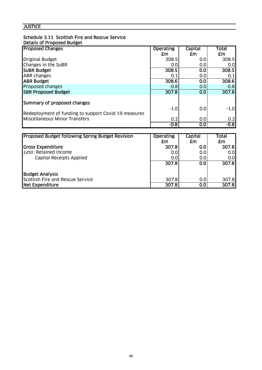#### Schedule 3.11 Scottish Fire and Rescue Service Details of Proposed Budget

| <b>Proposed Changes</b>                                  | <b>Operating</b> | <b>Capital</b> | Total  |
|----------------------------------------------------------|------------------|----------------|--------|
|                                                          | £m               | £m             | £m     |
| <b>Original Budget</b>                                   | 308.5            | 0.0            | 308.5  |
| Changes in the SuBR                                      | 0.0              | 0.0            | 0.0    |
| <b>SUBR Budget</b>                                       | 308.5            | 0.0            | 308.5  |
| <b>ABR changes</b>                                       | 0.1              | 0.0            | 0.1    |
| <b>ABR Budget</b>                                        | 308.6            | 0.0            | 308.6  |
| Proposed changes                                         | $-0.8$           | 0.0            | $-0.8$ |
| <b>SBR Proposed Budget</b>                               | 307.8            | 0.0            | 307.8  |
| Summary of proposed changes                              |                  |                |        |
|                                                          | $-1.0$           | 0.0            | $-1.0$ |
| Redeployment of funding to support Covid 19 measures     |                  |                |        |
| Miscellaneous Minor Transfers                            | 0.2              | 0.0            | 0.2    |
|                                                          | $-0.8$           | 0.0            | $-0.8$ |
|                                                          |                  |                |        |
| <b>IProposed Budget following Spring Budget Revision</b> | <b>Operating</b> | Capital        | Total  |

| <b>Proposed Budget following Spring Budget Revision</b> | Operating | Capital | Total |
|---------------------------------------------------------|-----------|---------|-------|
|                                                         | £m        | £m      | £m    |
| <b>Gross Expenditure</b>                                | 307.8     | 0.0     | 307.8 |
| Less: Retained Income                                   | 0.0       | 0.0     | 0.0   |
| Capital Receipts Applied                                | 0.0       | 0.0     | 0.0   |
|                                                         | 307.8     | 0.0     | 307.8 |
| <b>Budget Analysis</b>                                  |           |         |       |
| Scottish Fire and Rescue Service                        | 307.8     | 0.0     | 307.8 |
| Net Expenditure                                         | 307.8     | 0.0     | 307.8 |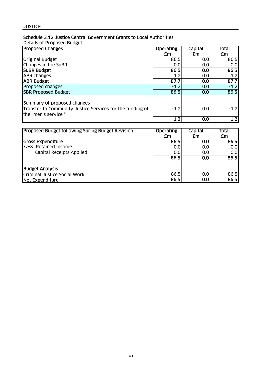#### Schedule 3.12 Justice Central Government Grants to Local Authorities Details of Proposed Budget

| <b>Proposed Changes</b>                                                          | <b>Operating</b> | Capital | Total  |
|----------------------------------------------------------------------------------|------------------|---------|--------|
|                                                                                  | £m               | £m      | £m     |
| <b>Original Budget</b>                                                           | 86.5             | 0.0     | 86.5   |
| Changes in the SuBR                                                              | 0.0              | 0.0     | 0.0    |
| <b>SUBR Budget</b>                                                               | 86.5             | 0.0     | 86.5   |
| <b>ABR changes</b>                                                               | 1.2 <sub>2</sub> | 0.0     | 1.2    |
| <b>ABR Budget</b>                                                                | 87.7             | 0.0     | 87.7   |
| Proposed changes                                                                 | $-1.2$           | 0.0     | $-1.2$ |
| <b>SBR Proposed Budget</b>                                                       | 86.5             | 0.0     | 86.5   |
| Summary of proposed changes                                                      |                  |         |        |
| Transfer to Community Justice Services for the funding of<br>the "men's service" | $-1.2$           | 0.0     | $-1.2$ |
|                                                                                  | $-1.2$           | 0.0     | $-1.2$ |

| <b>Proposed Budget following Spring Budget Revision</b> | <b>Operating</b> | Capital | Total |
|---------------------------------------------------------|------------------|---------|-------|
|                                                         | £m               | £m      | £m    |
| <b>Gross Expenditure</b>                                | 86.5             | 0.0     | 86.5  |
| Less: Retained Income                                   | 0.0              | 0.0     | 0.0   |
| <b>Capital Receipts Applied</b>                         | 0.0              | 0.0     | 0.0   |
|                                                         | 86.5             | 0.0     | 86.5  |
| <b>Budget Analysis</b>                                  |                  |         |       |
| Criminal Justice Social Work                            | 86.5             | 0.0     | 86.5  |
| Net Expenditure                                         | 86.5             | 0.0     | 86.5  |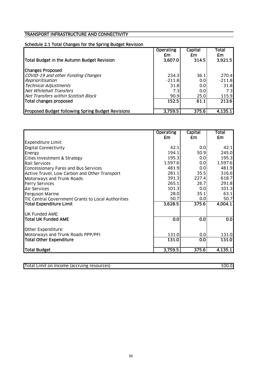# Schedule 2.1 Total Changes for the Spring Budget Revision

|                                                          | <b>Operating</b><br>£m | Capital<br>£m | Total<br>£m |
|----------------------------------------------------------|------------------------|---------------|-------------|
| Total Budget in the Autumn Budget Revision               | 3,607.0                | 314.5         | 3,921.5     |
| <b>Changes Proposed</b>                                  |                        |               |             |
| COVID-19 and other Funding Changes                       | 234.3                  | 36.1          | 270.4       |
| Reprioritisation                                         | $-211.8$               | 0.01          | $-211.8$    |
| <b>Technical Adjustments</b>                             | 31.8                   | 0.01          | 31.8        |
| Net Whitehall Transfers                                  | 7.3                    | 0.0           | 7.3         |
| Net Transfers within Scottish Block                      | 90.9                   | 25.0          | 115.9       |
| Total changes proposed                                   | 152.5                  | 61.1          | 213.6       |
|                                                          |                        |               |             |
| <b>Proposed Budget following Spring Budget Revisions</b> | 3,759.5                | 375.6         | 4,135.1     |

|                                                    | <b>Operating</b> | <b>Capital</b> | <b>Total</b> |
|----------------------------------------------------|------------------|----------------|--------------|
|                                                    | £m               | £m             | £m           |
| <b>Expenditure Limit:</b>                          |                  |                |              |
| <b>Digital Connectivity</b>                        | 42.1             | 0.0            | 42.1         |
| Energy                                             | 194.1            | 50.9           | 245.0        |
| Cities Investment & Strategy                       | 195.3            | 0.0            | 195.3        |
| <b>Rail Services</b>                               | 1,597.6          | 0.0            | 1,597.6      |
| Concessionary Fares and Bus Services               | 481.9            | 0.0            | 481.9        |
| Active Travel, Low Carbon and Other Transport      | 281.1            | 35.5           | 316.6        |
| Motorways and Trunk Roads                          | 391.3            | 227.4          | 618.7        |
| <b>Ferry Services</b>                              | 265.1            | 26.7           | 291.8        |
| <b>Air Services</b>                                | 101.3            | 0.0            | 101.3        |
| Ferguson Marine                                    | 28.0             | 35.1           | 63.1         |
| TIC Central Government Grants to Local Authorities | 50.7             | 0.0            | 50.7         |
| <b>Total Expenditure Limit</b>                     | 3,628.5          | 375.6          | 4,004.1      |
| <b>UK Funded AME:</b>                              |                  |                |              |
| <b>Total UK Funded AME</b>                         | 0.0              | 0.0            | 0.0          |
| Other Expenditure:                                 |                  |                |              |
| Motorways and Trunk Roads PPP/PFI                  | 131.0            | 0.0            | 131.0        |
| <b>Total Other Expenditure</b>                     | 131.0            | 0.0            | 131.0        |
| Total Budget                                       | 3,759.5          | 375.6          | 4,135.1      |

| Total Limit on Income (accruing resources) | 100.0 |  |
|--------------------------------------------|-------|--|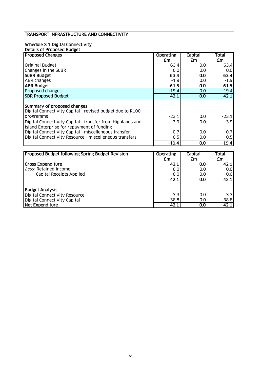# Schedule 3.1 Digital Connectivity

| Details of Proposed Budget                                 |                  |         |         |
|------------------------------------------------------------|------------------|---------|---------|
| <b>Proposed Changes</b>                                    | <b>Operating</b> | Capital | Total   |
|                                                            | £m               | £m      | £m      |
| <b>Original Budget</b>                                     | 63.4             | 0.0     | 63.4    |
| Changes in the SuBR                                        | 0.0              | 0.0     | 0.0     |
| <b>SUBR Budget</b>                                         | 63.4             | 0.0     | 63.4    |
| <b>ABR</b> changes                                         | $-1.9$           | 0.0     | $-1.9$  |
| <b>ABR Budget</b>                                          | 61.5             | 0.0     | 61.5    |
| Proposed changes                                           | $-19.4$          | 0.0     | $-19.4$ |
| <b>SBR Proposed Budget</b>                                 | 42.1             | 0.0     | 42.1    |
|                                                            |                  |         |         |
| Summary of proposed changes                                |                  |         |         |
| Digital Connectivity Capital - revised budget due to R100  |                  |         |         |
| programme                                                  | $-23.1$          | 0.0     | $-23.1$ |
| Digital Connectivity Capital - transfer from Highlands and | 3.9              | 0.0     | 3.9     |
| Island Enterprise for repayment of funding                 |                  |         |         |
| Digital Connectivity Capital - miscelleneous transfer      | $-0.7$           | 0.0     | $-0.7$  |
| Digital Connectivity Resource - miscelleneous transfers    | 0.5              | 0.0     | 0.5     |
|                                                            | $-19.4$          | 0.0     | $-19.4$ |

| Proposed Budget following Spring Budget Revision | <b>Operating</b> | Capital | Total |
|--------------------------------------------------|------------------|---------|-------|
|                                                  | £m               | £m      | £m    |
| <b>Gross Expenditure</b>                         | 42.1             | 0.0     | 42.1  |
| Less: Retained Income                            | 0.0              | 0.01    | 0.0   |
| Capital Receipts Applied                         | 0.0              | 0.0     | 0.0   |
|                                                  | 42.1             | 0.0     | 42.1  |
| <b>Budget Analysis</b>                           |                  |         |       |
| Digital Connectivity Resource                    | 3.3              | 0.0     | 3.3   |
| Digital Connectivity Capital                     | 38.8             | 0.0     | 38.8  |
| Net Expenditure                                  | 42.1             | 0.0     | 42.1  |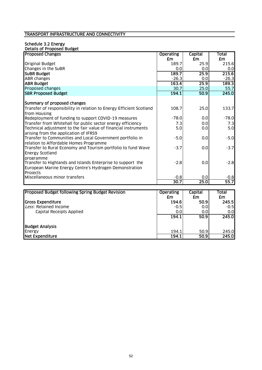### Schedule 3.2 Energy

| Details of Proposed Budget                                          |                  |                |           |
|---------------------------------------------------------------------|------------------|----------------|-----------|
| <b>Proposed Changes</b>                                             | <b>Operating</b> | Capital        | Total     |
|                                                                     | £m               | £m             | <b>£m</b> |
| <b>Original Budget</b>                                              | 189.7            | 25.9           | 215.6     |
| Changes in the SuBR                                                 | 0.0              | 0.0            | 0.0       |
| <b>SUBR Budget</b>                                                  | 189.7            | 25.9           | 215.6     |
| <b>ABR</b> changes                                                  | $-26.3$          | 0.0            | $-26.3$   |
| <b>ABR Budget</b>                                                   | 163.4            | 25.9           | 189.3     |
| Proposed changes                                                    | 30.7             | 25.0           | 55.7      |
| <b>SBR Proposed Budget</b>                                          | 194.1            | 50.9           | 245.0     |
| Summary of proposed changes                                         |                  |                |           |
| Transfer of responsibility in relation to Energy Efficient Scotland | 108.7            | 25.0           | 133.7     |
| from Housing                                                        |                  |                |           |
| Redeployment of funding to support COVID-19 measures                | $-78.0$          | 0.0            | $-78.0$   |
| Transfer from Whitehall for public sector energy efficiency         | 7.3              | 0.0            | 7.3       |
| Technical adjustment to the fair value of financial instruments     | 5.0              | 0.0            | 5.0       |
| arising from the application of IFRS9                               |                  |                |           |
| Transfer to Communities and Local Government portfolio in           | $-5.0$           | 0.0            | $-5.0$    |
| relation to Affordable Homes Programme                              |                  |                |           |
| Transfer to Rural Economy and Tourism portfolio to fund Wave        | $-3.7$           | 0.0            | $-3.7$    |
| <b>Energy Scotland</b>                                              |                  |                |           |
| programme                                                           |                  |                |           |
| Transfer to Highlands and Islands Enterprise to support the         | $-2.8$           | 0.0            | $-2.8$    |
| European Marine Energy Centre's Hydrogen Demonstration              |                  |                |           |
| <b>Projects</b>                                                     |                  |                |           |
| Miscellaneous minor transfers                                       | $-0.8$           | 0.0            | $-0.8$    |
|                                                                     | 30.7             | 25.0           | 55.7      |
|                                                                     |                  |                |           |
| <b>Proposed Budget following Spring Budget Revision</b>             | <b>Operating</b> | <b>Capital</b> | Total     |

| TProposed Budget following Spring Budget Revision | <b>ODETATING</b><br>£m | capital<br>£m | Total<br>£m |
|---------------------------------------------------|------------------------|---------------|-------------|
| <b>Gross Expenditure</b>                          | 194.6                  | 50.9          | 245.5       |
|                                                   |                        |               |             |
| Less: Retained Income                             | $-0.5$                 | 0.0           | $-0.51$     |
| Capital Receipts Applied                          | 0.0                    | 0.0           | 0.0         |
|                                                   | 194.1                  | 50.9          | 245.0       |
|                                                   |                        |               |             |
| <b>Budget Analysis</b>                            |                        |               |             |
| Energy                                            | 194.1                  | 50.9          | 245.0       |
| Net Expenditure                                   | 194.1                  | 50.9          | 245.0       |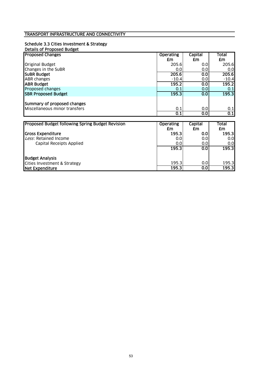#### Schedule 3.3 Cities Investment & Strategy Details of Proposed Budget

| <u>Details of Frobosca Doubet</u> |                  |                |         |
|-----------------------------------|------------------|----------------|---------|
| <b>Proposed Changes</b>           | <b>Operating</b> | <b>Capital</b> | Total   |
|                                   | £m               | £m             | £m      |
| <b>Original Budget</b>            | 205.6            | 0.0            | 205.6   |
| Changes in the SuBR               | 0.0              | 0.0            | 0.0     |
| <b>SUBR Budget</b>                | 205.6            | 0.0            | 205.6   |
| <b>ABR</b> changes                | $-10.4$          | 0.0            | $-10.4$ |
| <b>ABR Budget</b>                 | 195.2            | 0.0            | 195.2   |
| Proposed changes                  | 0.1              | 0.0            | 0.1     |
| <b>SBR Proposed Budget</b>        | 195.3            | 0.0            | 195.3   |
|                                   |                  |                |         |
| Summary of proposed changes       |                  |                |         |
| Miscellaneous minor transfers     | 0.1              | 0.0            | 0.1     |
|                                   | 0.1              | 0.0            | 0.1     |

| <b>Proposed Budget following Spring Budget Revision</b> | <b>Operating</b><br>£m | Capital<br>£m | Total<br>£m |
|---------------------------------------------------------|------------------------|---------------|-------------|
| <b>Gross Expenditure</b>                                | 195.3                  | 0.0           | 195.3       |
| Less: Retained Income                                   | 0.0                    | 0.0           | 0.0         |
| Capital Receipts Applied                                | 0.0                    | 0.0           | 0.0         |
|                                                         | 195.3                  | 0.0           | 195.3       |
| <b>Budget Analysis</b>                                  |                        |               |             |
| Cities Investment & Strategy                            | 195.3                  | 0.0           | 195.3       |
| Net Expenditure                                         | 195.3                  | 0.0           | 195.3       |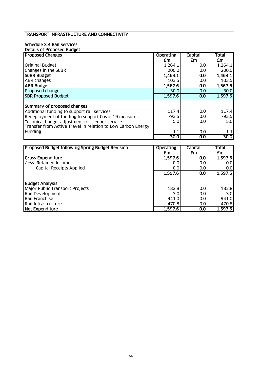# Schedule 3.4 Rail Services

| Details of Proposed Budget                                   |                  |         |              |
|--------------------------------------------------------------|------------------|---------|--------------|
| <b>Proposed Changes</b>                                      | <b>Operating</b> | Capital | <b>Total</b> |
|                                                              | £m               | £m      | £m           |
| <b>Original Budget</b>                                       | 1,264.1          | 0.0     | 1,264.1      |
| Changes in the SuBR                                          | 200.0            | 0.0     | 200.0        |
| <b>SUBR Budget</b>                                           | 1,464.1          | 0.0     | 1,464.1      |
| <b>ABR</b> changes                                           | 103.5            | 0.0     | 103.5        |
| <b>ABR Budget</b>                                            | 1,567.6          | 0.0     | 1,567.6      |
| Proposed changes                                             | 30.0             | 0.0     | 30.0         |
| <b>SBR Proposed Budget</b>                                   | 1,597.6          | 0.0     | 1,597.6      |
|                                                              |                  |         |              |
| Summary of proposed changes                                  |                  |         |              |
| Additional funding to support rail services                  | 117.4            | 0.0     | 117.4        |
| Redeployment of funding to support Covid 19 measures         | $-93.5$          | 0.0     | $-93.5$      |
| Technical budget adjustment for sleeper service              | 5.0              | 0.0     | 5.0          |
| Transfer from Active Travel in relation to Low Carbon Energy |                  |         |              |
| Funding                                                      | 1.1              | 0.0     | 1.1          |
|                                                              | 30.0             | 0.0     | 30.0         |

| <b>Proposed Budget following Spring Budget Revision</b> | <b>Operating</b> | Capital | <b>Total</b> |
|---------------------------------------------------------|------------------|---------|--------------|
|                                                         | £m               | £m      | £m           |
| <b>Gross Expenditure</b>                                | 1,597.6          | 0.0     | 1,597.6      |
| Less: Retained Income                                   | 0.0              | 0.0     | 0.01         |
| Capital Receipts Applied                                | 0.0              | 0.0     | 0.0          |
|                                                         | 1,597.6          | 0.0     | 1,597.6      |
| <b>Budget Analysis</b>                                  |                  |         |              |
| Major Public Transport Projects                         | 182.8            | 0.0     | 182.8        |
| Rail Development                                        | 3.0              | 0.0     | 3.0          |
| Rail Franchise                                          | 941.0            | 0.0     | 941.0        |
| Rail Infrastructure                                     | 470.8            | 0.01    | 470.8        |
| <b>Net Expenditure</b>                                  | 1,597.6          | 0.0     | 1,597.6      |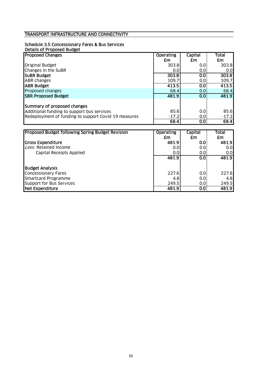# Schedule 3.5 Concessionary Fares & Bus Services

| Details of Proposed Budget                           |                  |         |              |
|------------------------------------------------------|------------------|---------|--------------|
| <b>Proposed Changes</b>                              | <b>Operating</b> | Capital | <b>Total</b> |
|                                                      | £m               | £m      | £m           |
| Original Budget                                      | 303.8            | 0.0     | 303.8        |
| Changes in the SuBR                                  | 0.0              | 0.0     | 0.0          |
| <b>SUBR Budget</b>                                   | 303.8            | 0.0     | 303.8        |
| ABR changes                                          | 109.7            | 0.0     | 109.7        |
| <b>ABR Budget</b>                                    | 413.5            | 0.0     | 413.5        |
| Proposed changes                                     | 68.4             | 0.0     | 68.4         |
| <b>SBR Proposed Budget</b>                           | 481.9            | 0.0     | 481.9        |
|                                                      |                  |         |              |
| Summary of proposed changes                          |                  |         |              |
| Additional funding to support bus services           | 85.6             | 0.0     | 85.6         |
| Redeployment of funding to support Covid 19 measures | $-17.2$          | 0.0     | $-17.2$      |
|                                                      | 68.4             | 0.0     | 68.4         |

| <b>Proposed Budget following Spring Budget Revision</b> | <b>Operating</b><br>£m | <b>Capital</b><br>£m | Total<br>£m |
|---------------------------------------------------------|------------------------|----------------------|-------------|
| <b>Gross Expenditure</b>                                | 481.9                  | 0.0                  | 481.9       |
| Less: Retained Income                                   | 0.01                   | 0.0                  | 0.0         |
| Capital Receipts Applied                                | 0.01                   | 0.0                  | 0.0         |
|                                                         | 481.9                  | 0.0                  | 481.9       |
| <b>Budget Analysis</b>                                  |                        |                      |             |
| <b>Concessionary Fares</b>                              | 227.6                  | 0.0                  | 227.6       |
| Smartcard Programme                                     | 4.8                    | 0.0                  | 4.8         |
| Support for Bus Services                                | 249.5                  | 0.0                  | 249.5       |
| Net Expenditure                                         | 481.9                  | 0.0                  | 481.9       |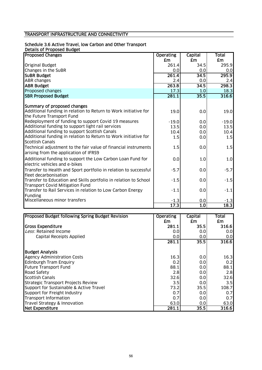#### Schedule 3.6 Active Travel, low Carbon and Other Transport

Details of Proposed Budget

| <b>Proposed Changes</b>                                                                                    | <b>Operating</b> | <b>Capital</b>   | Total   |
|------------------------------------------------------------------------------------------------------------|------------------|------------------|---------|
|                                                                                                            | £m               | £m               | £m      |
| <b>Original Budget</b>                                                                                     | 261.4            | 34.5             | 295.9   |
| Changes in the SuBR                                                                                        | 0.0              | 0.0              | 0.0     |
| <b>SUBR Budget</b>                                                                                         | 261.4            | 34.5             | 295.9   |
| <b>ABR</b> changes                                                                                         | 2.4              | 0.0              | 2.4     |
| <b>ABR Budget</b>                                                                                          | 263.8            | 34.5             | 298.3   |
| Proposed changes                                                                                           | 17.3             | 1.0              | 18.3    |
| <b>SBR Proposed Budget</b>                                                                                 | 281.1            | 35.5             | 316.6   |
|                                                                                                            |                  |                  |         |
| Summary of proposed changes                                                                                |                  |                  |         |
| Additional funding in relation to Return to Work initiative for<br>the Future Transport Fund               | 19.0             | 0.0              | 19.0    |
| Redeployment of funding to support Covid 19 measures                                                       | $-19.0$          | 0.0              | $-19.0$ |
| Additional funding to support light rail services                                                          | 13.5             | 0.0              | 13.5    |
| Additional funding to support Scottish Canals                                                              | 10.4             | 0.0              | 10.4    |
| Additional funding in relation to Return to Work initiative for<br><b>Scottish Canals</b>                  | 1.5              | 0.0              | 1.5     |
| Technical adjustment to the fair value of financial instruments<br>arising from the application of IFRS9   | 1.5              | 0.0              | 1.5     |
| Additional funding to support the Low Carbon Loan Fund for<br>electric vehicles and e-bikes                | 0.0              | 1.0              | 1.0     |
| Transfer to Health and Sport portfolio in relation to successful<br>fleet decarbonisation                  | $-5.7$           | 0.0              | $-5.7$  |
| Transfer to Education and Skills portfolio in relation to School<br><b>Transport Covid Mitigation Fund</b> | $-1.5$           | 0.0              | $-1.5$  |
| Transfer to Rail Services in relation to Low Carbon Energy<br>Funding                                      | $-1.1$           | 0.0              | $-1.1$  |
| Miscellaneous minor transfers                                                                              | $-1.3$           | 0.0              | $-1.3$  |
|                                                                                                            | 17.3             | $\overline{1.0}$ | 18.3    |

| Proposed Budget following Spring Budget Revision | <b>Operating</b> | <b>Capital</b> | Total |
|--------------------------------------------------|------------------|----------------|-------|
|                                                  | £m               | £m             | £m    |
| <b>Gross Expenditure</b>                         | 281.1            | 35.5           | 316.6 |
| Less: Retained Income                            | 0.0              | 0.0            | 0.0   |
| Capital Receipts Applied                         | 0.0              | 0.0            | 0.0   |
|                                                  | 281.1            | 35.5           | 316.6 |
| <b>Budget Analysis</b>                           |                  |                |       |
| <b>Agency Administration Costs</b>               | 16.3             | 0.0            | 16.3  |
| <b>Edinburgh Tram Enquiry</b>                    | 0.2              | 0.0            | 0.2   |
| <b>Future Transport Fund</b>                     | 88.1             | 0.0            | 88.1  |
| <b>Road Safety</b>                               | 2.8              | 0.0            | 2.8   |
| <b>Scottish Canals</b>                           | 32.6             | 0.0            | 32.6  |
| Strategic Transport Projects Review              | 3.5              | 0.0            | 3.5   |
| Support for Sustainable & Active Travel          | 73.2             | 35.5           | 108.7 |
| Support for Freight Industry                     | 0.7              | 0.0            | 0.7   |
| Transport Information                            | 0.7              | 0.0            | 0.7   |
| Travel Strategy & Innovation                     | 63.0             | 0.0            | 63.0  |
| Net Expenditure                                  | 281.1            | 35.5           | 316.6 |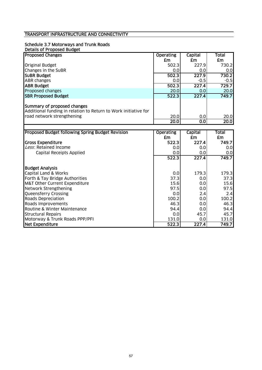# Schedule 3.7 Motorways and Trunk Roads

T

| Details of Proposed Budget                                      |                  |         |        |
|-----------------------------------------------------------------|------------------|---------|--------|
| <b>Proposed Changes</b>                                         | <b>Operating</b> | Capital | Total  |
|                                                                 | £m               | £m      | £m     |
| <b>Original Budget</b>                                          | 502.3            | 227.9   | 730.2  |
| Changes in the SuBR                                             | 0.0              | 0.01    | 0.0    |
| <b>SUBR Budget</b>                                              | 502.3            | 227.9   | 730.2  |
| <b>ABR changes</b>                                              | 0.0              | $-0.5$  | $-0.5$ |
| <b>ABR Budget</b>                                               | 502.3            | 227.4   | 729.7  |
| Proposed changes                                                | 20.0             | 0.01    | 20.0   |
| <b>SBR Proposed Budget</b>                                      | 522.3            | 227.4   | 749.7  |
|                                                                 |                  |         |        |
| Summary of proposed changes                                     |                  |         |        |
| Additional funding in relation to Return to Work initiative for |                  |         |        |
| road network strengthening                                      | 20.0             | 0.0     | 20.0   |
|                                                                 | 20.0             | 0.01    | 20.0   |

| Proposed Budget following Spring Budget Revision | <b>Operating</b> | Capital | Total |
|--------------------------------------------------|------------------|---------|-------|
|                                                  | £m               | £m      | £m    |
| <b>Gross Expenditure</b>                         | 522.3            | 227.4   | 749.7 |
| Less: Retained Income                            | 0.0              | 0.0     | 0.0   |
| <b>Capital Receipts Applied</b>                  | 0.0              | 0.0     | 0.0   |
|                                                  | 522.3            | 227.4   | 749.7 |
| <b>Budget Analysis</b>                           |                  |         |       |
| Capital Land & Works                             | 0.0              | 179.3   | 179.3 |
| Forth & Tay Bridge Authorities                   | 37.3             | 0.0     | 37.3  |
| M&T Other Current Expenditure                    | 15.6             | 0.0     | 15.6  |
| Network Strengthening                            | 97.5             | 0.0     | 97.5  |
| Queensferry Crossing                             | 0.0              | 2.4     | 2.4   |
| Roads Depreciation                               | 100.2            | 0.0     | 100.2 |
| Roads Improvements                               | 46.3             | 0.0     | 46.3  |
| Routine & Winter Maintenance                     | 94.4             | 0.0     | 94.4  |
| <b>Structural Repairs</b>                        | 0.0              | 45.7    | 45.7  |
| Motorway & Trunk Roads PPP/PFI                   | 131.0            | 0.0     | 131.0 |
| Net Expenditure                                  | 522.3            | 227.4   | 749.7 |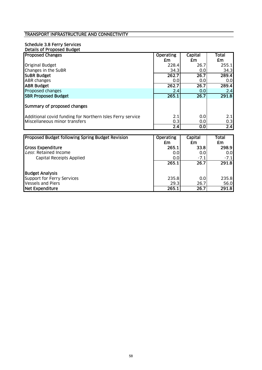#### Schedule 3.8 Ferry Services Details of Proposed Budget

| <b>Proposed Changes</b>                                   | <b>Operating</b> | Capital | Total |
|-----------------------------------------------------------|------------------|---------|-------|
|                                                           | £m               | £m      | £m    |
| <b>Original Budget</b>                                    | 228.4            | 26.7    | 255.1 |
| Changes in the SuBR                                       | 34.3             | 0.0     | 34.3  |
| <b>SUBR Budget</b>                                        | 262.7            | 26.7    | 289.4 |
| <b>ABR</b> changes                                        | 0.0              | 0.0     | 0.0   |
| <b>ABR Budget</b>                                         | 262.7            | 26.7    | 289.4 |
| Proposed changes                                          | 2.4              | 0.0     | 2.4   |
| <b>SBR Proposed Budget</b>                                | 265.1            | 26.7    | 291.8 |
| Summary of proposed changes                               |                  |         |       |
| Additional covid funding for Northern Isles Ferry service | 2.1              | 0.0     | 2.1   |
| Miscellaneous minor transfers                             | 0.3              | 0.0     | 0.3   |
|                                                           | 2.4              | 0.0     | 2.4   |
|                                                           |                  |         |       |
| <b>Proposed Rudget following Spring Rudget Pevision</b>   | Onerating        | Canital | Total |

| <b>Proposed Budget following Spring Budget Revision</b> | <b>Operating</b> | Capital          | Total  |
|---------------------------------------------------------|------------------|------------------|--------|
|                                                         | £m               | £m               | £m     |
| Gross Expenditure                                       | 265.1            | 33.8             | 298.9  |
| Less: Retained Income                                   | 0.0              | 0.0              | 0.0    |
| Capital Receipts Applied                                | 0.0              | $-7.1$           | $-7.1$ |
|                                                         | 265.1            | 26.7             | 291.8  |
| <b>Budget Analysis</b>                                  |                  |                  |        |
| Support for Ferry Services                              | 235.8            | 0.0 <sub>l</sub> | 235.8  |
| <b>Vessels and Piers</b>                                | 29.3             | 26.7             | 56.0   |
| Net Expenditure                                         | 265.1            | 26.7             | 291.8  |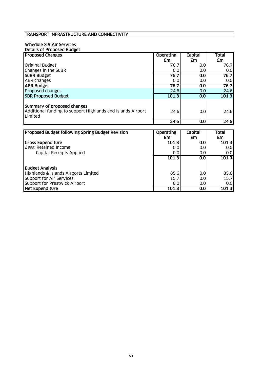# Schedule 3.9 Air Services

| Details of Proposed Budget                                                                                   |                  |         |       |
|--------------------------------------------------------------------------------------------------------------|------------------|---------|-------|
| <b>Proposed Changes</b>                                                                                      | <b>Operating</b> | Capital | Total |
|                                                                                                              | £m               | £m      | £m    |
| <b>Original Budget</b>                                                                                       | 76.7             | 0.0     | 76.7  |
| Changes in the SuBR                                                                                          | 0.0              | 0.0     | 0.0   |
| <b>SUBR Budget</b>                                                                                           | 76.7             | 0.0     | 76.7  |
| <b>ABR</b> changes                                                                                           | 0.0              | 0.0     | 0.0   |
| <b>ABR Budget</b>                                                                                            | 76.7             | 0.0     | 76.7  |
| Proposed changes                                                                                             | 24.6             | 0.0     | 24.6  |
| <b>SBR Proposed Budget</b>                                                                                   | 101.3            | 0.0     | 101.3 |
| Summary of proposed changes<br>Additional funding to support Highlands and Islands Airport<br><b>Limited</b> | 24.6             | 0.0     | 24.6  |
|                                                                                                              | 24.6             | 0.0     | 24.6  |
|                                                                                                              |                  |         |       |

| <b>Proposed Budget following Spring Budget Revision</b> | <b>Operating</b> | Capital | Total |
|---------------------------------------------------------|------------------|---------|-------|
|                                                         | £m               | £m      | £m    |
| <b>Gross Expenditure</b>                                | 101.3            | 0.0     | 101.3 |
| Less: Retained Income                                   | 0.0              | 0.01    | 0.0   |
| Capital Receipts Applied                                | 0.0              | 0.01    | 0.0   |
|                                                         | 101.3            | 0.0     | 101.3 |
| <b>Budget Analysis</b>                                  |                  |         |       |
| Highlands & Islands Airports Limited                    | 85.6             | 0.0     | 85.6  |
| Support for Air Services                                | 15.7             | 0.0     | 15.7  |
| Support for Prestwick Airport                           | 0.0              | 0.0     | 0.0   |
| Net Expenditure                                         | 101.3            | 0.0     | 101.3 |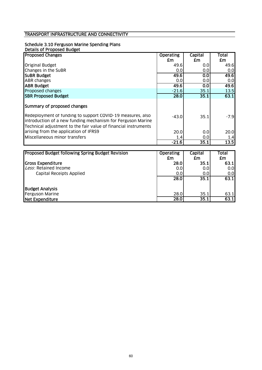# Schedule 3.10 Ferguson Marine Spending Plans

| Details of Proposed Budget                                                                                                                                                                   |                  |         |        |
|----------------------------------------------------------------------------------------------------------------------------------------------------------------------------------------------|------------------|---------|--------|
| <b>Proposed Changes</b>                                                                                                                                                                      | <b>Operating</b> | Capital | Total  |
|                                                                                                                                                                                              | £m               | £m      | £m     |
| <b>Original Budget</b>                                                                                                                                                                       | 49.6             | 0.0     | 49.6   |
| Changes in the SuBR                                                                                                                                                                          | 0.0              | 0.0     | 0.0    |
| <b>SUBR Budget</b>                                                                                                                                                                           | 49.6             | 0.0     | 49.6   |
| <b>ABR</b> changes                                                                                                                                                                           | 0.0              | 0.0     | 0.0    |
| <b>ABR Budget</b>                                                                                                                                                                            | 49.6             | 0.0     | 49.6   |
| Proposed changes                                                                                                                                                                             | $-21.6$          | 35.1    | 13.5   |
| <b>SBR Proposed Budget</b>                                                                                                                                                                   | 28.0             | 35.1    | 63.1   |
| Summary of proposed changes                                                                                                                                                                  |                  |         |        |
| Redeployment of funding to support COVID-19 measures, also<br>introduction of a new funding mechanism for Ferguson Marine<br>Technical adjustment to the fair value of financial instruments | $-43.0$          | 35.1    | $-7.9$ |
| arising from the application of IFRS9                                                                                                                                                        | 20.0             |         |        |
|                                                                                                                                                                                              |                  | 0.0     | 20.0   |
| Miscellaneous minor transfers                                                                                                                                                                | 1.41             | 0.0     | 1.4    |
|                                                                                                                                                                                              | $-21.6$          | 35.1    | 13.5   |

| <b>Proposed Budget following Spring Budget Revision</b> | Operating | <b>Capital</b> | <b>Total</b> |
|---------------------------------------------------------|-----------|----------------|--------------|
|                                                         | £m        | £m             | £m           |
| Gross Expenditure                                       | 28.0      | 35.1           | 63.1         |
| Less: Retained Income                                   | 0.0       | 0.0            | 0.0          |
| Capital Receipts Applied                                | 0.0       | 0.0            | 0.0          |
|                                                         | 28.0      | 35.1           | 63.1         |
| <b>Budget Analysis</b>                                  |           |                |              |
| Ferguson Marine                                         | 28.0      | 35.1           | 63.1         |
| Net Expenditure                                         | 28.0      | 35.1           | 63.1         |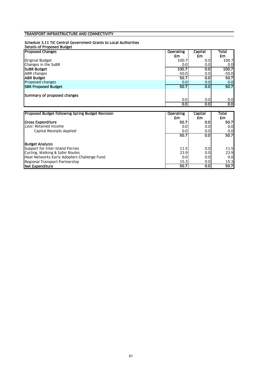#### Schedule 3.11 TIC Central Government Grants to Local Authorities

| <b>Details of Proposed Budget</b> |                  |         |                  |
|-----------------------------------|------------------|---------|------------------|
| <b>Proposed Changes</b>           | <b>Operating</b> | Capital | Total            |
|                                   | £m               | £m      | £m               |
| Original Budget                   | 100.7            | 0.0     | 100.7            |
| Changes in the SuBR               | 0.0              | 0.0     | 0.01             |
| <b>SUBR Budget</b>                | 100.7            | 0.0     | 100.7            |
| ABR changes                       | $-50.0$          | 0.0     | $-50.0$          |
| <b>ABR Budget</b>                 | 50.7             | 0.0     | 50.7             |
| Proposed changes                  | 0.0              | 0.0     | 0.0              |
| <b>SBR Proposed Budget</b>        | 50.7             | 0.0     | 50.7             |
| Summary of proposed changes       |                  |         |                  |
|                                   | 0.0              | 0.0     | 0.0              |
|                                   | 0.0 <sub>l</sub> | 0.0     | 0.0 <sub>l</sub> |

| <b>Proposed Budget following Spring Budget Revision</b> | <b>Operating</b><br>£m | Capital<br>£m | Total<br>£m      |
|---------------------------------------------------------|------------------------|---------------|------------------|
| <b>IGross Expenditure</b>                               | 50.7                   | 0.0           | 50.7             |
| Less: Retained Income                                   | 0.0                    | 0.0           | 0.01             |
| Capital Receipts Applied                                | 0.0                    | 0.0           | 0.01             |
|                                                         | 50.7                   | 0.0           | 50.7             |
|                                                         |                        |               |                  |
| <b>Budget Analysis</b>                                  |                        |               |                  |
| Support for Inter-Island Ferries                        | 11.5                   | 0.0           | 11.5             |
| Cycling, Walking & Safer Routes                         | 23.9                   | 0.0           | 23.9             |
| Heat Networks Early Adopters Challenge Fund             | 0.0                    | 0.0           | 0.0 <sub>l</sub> |
| Regional Transport Partnership                          | 15.3                   | 0.0           | 15.3             |
| <b>INet Expenditure</b>                                 | 50.7                   | 0.0           | 50.7             |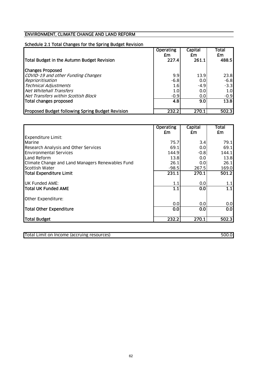# Schedule 2.1 Total Changes for the Spring Budget Revision

| Total Budget in the Autumn Budget Revision              | <b>Operating</b><br>£m<br>227.4 | Capital<br>£m<br>261.1 | Total<br>£m<br>488.5 |
|---------------------------------------------------------|---------------------------------|------------------------|----------------------|
|                                                         |                                 |                        |                      |
| <b>Changes Proposed</b>                                 |                                 |                        |                      |
| COVID-19 and other Funding Changes                      | 9.9                             | 13.9                   | 23.8                 |
| Reprioritisation                                        | $-6.8$                          | 0.0                    | $-6.8$               |
| <b>Technical Adjustments</b>                            | 1.6                             | $-4.9$                 | $-3.3$               |
| Net Whitehall Transfers                                 | 1.0                             | 0.0                    | 1.0 <sub>l</sub>     |
| Net Transfers within Scottish Block                     | $-0.9$                          | 0.0                    | $-0.9$               |
| Total changes proposed                                  | 4.8                             | 9.0                    | 13.8                 |
| <b>Proposed Budget following Spring Budget Revision</b> | 232.2                           | 270.1                  | 502.3                |

|                                                  | <b>Operating</b> | Capital | Total |
|--------------------------------------------------|------------------|---------|-------|
|                                                  | £m               | £m      | £m    |
| <b>Expenditure Limit:</b>                        |                  |         |       |
| Marine                                           | 75.7             | 3.4     | 79.1  |
| Research Analysis and Other Services             | 69.1             | 0.0     | 69.1  |
| <b>Environmental Services</b>                    | 144.9            | $-0.8$  | 144.1 |
| Land Reform                                      | 13.8             | 0.0     | 13.8  |
| Climate Change and Land Managers Renewables Fund | 26.1             | 0.0     | 26.1  |
| Scottish Water                                   | $-98.5$          | 267.5   | 169.0 |
| Total Expenditure Limit                          | 231.1            | 270.1   | 501.2 |
|                                                  |                  |         |       |
| UK Funded AME:                                   | 1.1              | 0.0     | 1.1   |
| Total UK Funded AME                              | 1.1              | 0.0     | 1.1   |
| Other Expenditure:                               |                  |         |       |
|                                                  | 0.0              | 0.0     | 0.0   |
| <b>Total Other Expenditure</b>                   | 0.0              | 0.0     | 0.0   |
| Total Budget                                     | 232.2            | 270.1   | 502.3 |

Total Limit on Income (accruing resources) 500.0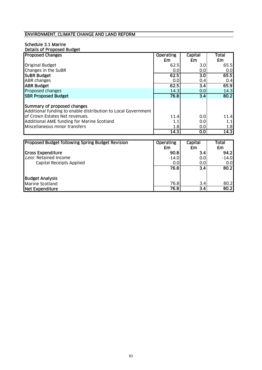#### Schedule 3.1 Marine Details of Proposed Budget

| <b>Proposed Changes</b>                                                                      | <b>Operating</b> | Capital          | Total |
|----------------------------------------------------------------------------------------------|------------------|------------------|-------|
|                                                                                              | £m               | £m               | £m    |
| <b>Original Budget</b>                                                                       | 62.5             | 3.0              | 65.5  |
| Changes in the SuBR                                                                          | 0.0              | 0.0              | 0.0   |
| <b>SUBR Budget</b>                                                                           | 62.5             | 3.0              | 65.5  |
| <b>ABR</b> changes                                                                           | 0.0              | 0.4              | 0.4   |
| <b>JABR Budget</b>                                                                           | 62.5             | 3.4              | 65.9  |
| Proposed changes                                                                             | 14.3             | 0.0              | 14.3  |
| <b>SBR Proposed Budget</b>                                                                   | 76.8             | $\overline{3.4}$ | 80.2  |
| Summary of proposed changes<br>Additional funding to enable distribution to Local Government |                  |                  |       |
| of Crown Estates Net revenues.                                                               | 11.4             | 0.0              | 11.4  |
| Additional AME funding for Marine Scotland                                                   | 1.1              | 0.0              | 1.1   |
| Miscellaneous minor transfers                                                                | 1.8              | 0.0              | 1.8   |
|                                                                                              | 14.3             | 0.0              | 14.3  |
|                                                                                              |                  |                  |       |
| <b>Proposed Budget following Spring Budget Pevision</b>                                      | <b>Onerating</b> | Canital          | Total |

| <b>Proposed Budget following Spring Budget Revision</b> | Operating | Capital          | Total   |
|---------------------------------------------------------|-----------|------------------|---------|
|                                                         | £m        | £m               | £m      |
| Gross Expenditure                                       | 90.8      | $3.4^{\circ}$    | 94.2    |
| Less: Retained Income                                   | $-14.0$   | 0.0 <sub>l</sub> | $-14.0$ |
| Capital Receipts Applied                                | 0.0       | 0.01             | 0.0     |
|                                                         | 76.8      | 3.4              | 80.2    |
| <b>Budget Analysis</b>                                  |           |                  |         |
| <b>Marine Scotland</b>                                  | 76.8      | 3.4              | 80.2    |
| Net Expenditure                                         | 76.8      | $\overline{3.4}$ | 80.2    |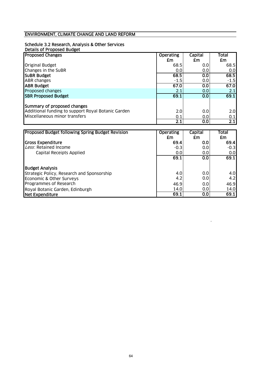# Schedule 3.2 Research, Analysis & Other Services

| Details of Proposed Budget                         |                  |         |                  |
|----------------------------------------------------|------------------|---------|------------------|
| <b>Proposed Changes</b>                            | <b>Operating</b> | Capital | Total            |
|                                                    | £m               | £m      | £m               |
| <b>Original Budget</b>                             | 68.5             | 0.0     | 68.5             |
| Changes in the SuBR                                | 0.0              | 0.0     | 0.0              |
| <b>SUBR Budget</b>                                 | 68.5             | 0.0     | 68.5             |
| <b>ABR</b> changes                                 | $-1.5$           | 0.0     | $-1.5$           |
| <b>ABR Budget</b>                                  | 67.0             | 0.0     | 67.0             |
| Proposed changes                                   | 2.1              | 0.0     | 2.1              |
| <b>SBR Proposed Budget</b>                         | 69.1             | 0.0     | 69.1             |
| Summary of proposed changes                        |                  |         |                  |
| Additional funding to support Royal Botanic Garden | 2.0              | 0.0     | 2.0              |
| Miscellaneous minor transfers                      | 0.1              | 0.0     | 0.1              |
|                                                    | $\overline{2.1}$ | 0.0     | $\overline{2.1}$ |

| <b>Proposed Budget following Spring Budget Revision</b> | <b>Operating</b> | Capital | Total  |
|---------------------------------------------------------|------------------|---------|--------|
|                                                         | £m               | £m      | £m     |
| <b>Gross Expenditure</b>                                | 69.4             | 0.0     | 69.4   |
| Less: Retained Income                                   | $-0.3$           | 0.0     | $-0.3$ |
| Capital Receipts Applied                                | 0.0              | 0.0     | 0.0    |
|                                                         | 69.1             | 0.0     | 69.1   |
| <b>Budget Analysis</b>                                  |                  |         |        |
| Strategic Policy, Research and Sponsorship              | 4.0              | 0.0     | 4.0    |
| Economic & Other Surveys                                | 4.2              | 0.0     | 4.2    |
| Programmes of Research                                  | 46.9             | 0.0     | 46.9   |
| Royal Botanic Garden, Edinburgh                         | 14.0             | 0.0     | 14.0   |
| Net Expenditure                                         | 69.1             | 0.0     | 69.1   |

.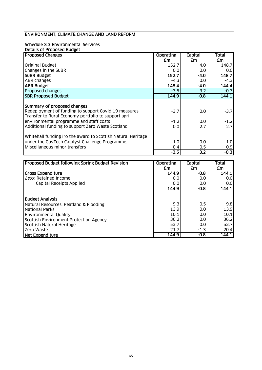#### Schedule 3.3 Environmental Services Details of Proposed Budget

| <b>Details of Froposed Bodget</b>                            |                  |         |        |
|--------------------------------------------------------------|------------------|---------|--------|
| <b>Proposed Changes</b>                                      | <b>Operating</b> | Capital | Total  |
|                                                              | £m               | £m      | £m     |
| <b>Original Budget</b>                                       | 152.7            | -4.0    | 148.7  |
| Changes in the SuBR                                          | 0.0              | 0.0     | 0.0    |
| <b>SUBR Budget</b>                                           | 152.7            | -4.0    | 148.7  |
| <b>ABR</b> changes                                           | $-4.3$           | 0.0     | $-4.3$ |
| <b>ABR Budget</b>                                            | 148.4            | $-4.0$  | 144.4  |
| Proposed changes                                             | $-3.5$           | 3.2     | $-0.3$ |
| <b>SBR Proposed Budget</b>                                   | 144.9            | $-0.8$  | 144.1  |
|                                                              |                  |         |        |
| Summary of proposed changes                                  |                  |         |        |
| Redeployment of funding to support Covid 19 measures         | $-3.7$           | 0.0     | $-3.7$ |
| Transfer to Rural Economy portfolio to support agri-         |                  |         |        |
| environmental programme and staff costs                      | $-1.2$           | 0.0     | $-1.2$ |
| Additional funding to support Zero Waste Scotland            | 0.0              | 2.7     | 2.7    |
|                                                              |                  |         |        |
| Whitehall funding iro the award to Scottish Natural Heritage |                  |         |        |
| under the GovTech Catalyst Challenge Programme.              | 1.0              | 0.0     | 1.0    |
| Miscellaneous minor transfers                                | 0.4              | 0.5     | 0.9    |
|                                                              | $-3.5$           | 3.2     | $-0.3$ |

| Proposed Budget following Spring Budget Revision | <b>Operating</b> | <b>Capital</b> | Total |
|--------------------------------------------------|------------------|----------------|-------|
|                                                  | £m               | £m             | £m    |
| Gross Expenditure                                | 144.9            | $-0.8$         | 144.1 |
| Less: Retained Income                            | 0.0              | 0.0            | 0.0   |
| Capital Receipts Applied                         | 0.0              | 0.0            | 0.0   |
|                                                  | 144.9            | $-0.8$         | 144.1 |
|                                                  |                  |                |       |
| <b>Budget Analysis</b>                           |                  |                |       |
| Natural Resources, Peatland & Flooding           | 9.3              | 0.5            | 9.8   |
| <b>National Parks</b>                            | 13.9             | 0.0            | 13.9  |
| <b>Environmental Quality</b>                     | 10.1             | 0.0            | 10.1  |
| Scottish Environment Protection Agency           | 36.2             | 0.0            | 36.2  |
| Scottish Natural Heritage                        | 53.7             | 0.0            | 53.7  |
| Zero Waste                                       | 21.7             | $-1.3$         | 20.4  |
| Net Expenditure                                  | 144.9            | $-0.8$         | 144.1 |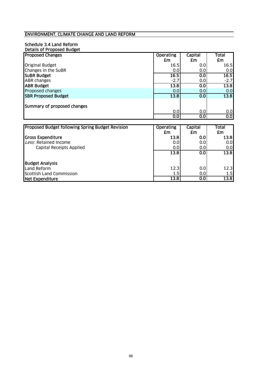#### Schedule 3.4 Land Reform Details of Proposed Budget

| Detans of Froposed Douget<br><b>Proposed Changes</b> | <b>Operating</b> | Capital | <b>Total</b> |
|------------------------------------------------------|------------------|---------|--------------|
|                                                      | £m               | £m      | £m           |
| <b>Original Budget</b>                               | 16.5             | 0.0     | 16.5         |
| Changes in the SuBR                                  | 0.0              | 0.0     | 0.0          |
| <b>SUBR Budget</b>                                   | 16.5             | 0.0     | 16.5         |
| <b>ABR</b> changes                                   | $-2.7$           | 0.0     | $-2.7$       |
| <b>ABR Budget</b>                                    | 13.8             | 0.0     | 13.8         |
| Proposed changes                                     | 0.0              | 0.0     | 0.0          |
| <b>SBR Proposed Budget</b>                           | 13.8             | 0.0     | 13.8         |
| Summary of proposed changes                          |                  |         |              |
|                                                      | 0.0              | 0.0     | 0.0          |
|                                                      | 0.0              | 0.0     | 0.0          |
|                                                      |                  |         |              |
| Proposed Budget following Spring Budget Revision     | <b>Operating</b> | Capital | <b>Total</b> |
|                                                      | £m               | £m      | <b>£m</b>    |
| <b>Gross Expenditure</b>                             | 13.8             | 0.0     | 13.8         |
| Less: Retained Income                                | 0.0              | 0.0     | 0.0          |
| Capital Receipts Applied                             | 0.0              | 0.0     | 0.0          |
|                                                      | 13.8             | 0.0     | 13.8         |
| <b>Budget Analysis</b>                               |                  |         |              |
| Land Reform                                          | 12.3             | 0.0     | 12.3         |
| <b>Scottish Land Commission</b>                      | 1.5              | 0.0     | 1.5          |
| <b>Net Expenditure</b>                               | 13.8             | 0.0     | 13.8         |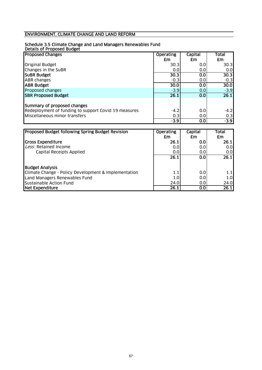## ENVIRONMENT, CLIMATE CHANGE AND LAND REFORM

#### Schedule 3.5 Climate Change and Land Managers Renewables Fund

Details of Proposed Budget

| <b>Proposed Changes</b>                              | <b>Operating</b> | <b>Capital</b> | Total  |
|------------------------------------------------------|------------------|----------------|--------|
|                                                      | £m               | £m             | £m     |
| <b>Original Budget</b>                               | 30.3             | 0.0            | 30.3   |
| Changes in the SuBR                                  | 0.0              | 0.0            | 0.0    |
| <b>SUBR Budget</b>                                   | 30.3             | 0.0            | 30.3   |
| <b>ABR</b> changes                                   | $-0.3$           | 0.0            | $-0.3$ |
| <b>ABR Budget</b>                                    | 30.0             | 0.0            | 30.0   |
| Proposed changes                                     | $-3.9$           | 0.0            | $-3.9$ |
| <b>SBR Proposed Budget</b>                           | 26.1             | 0.0            | 26.1   |
|                                                      |                  |                |        |
| Summary of proposed changes                          |                  |                |        |
| Redeployment of funding to support Covid 19 measures | $-4.2$           | 0.0            | $-4.2$ |
| Miscellaneous minor transfers                        | 0.3              | 0.0            | 0.3    |
|                                                      | $-3.9$           | 0.01           | $-3.9$ |

| <b>Proposed Budget following Spring Budget Revision</b> | <b>Operating</b><br>£m | <b>Capital</b><br>£m | Total<br>£m |
|---------------------------------------------------------|------------------------|----------------------|-------------|
| <b>Gross Expenditure</b>                                | 26.1                   | 0.0                  | 26.1        |
| Less: Retained Income                                   | 0.0                    | 0.0                  | 0.0         |
| Capital Receipts Applied                                | 0.0                    | 0.01                 | 0.0         |
|                                                         | 26.1                   | 0.0                  | 26.1        |
| <b>Budget Analysis</b>                                  |                        |                      |             |
| Climate Change - Policy Development & Implementation    | $1.1\,$                | 0.0                  | 1.1         |
| Land Managers Renewables Fund                           | 1.0                    | 0.0                  | 1.0         |
| Sustainable Action Fund                                 | 24.0                   | 0.0 <sub>l</sub>     | 24.0        |
| <b>Net Expenditure</b>                                  | 26.1                   | 0.0                  | 26.1        |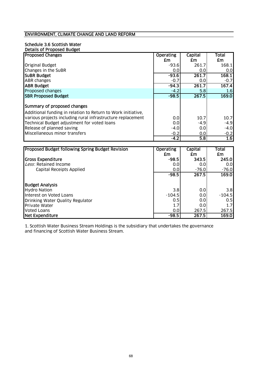### ENVIRONMENT, CLIMATE CHANGE AND LAND REFORM

#### Schedule 3.6 Scottish Water Details of Proposed Budget

| <b>Proposed Changes</b>                                      | <b>Operating</b> | Capital | <b>Total</b> |
|--------------------------------------------------------------|------------------|---------|--------------|
|                                                              | £m               | £m      | £m           |
| <b>Original Budget</b>                                       | $-93.6$          | 261.7   | 168.1        |
| Changes in the SuBR                                          | 0.0              | 0.0     | 0.0          |
| <b>SUBR Budget</b>                                           | $-93.6$          | 261.7   | 168.1        |
| <b>ABR</b> changes                                           | $-0.7$           | 0.0     | $-0.7$       |
| <b>JABR Budget</b>                                           | $-94.3$          | 261.7   | 167.4        |
| Proposed changes                                             | $-4.2$           | 5.8     | 1.6          |
| <b>SBR Proposed Budget</b>                                   | $-98.5$          | 267.5   | 169.0        |
|                                                              |                  |         |              |
| Summary of proposed changes                                  |                  |         |              |
| Additional funding in relation to Return to Work initiative, |                  |         |              |
| various projects including rural infrastructure replacement  | 0.0              | 10.7    | 10.7         |
| Technical Budget adjustment for voted loans                  | 0.0              | $-4.9$  | $-4.9$       |
| Release of planned saving                                    | $-4.0$           | 0.0     | $-4.0$       |
| Miscellaneous minor transfers                                | $-0.2$           | 0.0     | $-0.2$       |
|                                                              | $-4.2$           | 5.8     | 1.6          |

| Proposed Budget following Spring Budget Revision | <b>Operating</b> | Capital | Total    |
|--------------------------------------------------|------------------|---------|----------|
|                                                  | £m               | £m      | £m       |
| <b>Gross Expenditure</b>                         | $-98.5$          | 343.5   | 245.0    |
| Less: Retained Income                            | 0.0              | 0.0     | 0.0      |
| <b>Capital Receipts Applied</b>                  | 0.0              | $-76.0$ | $-76.0$  |
|                                                  | $-98.5$          | 267.5   | 169.0    |
| <b>Budget Analysis</b>                           |                  |         |          |
| <b>Hydro Nation</b>                              | 3.8              | 0.0     | 3.8      |
| Interest on Voted Loans                          | $-104.5$         | 0.0     | $-104.5$ |
| Drinking Water Quality Regulator                 | 0.5              | 0.0     | 0.5      |
| <b>Private Water</b>                             | 1.7              | 0.0     | 1.7      |
| Voted Loans                                      | 0.0              | 267.5   | 267.5    |
| Net Expenditure                                  | $-98.5$          | 267.5   | 169.0    |

1. Scottish Water Business Stream Holdings is the subsidiary that undertakes the governance and financing of Scottish Water Business Stream.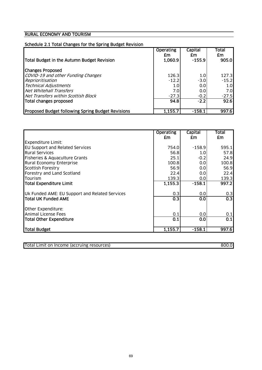|  | Schedule 2.1 Total Changes for the Spring Budget Revision |
|--|-----------------------------------------------------------|
|  |                                                           |

| Total Budget in the Autumn Budget Revision               | <b>Operating</b><br>£m<br>1,060.9 | Capital<br>£m<br>$-155.9$ | Total<br>£m<br>905.0 |
|----------------------------------------------------------|-----------------------------------|---------------------------|----------------------|
| <b>Changes Proposed</b>                                  |                                   |                           |                      |
| COVID-19 and other Funding Changes                       | 126.3                             | 1.0                       | 127.3                |
| Reprioritisation                                         | $-12.2$                           | $-3.0$                    | $-15.2$              |
| <b>Technical Adjustments</b>                             | 1.0                               | 0.01                      | 1.0 <sub>l</sub>     |
| Net Whitehall Transfers                                  | 7.0                               | 0.0                       | 7.0                  |
| Net Transfers within Scottish Block                      | $-27.3$                           | $-0.2$                    | $-27.5$              |
| Total changes proposed                                   | 94.8                              | $-2.2$                    | 92.6                 |
| <b>Proposed Budget following Spring Budget Revisions</b> | 1,155.7                           | -158.1                    | 997.6                |

|                                                | <b>Operating</b> | Capital  | Total            |
|------------------------------------------------|------------------|----------|------------------|
|                                                | £m               | £m       | £m               |
| <b>Expenditure Limit:</b>                      |                  |          |                  |
| <b>EU Support and Related Services</b>         | 754.0            | $-158.9$ | 595.1            |
| <b>Rural Services</b>                          | 56.8             | 1.0      | 57.8             |
| Fisheries & Aquaculture Grants                 | 25.1             | $-0.2$   | 24.9             |
| <b>Rural Economy Enterprise</b>                | 100.8            | 0.0      | 100.8            |
| Scottish Forestry                              | 56.9             | 0.0      | 56.9             |
| Forestry and Land Scotland                     | 22.4             | 0.0      | 22.4             |
| Tourism                                        | 139.3            | 0.0      | 139.3            |
| Total Expenditure Limit                        | 1,155.3          | $-158.1$ | 997.2            |
| Uk Funded AME: EU Support and Related Services | 0.3              | 0.0      | 0.3              |
| <b>Total UK Funded AME</b>                     | 0.3              | 0.0      | $\overline{0.3}$ |
| Other Expenditure:                             |                  |          |                  |
| <b>Animal License Fees</b>                     | 0.1              | 0.0      | 0.1              |
| <b>Total Other Expenditure</b>                 | 0.1              | 0.0      | 0.1              |
| Total Budget                                   | 1,155.7          | $-158.1$ | 997.6            |

| <b>Total</b><br>resources)<br>(accruing<br><b>Income</b><br>Limit<br>on | 800.0 |
|-------------------------------------------------------------------------|-------|
|                                                                         |       |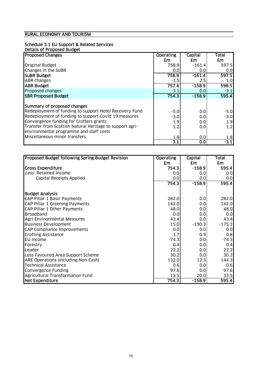# Schedule 3.1 EU Support & Related Services

| Details of Proposed Budget                               |                  |          |        |
|----------------------------------------------------------|------------------|----------|--------|
| <b>Proposed Changes</b>                                  | <b>Operating</b> | Capital  | Total  |
|                                                          | £m               | £m       | £m     |
| <b>Original Budget</b>                                   | 758.9            | $-161.4$ | 597.5I |
| Changes in the SuBR                                      | 0.0              | 0.0      | 0.0    |
| <b>SUBR Budget</b>                                       | 758.9            | $-161.4$ | 597.5  |
| <b>ABR</b> changes                                       | $-1.5$           | $2.5\,$  | 1.0    |
| <b>ABR Budget</b>                                        | 757.4            | $-158.9$ | 598.5  |
| Proposed changes                                         | $-3.1$           | 0.0      | $-3.1$ |
| <b>SBR Proposed Budget</b>                               | 754.3            | $-158.9$ | 595.4  |
|                                                          |                  |          |        |
| Summary of proposed changes                              |                  |          |        |
| Redeployment of funding to support Hotel Recovery Fund   | $-5.0$           | 0.0      | $-5.0$ |
| Redeployment of funding to support Covid 19 measures     | $-3.0$           | 0.0      | $-3.0$ |
| Convergence funding for Crofters grants                  | 1.9              | 0.0      | 1.9    |
| Transfer from Scottish Natural Heritage to support agri- | 1.2              | 0.0      | 1.2    |
| environmental programme and staff costs                  |                  |          |        |
| Miscellaneous minor transfers                            | 1.8              | 0.0      | 1.8    |
|                                                          | $-3.1$           | 0.0      | $-3.1$ |

| Proposed Budget following Spring Budget Revision | <b>Operating</b> | Capital  | <b>Total</b> |
|--------------------------------------------------|------------------|----------|--------------|
|                                                  | £m               | £m       | <b>£m</b>    |
| <b>Gross Expenditure</b>                         | 754.3            | $-158.9$ | 595.4        |
| Less: Retained Income                            | 0.0              | 0.0      | 0.0          |
| Capital Receipts Applied                         | 0.0              | 0.0      | 0.0          |
|                                                  | 754.3            | $-158.9$ | 595.4        |
| <b>Budget Analysis</b>                           |                  |          |              |
| CAP Pillar 1 Basic Payments                      | 282.0            | 0.0      | 282.0        |
| CAP Pillar 1 Greening Payments                   | 142.0            | 0.0      | 142.0        |
| CAP Pillar 1 Other Payments                      | 48.0             | 0.0      | 48.0         |
| <b>Broadband</b>                                 | 0.0              | 0.0      | 0.0          |
| Agri Environmental Measures                      | 43.4             | 0.0      | 43.4         |
| <b>Business Development</b>                      | 15.0             | $-190.3$ | $-175.3$     |
| <b>CAP Compliance Improvements</b>               | 0.0              | 0.0      | 0.0          |
| <b>Crofting Assistance</b>                       | 1.7              | $-0.9$   | 0.8          |
| <b>EU Income</b>                                 | $-74.3$          | 0.0      | $-74.3$      |
| Forestry                                         | 0.4              | 0.0      | 0.4          |
| Leader                                           | 22.2             | 0.0      | 22.2         |
| Less Favoured Area Support Scheme                | 30.2             | 0.0      | 30.2         |
| ARE Operations (including Non-Cash)              | 132.0            | 12.3     | 144.3        |
| <b>Technical Assistance</b>                      | 0.6              | 0.0      | 0.6          |
| Convergence Funding                              | 97.6             | 0.0      | 97.6         |
| Agricultural Transformation Fund                 | 13.5             | 20.0     | 33.5         |
| <b>Net Expenditure</b>                           | 754.3            | $-158.9$ | 595.4        |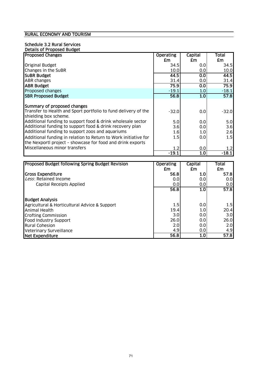# Schedule 3.2 Rural Services

| Details of Proposed Budget                                                                                             |                  |         |         |
|------------------------------------------------------------------------------------------------------------------------|------------------|---------|---------|
| <b>Proposed Changes</b>                                                                                                | <b>Operating</b> | Capital | Total   |
|                                                                                                                        | £m               | £m      | £m      |
| <b>Original Budget</b>                                                                                                 | 34.5             | 0.0     | 34.5I   |
| Changes in the SuBR                                                                                                    | 10.0             | 0.0     | 10.0    |
| <b>SUBR Budget</b>                                                                                                     | 44.5             | 0.0     | 44.5    |
| <b>ABR</b> changes                                                                                                     | 31.4             | 0.0     | 31.4    |
| <b>ABR Budget</b>                                                                                                      | 75.9             | 0.0     | 75.9    |
| Proposed changes                                                                                                       | $-19.1$          | 1.0     | $-18.1$ |
| <b>SBR Proposed Budget</b>                                                                                             | 56.8             | 1.0     | 57.8    |
| Summary of proposed changes<br>Transfer to Health and Sport portfolio to fund delivery of the<br>shielding box scheme. | $-32.0$          | 0.0     | $-32.0$ |
| Additional funding to support food & drink wholesale sector                                                            | 5.0              | 0.0     | 5.0     |
| Additional funding to support food & drink recovery plan                                                               | 3.6              | 0.0     | 3.6     |
| Additional funding to support zoos and aquariums                                                                       | 1.6              | 1.0     | 2.6     |
| Additional funding in relation to Return to Work initiative for                                                        | 1.5              | 0.0     | 1.5     |
| the Nexportl project - showcase for food and drink exports                                                             |                  |         |         |
| Miscellaneous minor transfers                                                                                          | 1.2              | 0.0     | 1.2     |
|                                                                                                                        | $-19.1$          | 1.0     | $-18.1$ |

| <b>Proposed Budget following Spring Budget Revision</b> | <b>Operating</b> | Capital | <b>Total</b>     |
|---------------------------------------------------------|------------------|---------|------------------|
|                                                         | £m               | £m      | £m               |
| <b>Gross Expenditure</b>                                | 56.8             | 1.0     | 57.8             |
| Less: Retained Income                                   | 0.0              | 0.0     | 0.0              |
| Capital Receipts Applied                                | 0.0              | 0.0     | 0.0              |
|                                                         | 56.8             | 1.0     | 57.8             |
| <b>Budget Analysis</b>                                  |                  |         |                  |
| Agricultural & Horticultural Advice & Support           | 1.5              | 0.0     | 1.5              |
| Animal Health                                           | 19.4             | 1.0     | 20.4             |
| <b>Crofting Commission</b>                              | 3.0              | 0.0     | 3.0 <sub>l</sub> |
| Food Industry Support                                   | 26.0             | 0.0     | 26.0             |
| <b>Rural Cohesion</b>                                   | 2.0              | 0.0     | 2.0              |
| <b>Veterinary Surveillance</b>                          | 4.9              | 0.0     | 4.9              |
| Net Expenditure                                         | 56.8             | 1.0     | 57.8             |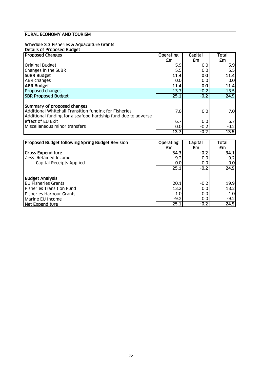## Schedule 3.3 Fisheries & Aquaculture Grants

|  | Details of Proposed Budget |  |
|--|----------------------------|--|
|  |                            |  |
|  |                            |  |

| <b>Proposed Changes</b>                                       | <b>Operating</b> | Capital | Total  |
|---------------------------------------------------------------|------------------|---------|--------|
|                                                               | £m               | £m      | £m     |
| <b>Original Budget</b>                                        | 5.9              | 0.0     | 5.9    |
| Changes in the SuBR                                           | 5.5              | 0.0     | 5.5    |
| <b>SUBR Budget</b>                                            | 11.4             | 0.0     | 11.4   |
| <b>ABR</b> changes                                            | 0.0              | 0.0     | 0.0    |
| <b>ABR Budget</b>                                             | 11.4             | 0.0     | 11.4   |
| Proposed changes                                              | 13.7             | $-0.2$  | 13.5   |
| <b>SBR Proposed Budget</b>                                    | 25.1             | $-0.2$  | 24.9   |
|                                                               |                  |         |        |
| Summary of proposed changes                                   |                  |         |        |
| Additional Whitehall Transition funding for Fisheries         | 7.0              | 0.0     | 7.0    |
| Additional funding for a seafood hardship fund due to adverse |                  |         |        |
| effect of EU Exit                                             | 6.7              | 0.0     | 6.7    |
| Miscellaneous minor transfers                                 | 0.0              | $-0.2$  | $-0.2$ |
|                                                               | 13.7             | $-0.2$  | 13.5   |

| <b>Proposed Budget following Spring Budget Revision</b> | <b>Operating</b> | Capital | Total  |
|---------------------------------------------------------|------------------|---------|--------|
|                                                         | £m               | £m      | £m     |
| <b>Gross Expenditure</b>                                | 34.3             | $-0.2$  | 34.1   |
| Less: Retained Income                                   | $-9.2$           | 0.0     | $-9.2$ |
| Capital Receipts Applied                                | 0.0              | 0.0     | 0.0    |
|                                                         | 25.1             | $-0.2$  | 24.9   |
| <b>Budget Analysis</b>                                  |                  |         |        |
| <b>EU Fisheries Grants</b>                              | 20.1             | $-0.2$  | 19.9   |
| <b>Fisheries Transition Fund</b>                        | 13.2             | 0.0     | 13.2   |
| <b>Fisheries Harbour Grants</b>                         | 1.0              | 0.0     | 1.0    |
| Marine EU Income                                        | $-9.2$           | 0.0     | $-9.2$ |
| Net Expenditure                                         | 25.1             | $-0.2$  | 24.9   |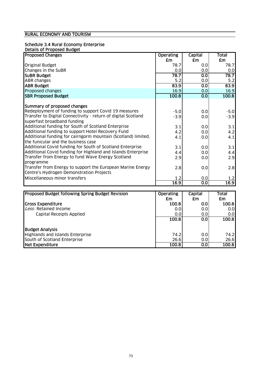#### Schedule 3.4 Rural Economy Enterprise

#### Details of Proposed Budget

| <b>Proposed Changes</b>                                       | <b>Operating</b> | <b>Capital</b>   | <b>Total</b> |
|---------------------------------------------------------------|------------------|------------------|--------------|
|                                                               | £m               | £m               | £m           |
| <b>Original Budget</b>                                        | 78.7             | 0.0              | 78.7         |
| Changes in the SuBR                                           | 0.0              | 0.0              | 0.0          |
| <b>SUBR Budget</b>                                            | 78.7             | 0.0              | 78.7         |
| <b>ABR</b> changes                                            | 5.2              | 0.0              | 5.2          |
| <b>ABR Budget</b>                                             | 83.9             | 0.0              | 83.9         |
| Proposed changes                                              | 16.9             | 0.0              | 16.9         |
| <b>SBR Proposed Budget</b>                                    | 100.8            | $\overline{0.0}$ | 100.8        |
| Summary of proposed changes                                   |                  |                  |              |
| Redeployment of funding to support Covid 19 measures          | $-5.0$           | 0.0              | $-5.0$       |
| Transfer to Digital Connectivity - return of digital Scotland | $-3.9$           | 0.0              | $-3.9$       |
| superfast broadband funding                                   |                  |                  |              |
| Additional funding for South of Scotland Enterprise           | 3.1              | 0.0              | 3.1          |
| Additional funding to support Hotel Recovery Fund             | 4.2              | 0.0              | 4.2          |
| Additional funding for cairngorm mountain (Scotland) limited, | 4.1              | 0.0              | 4.1          |
| the funicular and the business case                           |                  |                  |              |
| Additional Covid funding for South of Scotland Enterprise     | 3.1              | 0.0              | 3.1          |
| Additional Covid funding for Highland and Islands Enterprise  | 4.4              | 0.0              | 4.4          |
| Transfer from Energy to fund Wave Energy Scotland             | 2.9              | 0.0              | 2.9          |
| programme                                                     |                  |                  |              |
| Transfer from Energy to support the European Marine Energy    | 2.8              | 0.0              | 2.8          |
| Centre's Hydrogen Demonstration Projects                      |                  |                  |              |
| Miscellaneous minor transfers                                 | 1.2              | 0.0              | 1.2          |
|                                                               | 16.9             | 0.0              | 16.9         |
|                                                               |                  |                  |              |
| <b>Proposed Budget following Spring Budget Revision</b>       | <b>Operating</b> | <b>Capital</b>   | Total        |

| <b>Proposed Budget following Spring Budget Revision</b> | <b>Operating</b><br>£m | <b>Capital</b><br>£m | Total<br>£m      |
|---------------------------------------------------------|------------------------|----------------------|------------------|
| <b>Gross Expenditure</b>                                | 100.8                  | 0.0                  | 100.8            |
| Less: Retained Income                                   | 0.0                    | 0.0                  | 0.0 <sub>l</sub> |
| Capital Receipts Applied                                | 0.0                    | 0.0                  | 0.0 <sub>l</sub> |
|                                                         | 100.8                  | 0.0                  | 100.8            |
| <b>Budget Analysis</b>                                  |                        |                      |                  |
| Highlands and Islands Enterprise                        | 74.2                   | 0.0                  | 74.2             |
| South of Scotland Enterprise                            | 26.6                   | 0.0                  | 26.6             |
| Net Expenditure                                         | 100.8                  | 0.0                  | 100.8            |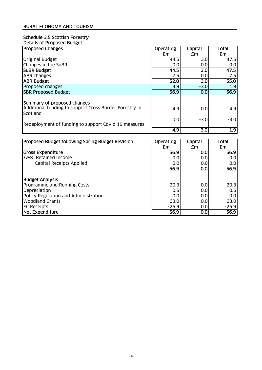#### Schedule 3.5 Scottish Forestry Details of Proposed Budget

| <b>Proposed Changes</b>                                            | <b>Operating</b> | Capital | Total  |
|--------------------------------------------------------------------|------------------|---------|--------|
|                                                                    | £m               | £m      | £m     |
| <b>Original Budget</b>                                             | 44.5             | 3.0     | 47.5   |
| Changes in the SuBR                                                | 0.0              | 0.0     | 0.0    |
| <b>SUBR Budget</b>                                                 | 44.5             | 3.0     | 47.5   |
| <b>ABR changes</b>                                                 | 7.5              | 0.0     | 7.5    |
| <b>ABR Budget</b>                                                  | 52.0             | 3.0     | 55.0   |
| Proposed changes                                                   | 4.9              | $-3.0$  | 1.9    |
| <b>SBR Proposed Budget</b>                                         | 56.9             | 0.0     | 56.9   |
|                                                                    |                  |         |        |
| Summary of proposed changes                                        |                  |         |        |
| Additional funding to support Cross Border Forestry in<br>Scotland | 4.9              | 0.0     | 4.9    |
| Redeployment of funding to support Covid 19 measures               | 0.0              | $-3.0$  | $-3.0$ |
|                                                                    | 4.9              | $-3.0$  | 1.9    |

| <b>Proposed Budget following Spring Budget Revision</b> | <b>Operating</b> | Capital | Total   |
|---------------------------------------------------------|------------------|---------|---------|
|                                                         | £m               | £m      | £m      |
| <b>Gross Expenditure</b>                                | 56.9             | 0.0     | 56.9    |
| Less: Retained Income                                   | 0.0              | 0.0     | 0.0     |
| Capital Receipts Applied                                | 0.0              | 0.0     | 0.0     |
|                                                         | 56.9             | 0.0     | 56.9    |
| <b>Budget Analysis</b>                                  |                  |         |         |
| Programme and Running Costs                             | 20.3             | 0.0     | 20.3    |
| Depreciation                                            | 0.5              | 0.0     | 0.5     |
| Policy Regulation and Administration                    | 0.0              | 0.0     | 0.0     |
| <b>Woodland Grants</b>                                  | 63.0             | 0.0     | 63.0    |
| <b>EC Receipts</b>                                      | $-26.9$          | 0.0     | $-26.9$ |
| Net Expenditure                                         | 56.9             | 0.0     | 56.9    |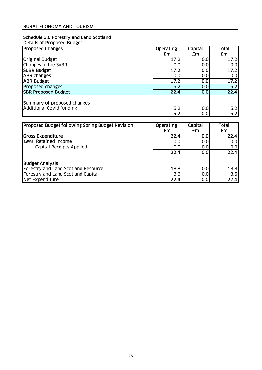#### Schedule 3.6 Forestry and Land Scotland Details of Proposed Budget

| <b>Proposed Changes</b>         | <b>Operating</b> | Capital | Total |
|---------------------------------|------------------|---------|-------|
|                                 | £m               | £m      | £m    |
| <b>Original Budget</b>          | 17.2             | 0.0     | 17.2  |
| Changes in the SuBR             | 0.0              | 0.0     | 0.0   |
| <b>SUBR Budget</b>              | 17.2             | 0.0     | 17.2  |
| <b>ABR</b> changes              | 0.0              | 0.0     | 0.0   |
| <b>ABR Budget</b>               | 17.2             | 0.0     | 17.2  |
| Proposed changes                | 5.2              | 0.0     | 5.2   |
| <b>SBR Proposed Budget</b>      | 22.4             | 0.0     | 22.4  |
|                                 |                  |         |       |
| Summary of proposed changes     |                  |         |       |
| <b>Additional Covid funding</b> | 5.2              | 0.0     | 5.2   |
|                                 | 5.2              | 0.0     | 5.2   |

| <b>Proposed Budget following Spring Budget Revision</b> | <b>Operating</b> | Capital | Total |
|---------------------------------------------------------|------------------|---------|-------|
|                                                         | £m               | £m      | £m    |
| <b>Gross Expenditure</b>                                | 22.4             | 0.0     | 22.4  |
| Less: Retained Income                                   | 0.0              | 0.0     | 0.01  |
| Capital Receipts Applied                                | 0.0              | 0.0     | 0.01  |
|                                                         | 22.4             | 0.0     | 22.4  |
| <b>Budget Analysis</b>                                  |                  |         |       |
| Forestry and Land Scotland Resource                     | 18.8             | 0.0     | 18.8  |
| Forestry and Land Scotland Capital                      | 3.6              | 0.0     | 3.6   |
| Net Expenditure                                         | 22.4             | 0.0     | 22.4  |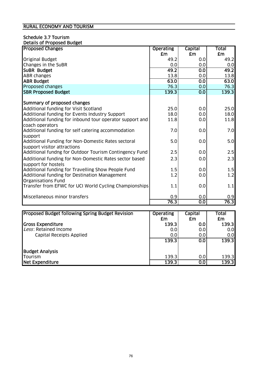#### Schedule 3.7 Tourism Details of Proposed Budget

| <b>Proposed Changes</b>                                                               | <b>Operating</b> | <b>Capital</b> | Total       |
|---------------------------------------------------------------------------------------|------------------|----------------|-------------|
|                                                                                       | £m               | £m             | £m          |
| <b>Original Budget</b>                                                                | 49.2             | 0.0            | 49.2        |
| Changes in the SuBR                                                                   | 0.0              | 0.0            | 0.0         |
| SUBR Budget                                                                           | 49.2             | 0.0            | 49.2        |
| <b>ABR changes</b>                                                                    | 13.8             | 0.0            | 13.8        |
| <b>ABR Budget</b>                                                                     | 63.0             | 0.0            | 63.0        |
| Proposed changes                                                                      | 76.3             | 0.0            | 76.3        |
| <b>SBR Proposed Budget</b>                                                            | 139.3            | 0.0            | 139.3       |
|                                                                                       |                  |                |             |
| Summary of proposed changes                                                           |                  |                |             |
| Additional funding for Visit Scotland                                                 | 25.0             | 0.0            | 25.0        |
| Additional funding for Events Industry Support                                        | 18.0             | 0.0            | 18.0        |
| Additional funding for inbound tour operator support and                              | 11.8             | 0.0            | 11.8        |
| coach operators                                                                       |                  |                |             |
| Additional funding for self catering accommodation                                    | 7.0              | 0.0            | 7.0         |
| support                                                                               |                  |                |             |
| Additional Funding for Non-Domestic Rates sectoral                                    | 5.0              | 0.0            | 5.0         |
| support visitor attractions<br>Additional fundng for Outdoor Tourism Contingency Fund | 2.5              | 0.0            | 2.5         |
|                                                                                       |                  |                |             |
| Additional funding for Non-Domestic Rates sector based                                | 2.3              | 0.0            | 2.3         |
| support for hostels                                                                   |                  |                |             |
| Additional funding for Travelling Show People Fund                                    | 1.5              | 0.0            | 1.5         |
| Additional funding for Destination Management                                         | 1.2              | 0.0            | 1.2         |
| <b>Organisations Fund</b>                                                             |                  |                |             |
| Transfer from EFWC for UCI World Cycling Championships                                | 1.1              | 0.0            | 1.1         |
|                                                                                       |                  |                |             |
| Miscellaneous minor transfers                                                         | 0.9<br>76.3      | 0.0<br>0.0     | 0.9<br>76.3 |
|                                                                                       |                  |                |             |

| Proposed Budget following Spring Budget Revision | <b>Operating</b> | Capital | Total |
|--------------------------------------------------|------------------|---------|-------|
|                                                  | £m               | £m      | £m    |
| <b>Gross Expenditure</b>                         | 139.3            | 0.0     | 139.3 |
| Less: Retained Income                            | 0.0              | 0.0     | 0.0   |
| Capital Receipts Applied                         | 0.0              | 0.0     | 0.0   |
|                                                  | 139.3            | 0.0     | 139.3 |
| <b>Budget Analysis</b>                           |                  |         |       |
| Tourism                                          | 139.3            | 0.0     | 139.3 |
| Net Expenditure                                  | 139.3            | 0.0     | 139.3 |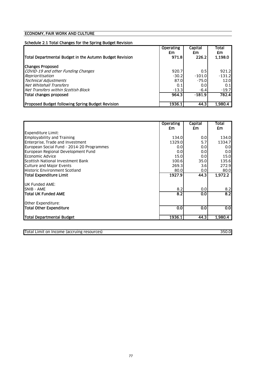## Schedule 2.1 Total Changes for the Spring Budget Revision

| Total Departmental Budget in the Autumn Budget Revision | <b>Operating</b><br>£m<br>971.8 | Capital<br>£m<br>226.2 | Total<br>£m<br>1.198.0 |
|---------------------------------------------------------|---------------------------------|------------------------|------------------------|
| <b>Changes Proposed</b>                                 |                                 |                        |                        |
| COVID-19 and other Funding Changes                      | 920.7                           | 0.5                    | 921.2                  |
| Reprioritisation                                        | $-30.2$                         | $-101.0$               | $-131.2$               |
| <b>Technical Adjustments</b>                            | 87.0                            | $-75.0$                | 12.0                   |
| Net Whitehall Transfers                                 | 0.1                             | 0.0                    | 0.1                    |
| Net Transfers within Scottish Block                     | $-13.3$                         | $-6.4$                 | $-19.7$                |
| Total changes proposed                                  | 964.3                           | $-181.9$               | 782.4                  |
| <b>Proposed Budget following Spring Budget Revision</b> | 1936.1                          | 44.3                   | 1.980.4                |

|                                           | <b>Operating</b> | Capital | Total            |
|-------------------------------------------|------------------|---------|------------------|
|                                           | £m               | £m      | £m               |
| <b>Expenditure Limit:</b>                 |                  |         |                  |
| <b>Employability and Training</b>         | 134.0            | 0.0     | 134.0            |
| Enterprise, Trade and Investment          | 1329.0           | 5.7     | 1334.7           |
| European Social Fund - 2014-20 Programmes | 0.0              | 0.0     | 0.01             |
| European Regional Development Fund        | 0.0              | 0.0     | 0.0 <sub>l</sub> |
| Economic Advice                           | 15.0             | 0.0     | 15.0             |
| Scottish National Investment Bank         | 100.6            | 35.0    | 135.6            |
| Culture and Major Events                  | 269.3            | 3.6     | 272.9            |
| <b>Historic Environment Scotland</b>      | 80.0             | 0.0     | 80.0             |
| Total Expenditure Limit                   | 1927.9           | 44.3    | 1,972.2          |
| <b>UK Funded AME:</b>                     |                  |         |                  |
| <b>SNIB - AME</b>                         | 8.2              | 0.0     | 8.2              |
| <b>ITotal UK Funded AME</b>               | 8.2              | 0.0     | 8.2              |
| Other Expenditure:                        |                  |         |                  |
| Total Other Expenditure                   | 0.0              | 0.0     | 0.0              |
| Total Departmental Budget                 | 1936.1           | 44.3    | 1,980.4          |

Total Limit on Income (accruing resources) 350.0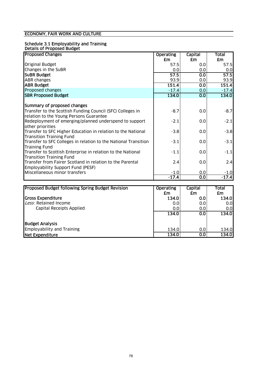#### Schedule 3.1 Employability and Training Details of Proposed Budget

| <b>Proposed Changes</b>                                                                               | <b>Operating</b> | Capital          | Total   |
|-------------------------------------------------------------------------------------------------------|------------------|------------------|---------|
|                                                                                                       | £m               | £m               | £m      |
| <b>Original Budget</b>                                                                                | 57.5             | 0.0              | 57.5    |
| Changes in the SuBR                                                                                   | 0.0              | 0.0              | 0.0     |
| <b>SUBR Budget</b>                                                                                    | 57.5             | 0.0              | 57.5    |
| ABR changes                                                                                           | 93.9             | 0.0              | 93.9    |
| <b>ABR Budget</b>                                                                                     | 151.4            | $\overline{0.0}$ | 151.4   |
| Proposed changes                                                                                      | $-17.4$          | 0.0              | $-17.4$ |
| <b>SBR Proposed Budget</b>                                                                            | 134.0            | 0.0              | 134.0   |
| Summary of proposed changes                                                                           |                  |                  |         |
| Transfer to the Scottish Funding Council (SFC) Colleges in<br>relation to the Young Persons Guarantee | $-8.7$           | 0.0              | $-8.7$  |
| Redeployment of emerging/planned underspend to support<br>other priorities                            | $-2.1$           | 0.0              | $-2.1$  |
| Transfer to SFC Higher Education in relation to the National<br><b>Transition Training Fund</b>       | $-3.8$           | 0.0              | $-3.8$  |
| Transfer to SFC Colleges in relation to the National Transition<br><b>Training Fund</b>               | $-3.1$           | 0.0              | $-3.1$  |
| Transfer to Scottish Enterprise in relation to the National<br><b>Transition Training Fund</b>        | $-1.1$           | 0.0              | $-1.1$  |
| Transfer from Fairer Scotland in relation to the Parental<br>Employability Support Fund (PESF)        | 2.4              | 0.0              | 2.4     |
| Miscellaneous minor transfers                                                                         | $-1.0$           | 0.0              | $-1.0$  |
|                                                                                                       | $-17.4$          | 0.0              | $-17.4$ |

| Proposed Budget following Spring Budget Revision | <b>Operating</b> | Capital | Total |
|--------------------------------------------------|------------------|---------|-------|
|                                                  | £m               | £m      | £m    |
| <b>Gross Expenditure</b>                         | 134.0            | 0.0     | 134.0 |
| Less: Retained Income                            | 0.0              | 0.0     | 0.0   |
| Capital Receipts Applied                         | 0.0              | 0.0     | 0.0   |
|                                                  | 134.0            | 0.0     | 134.0 |
| <b>Budget Analysis</b>                           |                  |         |       |
| <b>Employability and Training</b>                | 134.0            | 0.0     | 134.0 |
| Net Expenditure                                  | 134.0            | 0.0     | 134.0 |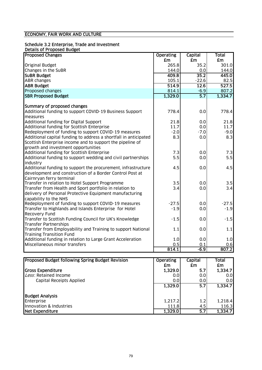### Schedule 3.2 Enterprise, Trade and Investment

#### Details of Proposed Budget

| <b>Proposed Changes</b>                                          | <b>Operating</b> | <b>Capital</b>   | <b>Total</b> |
|------------------------------------------------------------------|------------------|------------------|--------------|
|                                                                  | <b>£m</b>        | <b>£m</b>        | <b>£m</b>    |
| <b>Original Budget</b>                                           | 265.8            | 35.2             | 301.0        |
| Changes in the SuBR                                              | 144.0            | 0.0              | 144.0        |
| <b>SUBR Budget</b>                                               | 409.8            | 35.2             | 445.0        |
| <b>ABR</b> changes                                               | 105.1            | $-22.6$          | 82.5         |
| <b>ABR Budget</b>                                                | 514.9            | 12.6             | 527.5        |
| Proposed changes                                                 | 814.1            | $-6.9$           | 807.2        |
| <b>SBR Proposed Budget</b>                                       | 1,329.0          | $\overline{5.7}$ | 1,334.7      |
|                                                                  |                  |                  |              |
| Summary of proposed changes                                      |                  |                  |              |
| Additional funding to support COVID-19 Business Support          | 778.4            | 0.0              | 778.4        |
| measures                                                         |                  |                  |              |
| Additional funding for Digital Support                           | 21.8             | 0.0              | 21.8         |
| Additional funding for Scottish Enterprise                       | 11.7             | 0.0              | 11.7         |
| Redeployment of funding to support COVID-19 measures             | $-2.0$           | $-7.0$           | $-9.0$       |
| Additional capital funding to address a shortfall in anticipated | 8.3              | 0.0              | 8.3          |
| Scottish Enterprise income and to support the pipeline of        |                  |                  |              |
| growth and investment opportunities                              |                  |                  |              |
| Additional funding for Scottish Enterprise                       | 7.3              | 0.0              | 7.3          |
| Additional funding to support wedding and civil partnerships     | 5.5              | 0.0              | 5.5          |
| industry                                                         |                  |                  |              |
| Additional funding to support the procurement, infrastructure    | 4.5              | 0.0              | 4.5          |
| development and construction of a Border Control Post at         |                  |                  |              |
| Cairnryan ferry terminal                                         |                  |                  |              |
| Transfer in relation to Hotel Support Programme                  | 3.5              | 0.0              | 3.5          |
| Transfer from Health and Sport portfolio in relation to          | 3.4              | 0.0              | 3.4          |
| delivery of Personal Protective Equipment manufacturing          |                  |                  |              |
| capability to the NHS                                            |                  |                  |              |
| Redeployment of funding to support COVID-19 measures             | $-27.5$          | 0.0              | $-27.5$      |
| Transfer to Highlands and Islands Enterprise for Hotel           | $-1.9$           | 0.0              | $-1.9$       |
| Recovery Fund                                                    |                  |                  |              |
| Transfer to Scottish Funding Council for UK's Knowledge          | $-1.5$           | 0.0              | $-1.5$       |
| <b>Transfer Partnerships</b>                                     |                  |                  |              |
| Transfer from Employability and Training to support National     | 1.1              | 0.0              | 1.1          |
| <b>Training Transition Fund</b>                                  |                  |                  |              |
| Additional funding in relation to Large Grant Acceleration       | 1.0              | 0.0              | 1.0          |
| Miscellaneous minor transfers                                    | 0.5              | 0.1              | 0.6          |
|                                                                  | 814.1            | $-6.9$           | 807.2        |
|                                                                  |                  |                  |              |

| Proposed Budget following Spring Budget Revision | <b>Operating</b> | Capital | <b>Total</b> |
|--------------------------------------------------|------------------|---------|--------------|
|                                                  | £m               | £m      | £m           |
| Gross Expenditure                                | 1,329.0          | 5.7     | 1,334.7      |
| Less: Retained Income                            | 0.0              | 0.0     | 0.01         |
| Capital Receipts Applied                         | 0.0              | 0.0     | 0.01         |
|                                                  | 1,329.0          | 5.7     | 1,334.7      |
| <b>Budget Analysis</b>                           |                  |         |              |
| Enterprise                                       | 1,217.2          | 1.2     | 1,218.4      |
| Innovation & Industries                          | 111.8            | 4.5     | 116.3        |
| Net Expenditure                                  | 1.329.0          | 5.7     | 1,334.7      |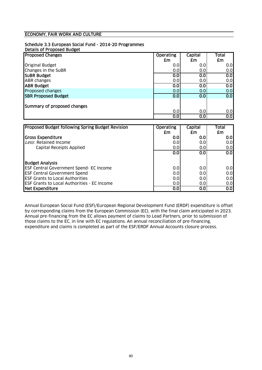#### Schedule 3.3 European Social Fund - 2014-20 Programmes

| Business difference | <b>Details of Proposed Budget</b> |  |
|---------------------|-----------------------------------|--|
|                     |                                   |  |
|                     |                                   |  |

| <b>Proposed Changes</b>                                 | <b>Operating</b> | Capital | Total                   |
|---------------------------------------------------------|------------------|---------|-------------------------|
|                                                         | £m               | £m      | £m                      |
| <b>Original Budget</b>                                  | 0.0              | 0.0     | 0.0                     |
| Changes in the SuBR                                     | 0.0              | 0.0     | 0.0                     |
| <b>SUBR Budget</b>                                      | 0.0              | 0.0     | $\overline{\text{O}}$   |
| <b>ABR</b> changes                                      | 0.0              | 0.0     | 0.0                     |
| <b>ABR Budget</b>                                       | 0.0              | 0.0     | $\overline{0.0}$        |
| Proposed changes                                        | 0.0              | 0.0     | 0.0                     |
| <b>SBR Proposed Budget</b>                              | 0.0              | 0.0     | $\overline{0.0}$        |
|                                                         |                  |         |                         |
| Summary of proposed changes                             |                  |         |                         |
|                                                         | 0.0              | 0.0     | 0.0                     |
|                                                         | 0.0              | 0.0     | $\overline{\textbf{0}}$ |
|                                                         |                  |         |                         |
| <b>Proposed Budget following Spring Budget Revision</b> | <b>Operating</b> | Capital | Total                   |
|                                                         | Fm.              | Fm.     | Fm.                     |

|                                                    | £m  | £m  | £m  |
|----------------------------------------------------|-----|-----|-----|
| <b>Gross Expenditure</b>                           | 0.0 | 0.0 | 0.0 |
| Less: Retained Income                              | 0.0 | 0.0 | 0.0 |
| Capital Receipts Applied                           | 0.0 | 0.0 | 0.0 |
|                                                    | 0.0 | 0.0 | 0.0 |
| <b>Budget Analysis</b>                             |     |     |     |
| <b>ESF Central Government Spend- EC Income</b>     | 0.0 | 0.0 | 0.0 |
| <b>ESF Central Government Spend</b>                | 0.0 | 0.0 | 0.0 |
| <b>ESF Grants to Local Authorities</b>             | 0.0 | 0.0 | 0.0 |
| <b>ESF Grants to Local Authorities - EC Income</b> | 0.0 | 0.0 | 0.0 |
| Net Expenditure                                    | 0.0 | 0.0 | 0.0 |

Annual European Social Fund (ESF)/European Regional Development Fund (ERDF) expenditure is offset by corresponding claims from the European Commission (EC), with the final claim anticipated in 2023. Annual pre-financing from the EC allows payment of claims to Lead Partners, prior to submission of those claims to the EC, in line with EC regulations. An annual reconciliation of pre-financing, expenditure and claims is completed as part of the ESF/ERDF Annual Accounts closure process.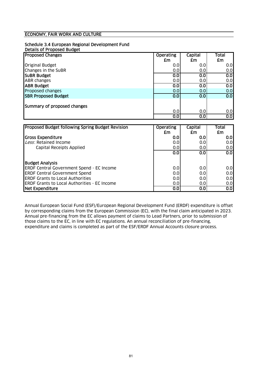#### Schedule 3.4 European Regional Development Fund

| Details of Proposed Budget |
|----------------------------|
|----------------------------|

| <b>Proposed Changes</b>                          | <b>Operating</b> | Capital | <b>Total</b>     |
|--------------------------------------------------|------------------|---------|------------------|
|                                                  | £m               | £m      | £m               |
| <b>Original Budget</b>                           | 0.0              | 0.0     | 0.0              |
| Changes in the SuBR                              | 0.0              | 0.0     | 0.0              |
| <b>SUBR Budget</b>                               | 0.0              | 0.0     | 0.0              |
| <b>ABR changes</b>                               | 0.0              | 0.0     | 0.0              |
| <b>ABR Budget</b>                                | 0.0              | 0.0     | 0.0              |
| Proposed changes                                 | 0.0              | 0.0     | 0.0              |
| <b>SBR Proposed Budget</b>                       | 0.0              | 0.0     | $\overline{0.0}$ |
|                                                  |                  |         |                  |
| Summary of proposed changes                      |                  |         |                  |
|                                                  | 0.0              | 0.0     | 0.0              |
|                                                  | 0.0              | 0.0     | $\overline{0.0}$ |
|                                                  |                  |         |                  |
| Proposed Budget following Spring Budget Revision | <b>Operating</b> | Capital | <b>Total</b>     |
|                                                  | £m               | £m      | £m               |
| <b>Gross Expenditure</b>                         | 0.0              | 0.0     | 0.0              |
| Less: Retained Income                            | 0.0              | 0.0     | 0.0              |
| Capital Receipts Applied                         | 0.0              | 0.0     | 0.0              |
|                                                  | 0.0              | 0.0     | 0.0              |
| <b>Budget Analysis</b>                           |                  |         |                  |

ERDF Central Government Spend - EC Income 0.0 0.0 0.0

ERDF Central Government Spend<br>
ERDF Grants to Local Authorities<br>
0.0 0.0 0.0 0.0 0.0 0.0 ERDF Grants to Local Authorities 0.0 0.0 0.0

Annual European Social Fund (ESF)/European Regional Development Fund (ERDF) expenditure is offset by corresponding claims from the European Commission (EC), with the final claim anticipated in 2023. Annual pre-financing from the EC allows payment of claims to Lead Partners, prior to submission of those claims to the EC, in line with EC regulations. An annual reconciliation of pre-financing, expenditure and claims is completed as part of the ESF/ERDF Annual Accounts closure process.

ERDF Grants to Local Authorities - EC Income 0.0 0.0 0.0 Net Expenditure and the contract of the contract of the contract of the contract of the contract of the contract of the contract of the contract of the contract of the contract of the contract of the contract of the contra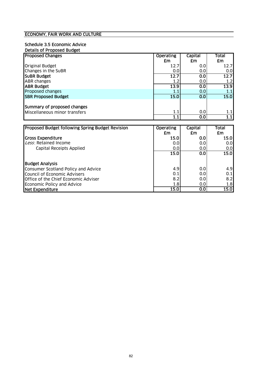## Schedule 3.5 Economic Advice

| Details of Proposed Budget    |                  |         |       |
|-------------------------------|------------------|---------|-------|
| <b>Proposed Changes</b>       | <b>Operating</b> | Capital | Total |
|                               | £m               | £m      | £m    |
| <b>Original Budget</b>        | 12.7             | 0.0     | 12.7  |
| Changes in the SuBR           | 0.0              | 0.0     | 0.0   |
| <b>SUBR Budget</b>            | 12.7             | 0.0     | 12.7  |
| <b>ABR</b> changes            | 1.2              | 0.0     | 1.2   |
| <b>ABR Budget</b>             | 13.9             | 0.0     | 13.9  |
| Proposed changes              | $1.1\,$          | 0.0     | 1.1   |
| <b>SBR Proposed Budget</b>    | 15.0             | 0.0     | 15.0  |
|                               |                  |         |       |
| Summary of proposed changes   |                  |         |       |
| Miscellaneous minor transfers | 1.1              | 0.0     | 1.1   |
|                               |                  | 0.0     | 1.1   |

| Proposed Budget following Spring Budget Revision | <b>Operating</b> | Capital | Total       |
|--------------------------------------------------|------------------|---------|-------------|
|                                                  | £m               | £m      | £m          |
| <b>Gross Expenditure</b>                         | 15.0             | 0.0     | 15.0        |
| Less: Retained Income                            | 0.0              | 0.0     | 0.0         |
| <b>Capital Receipts Applied</b>                  | 0.0              | 0.01    | 0.0         |
|                                                  | 15.0             | 0.0     | <b>15.0</b> |
| <b>Budget Analysis</b>                           |                  |         |             |
| Consumer Scotland Policy and Advice              | 4.9              | 0.0     | 4.9         |
| Council of Economic Advisers                     | 0.1              | 0.0     | 0.1         |
| Office of the Chief Economic Adviser             | 8.2              | 0.0     | 8.2         |
| Economic Policy and Advice                       | 1.8              | 0.0     | 1.8         |
| Net Expenditure                                  | 15.0             | 0.0     | 15.0        |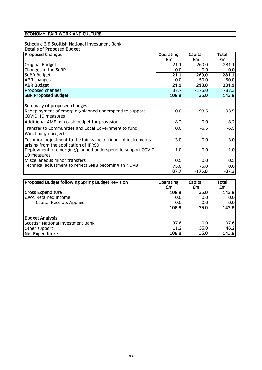# Schedule 3.6 Scottish National Investment Bank

| <b>Desiread Character</b> |                                   |  |
|---------------------------|-----------------------------------|--|
|                           | <b>Details of Proposed Budget</b> |  |
|                           |                                   |  |

| <b>Proposed Changes</b>                                                                                  | <b>Operating</b> | Capital              | Total    |
|----------------------------------------------------------------------------------------------------------|------------------|----------------------|----------|
|                                                                                                          | £m               | £m                   | £m       |
| <b>Original Budget</b>                                                                                   | 21.1             | 260.0                | 281.1    |
| Changes in the SuBR                                                                                      | 0.0              | 0.0                  | 0.0      |
| <b>SUBR Budget</b>                                                                                       | 21.1             | 260.0                | 281.1    |
| <b>ABR</b> changes                                                                                       | 0.0              | $-50.0$              | $-50.0$  |
| <b>ABR Budget</b>                                                                                        | 21.1             | 210.0                | 231.1    |
| Proposed changes                                                                                         | 87.7             | $-175.0$             | $-87.3$  |
| <b>SBR Proposed Budget</b>                                                                               | 108.8            | 35.0                 | 143.8    |
|                                                                                                          |                  |                      |          |
| Summary of proposed changes                                                                              |                  |                      |          |
| Redeployment of emerging/planned underspend to support<br>COVID-19 measures                              | 0.0              | $-93.5$              | $-93.5$  |
| Additional AME non cash budget for provision                                                             | 8.2              | 0.0                  | 8.2      |
| Transfer to Communities and Local Government to fund<br>Winchburgh project                               | 0.0              | $-6.5$               | $-6.5$   |
| Technical adjustment to the fair value of financial instruments<br>arising from the application of IFRS9 | 3.0              | 0.0                  | 3.0      |
| Deployment of emerging/planned underspend to support COVID-<br>19 measures                               | 1.0              | 0.0                  | 1.0      |
| Miscellaneous minor transfers                                                                            | 0.5              | 0.0                  | 0.5      |
| Technical adjustment to reflect SNIB becoming an NDPB                                                    | 75.0             | $-75.0$              | 0.0      |
|                                                                                                          | 87.7             | $-175.0$             | $-87.3$  |
|                                                                                                          |                  |                      |          |
| Droposod Dudget following Caring Dudget Dovision                                                         | $O$ novotino     | $\sim$ naital $\sim$ | $T$ otol |

| <b>Proposed Budget following Spring Budget Revision</b> | <b>Operating</b><br>£m | Capital<br>£m | Total<br>£m |
|---------------------------------------------------------|------------------------|---------------|-------------|
| <b>Gross Expenditure</b>                                | 108.8                  | 35.0          | 143.8       |
| Less: Retained Income                                   | 0.0                    | 0.0           | 0.0         |
| Capital Receipts Applied                                | 0.0                    | 0.0           | 0.0         |
|                                                         | 108.8                  | 35.0          | 143.8       |
| <b>Budget Analysis</b>                                  |                        |               |             |
| Scottish National Investment Bank                       | 97.6                   | 0.0           | 97.6        |
| Other support                                           | 11.2                   | 35.0          | 46.2        |
| Net Expenditure                                         | 108.8                  | 35.0          | 143.8       |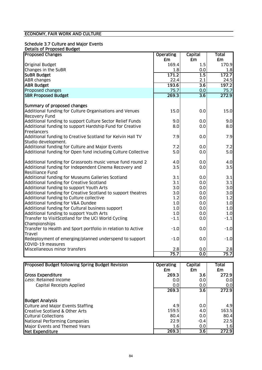#### Schedule 3.7 Culture and Major Events Details of Proposed Budget

| cans or reposed boug<br><b>Proposed Changes</b>                          | <b>Operating</b> | <b>Capital</b>   | <b>Total</b> |
|--------------------------------------------------------------------------|------------------|------------------|--------------|
|                                                                          | £m               | £m               | £m           |
| <b>Original Budget</b>                                                   | 169.4            | 1.5              | 170.9        |
| Changes in the SuBR                                                      | 1.8              | 0.0              | 1.8          |
| <b>SUBR Budget</b>                                                       | 171.2            | $\overline{1.5}$ | 172.7        |
| <b>ABR</b> changes                                                       | 22.4             | 2.1              | 24.5         |
| <b>ABR Budget</b>                                                        | 193.6            | $\overline{3.6}$ | 197.2        |
| Proposed changes                                                         | 75.7             | 0.0              | 75.7         |
| <b>SBR Proposed Budget</b>                                               | 269.3            | $\overline{3.6}$ | 272.9        |
|                                                                          |                  |                  |              |
| Summary of proposed changes                                              |                  |                  |              |
| Additional funding for Culture Organisations and Venues<br>Recovery Fund | 15.0             | 0.0              | 15.0         |
| Additional funding to support Culture Sector Relief Funds                | 9.0              | 0.0              | 9.0          |
| Additional funding to support Hardship Fund for Creative                 | 8.0              | 0.0              | 8.0          |
| Freelancers                                                              |                  |                  |              |
| Additional funding to Creative Scotland for Kelvin Hall TV               | 7.9              | 0.0              | 7.9          |
| Studio development.                                                      |                  |                  |              |
| Additional funding for Culture and Major Events                          | 7.2              | 0.0              | 7.2          |
| Additional funding for Open fund including Culture Collective            | 5.0              | 0.0              | 5.0          |
| Additional funding for Grassroots music venue fund round 2               | 4.0              | 0.0              | 4.0          |
| Additional funding for Independent Cinema Recovery and                   | 3.5              | 0.0              | 3.5          |
| <b>Resilliance Fund</b>                                                  |                  |                  |              |
| Additional funding for Museums Galleries Scotland                        | 3.1              | 0.0              | 3.1          |
| Additional funding for Creative Scotland                                 | 3.1              | 0.0              | 3.1          |
| Additional funding to support Youth Arts                                 | 3.0              | 0.0              | 3.0          |
| Additional funding for Creative Scotland to support theatres             | 3.0              | 0.0              | 3.0          |
| Additional funding to Culture collective                                 | 1.2              | 0.0              | 1.2          |
| Additional funding for V&A Dundee                                        | 1.0              | 0.0              | 1.0          |
| Additional funding for Cultural business support                         | 1.0              | 0.0              | 1.0          |
| Additional funding to support Youth Arts                                 | 1.0              | 0.0              | 1.0          |
| Transfer to VisitScotland for the UCI World Cycling                      | $-1.1$           | 0.0              | $-1.1$       |
| Championships                                                            |                  |                  |              |
| Transfer to Health and Sport portfolio in relation to Active             | $-1.0$           | 0.0              | $-1.0$       |
| Travel                                                                   |                  |                  |              |
| Redeployment of emerging/planned underspend to support                   | $-1.0$           | 0.0              | $-1.0$       |
| COVID-19 measures                                                        |                  |                  |              |
| Miscellaneous minor transfers                                            | 2.8              | 0.0              | 2.8          |
|                                                                          | 75.7             | $\overline{0.0}$ | 75.7         |

| Proposed Budget following Spring Budget Revision | <b>Operating</b> | <b>Capital</b>   | Total  |
|--------------------------------------------------|------------------|------------------|--------|
|                                                  | £m               | £m               | £m     |
| <b>Gross Expenditure</b>                         | 269.3            | 3.6 <sub>1</sub> | 272.9I |
| Less: Retained Income                            | 0.0              | 0.0              | 0.01   |
| Capital Receipts Applied                         | 0.0              | 0.0              | 0.01   |
|                                                  | 269.3            | $\overline{3.6}$ | 272.9  |
| <b>Budget Analysis</b>                           |                  |                  |        |
| Culture and Major Events Staffing                | 4.9              | 0.0              | 4.9    |
| Creative Scotland & Other Arts                   | 159.5            | 4.0              | 163.5  |
| Cultural Collections                             | 80.4             | 0.0              | 80.4   |
| National Performing Companies                    | 22.9             | $-0.4$           | 22.5   |
| Major Events and Themed Years                    | 1.6              | 0.0              | 1.6    |
| Net Expenditure                                  | 269.3            | 3.6              | 272.9  |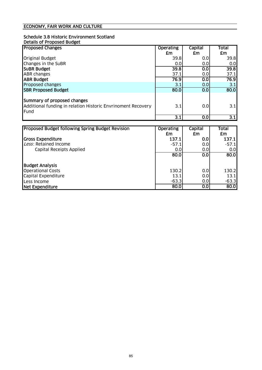#### Schedule 3.8 Historic Environment Scotland Details of Proposed Budget

| <b>Proposed Changes</b>                                                                             | <b>Operating</b> | Capital        | Total            |
|-----------------------------------------------------------------------------------------------------|------------------|----------------|------------------|
|                                                                                                     | £m               | £m             | £m               |
| <b>Original Budget</b>                                                                              | 39.8             | 0.0            | 39.8             |
| Changes in the SuBR                                                                                 | 0.0              | 0.0            | 0.0              |
| <b>SUBR Budget</b>                                                                                  | 39.8             | 0.0            | 39.8             |
| <b>ABR</b> changes                                                                                  | 37.1             | 0.0            | 37.1             |
| <b>ABR Budget</b>                                                                                   | 76.9             | 0.0            | 76.9             |
| Proposed changes                                                                                    | 3.1              | 0.0            | 3.1              |
| <b>SBR Proposed Budget</b>                                                                          | 80.0             | 0.0            | 80.0             |
| Summary of proposed changes<br>Additional funding in relation Historic Envrinoment Recovery<br>Fund | 3.1              | 0.0            | 3.1              |
|                                                                                                     | 3.1              | 0.0            | $\overline{3.1}$ |
|                                                                                                     |                  |                |                  |
| <b>Proposed Budget following Spring Budget Revision</b>                                             | <b>Operating</b> | <b>Capital</b> | Total            |
|                                                                                                     | £m               | £m             | £m               |
| <b>Gross Expenditure</b>                                                                            | 137.1            | 0.0            | 137.1            |
| Less: Retained Income                                                                               | $-57.1$          | 0.0            | $-57.1$          |
| Canital Receints Annlied                                                                            | n ni             | n ni           | n nl             |

| Capital Receipts Applied | 0.0     | 0.0 | 0.0     |
|--------------------------|---------|-----|---------|
|                          | 80.0    | 0.0 | 80.0    |
| <b>Budget Analysis</b>   |         |     |         |
| <b>Operational Costs</b> | 130.2   | 0.0 | 130.2   |
| Capital Expenditure      | 13.1    | 0.0 | 13.1    |
| Less Income              | $-63.3$ | 0.0 | $-63.3$ |
| Net Expenditure          | 80.0    | 0.0 | 80.0    |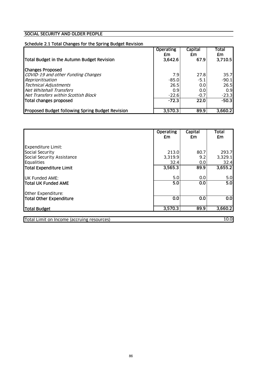### SOCIAL SECURITY AND OLDER PEOPLE

#### Schedule 2.1 Total Changes for the Spring Budget Revision

| Total Budget in the Autumn Budget Revision              | Operating<br>£m<br>3,642.6 | Capital<br>£m<br>67.91 | Total<br>£m<br>3,710.5 |
|---------------------------------------------------------|----------------------------|------------------------|------------------------|
| <b>Changes Proposed</b>                                 |                            |                        |                        |
| COVID-19 and other Funding Changes<br>Reprioritisation  | 7.9<br>$-85.0$             | 27.8<br>$-5.1$         | 35.7<br>$-90.1$        |
| <b>Technical Adjustments</b>                            | 26.5                       | 0.0                    | 26.5                   |
| Net Whitehall Transfers                                 | 0.9                        | 0.0                    | 0.9                    |
| Net Transfers within Scottish Block                     | $-22.6$                    | $-0.7$                 | $-23.3$                |
| Total changes proposed                                  | $-72.3$                    | 22.0                   | $-50.3$                |
|                                                         |                            |                        |                        |
| <b>Proposed Budget following Spring Budget Revision</b> | 3,570.3                    | 89.9                   | 3,660.2                |

|                            | <b>Operating</b><br>£m | Capital<br>£m           | <b>Total</b><br>£m |
|----------------------------|------------------------|-------------------------|--------------------|
| <b>Expenditure Limit:</b>  |                        |                         |                    |
| Social Security            | 213.0                  | 80.7                    | 293.7              |
| Social Security Assistance | 3,319.9                | 9.2                     | 3,329.1            |
| Equalities                 | 32.4                   | 0.0                     | 32.4               |
| Total Expenditure Limit    | 3,565.3                | 89.9                    | 3,655.2            |
| <b>UK Funded AME:</b>      | 5.0                    | 0.0                     | 5.0                |
| <b>Total UK Funded AME</b> | 5.0                    | $\overline{\textbf{S}}$ | 5.0                |
| Other Expenditure:         |                        |                         |                    |
| Total Other Expenditure    | 0.0                    | $\overline{\textbf{S}}$ | $\overline{0.0}$   |
| Total Budget               | 3,570.3                | 89.9                    | 3,660.2            |
|                            |                        |                         |                    |

Total Limit on Income (accruing resources) 10.0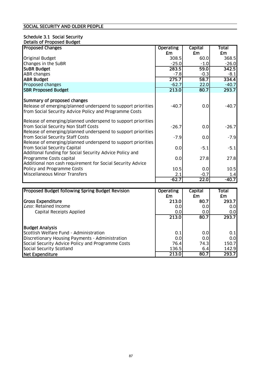#### Schedule 3.1 Social Security Details of Proposed Budget

| <b>Proposed Changes</b>                                                                                                                                              | <b>Operating</b>                | <b>Capital</b>          | Total                 |
|----------------------------------------------------------------------------------------------------------------------------------------------------------------------|---------------------------------|-------------------------|-----------------------|
|                                                                                                                                                                      | £m                              | £m                      | £m                    |
| <b>Original Budget</b>                                                                                                                                               | 308.5                           | 60.0                    | 368.5                 |
| Changes in the SuBR                                                                                                                                                  | $-25.0$                         | $-1.0$                  | $-26.0$               |
| <b>SUBR Budget</b>                                                                                                                                                   | 283.5                           | 59.0                    | 342.5                 |
| <b>ABR changes</b>                                                                                                                                                   | $-7.8$                          | $-0.3$                  | $-8.1$                |
| <b>ABR Budget</b>                                                                                                                                                    | 275.7                           | 58.7                    | 334.4                 |
| Proposed changes                                                                                                                                                     | $-62.7$                         | 22.0                    | $-40.7$               |
| <b>SBR Proposed Budget</b>                                                                                                                                           | 213.0                           | 80.7                    | 293.7                 |
| Summary of proposed changes<br>Release of emerging/planned underspend to support priorities<br>from Social Security Advice Policy and Programme Costs                | $-40.7$                         | 0.0                     | $-40.7$               |
| Release of emerging/planned underspend to support priorities<br>from Social Security Non Staff Costs<br>Release of emerging/planned underspend to support priorities | $-26.7$                         | 0.0                     | $-26.7$               |
| from Social Security Staff Costs<br>Release of emerging/planned underspend to support priorities                                                                     | $-7.9$                          | 0.0                     | $-7.9$                |
| from Social Security Capital<br>Additonal funding for Social Security Advice Policy and                                                                              | 0.0                             | $-5.1$                  | $-5.1$                |
| Programme Costs capital<br>Additional non cash requirement for Social Security Advice                                                                                | 0.0                             | 27.8                    | 27.8                  |
| Policy and Programme Costs                                                                                                                                           | 10.5                            | 0.0                     | 10.5                  |
| <b>Miscellaneous Minor Transfers</b>                                                                                                                                 | 2.1                             | $-0.7$                  | 1.4                   |
|                                                                                                                                                                      | $-62.7$                         | $\overline{22.0}$       | $-40.7$               |
|                                                                                                                                                                      |                                 |                         |                       |
| <b>Proposed Budget following Spring Budget Revision</b><br>lGross Exnenditure                                                                                        | <b>Operating</b><br>£m<br>ว13 ก | Capital<br>£m<br>80 7 I | Total<br>£m<br>293 71 |

|                                                   | £m    | £m   | £m    |
|---------------------------------------------------|-------|------|-------|
| Gross Expenditure                                 | 213.0 | 80.7 | 293.7 |
| Less: Retained Income                             | 0.0   | 0.0  | 0.01  |
| Capital Receipts Applied                          | 0.0   | 0.0  | 0.01  |
|                                                   | 213.0 | 80.7 | 293.7 |
| <b>Budget Analysis</b>                            |       |      |       |
| Scottish Welfare Fund - Administration            | 0.1   | 0.0  | 0.1   |
| Discretionary Housing Payments - Administration   | 0.0   | 0.0  | 0.0   |
| Social Security Advice Policy and Programme Costs | 76.4  | 74.3 | 150.7 |
| Social Security Scotland                          | 136.5 | 6.4  | 142.9 |
| Net Expenditure                                   | 213.0 | 80.7 | 293.7 |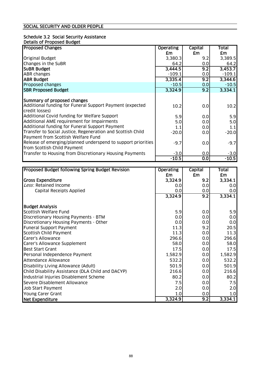#### Schedule 3.2 Social Security Assistance Details of Proposed Budget

| <b>Proposed Changes</b>                                                                           | <b>Operating</b> | Capital          | Total    |
|---------------------------------------------------------------------------------------------------|------------------|------------------|----------|
|                                                                                                   | £m               | £m               | £m       |
| <b>Original Budget</b>                                                                            | 3,380.3          | 9.2              | 3,389.5  |
| Changes in the SuBR                                                                               | 64.2             | 0.0              | 64.2     |
| <b>SUBR Budget</b>                                                                                | 3,444.5          | 9.2              | 3,453.7  |
| <b>ABR changes</b>                                                                                | $-109.1$         | 0.0              | $-109.1$ |
| <b>ABR Budget</b>                                                                                 | 3,335.4          | 9.2              | 3,344.6  |
| Proposed changes                                                                                  | $-10.5$          | 0.0 <sub>l</sub> | $-10.5$  |
| <b>SBR Proposed Budget</b>                                                                        | 3,324.9          | 9.2              | 3,334.1  |
|                                                                                                   |                  |                  |          |
| Summary of proposed changes                                                                       |                  |                  |          |
| Additional funding for Funeral Support Payment (expected                                          | 10.2             | 0.0              | 10.2     |
| credit losses)                                                                                    |                  |                  |          |
| Additional Covid funding for Welfare Support                                                      | 5.9              | 0.0              | 5.9      |
| Additional AME requirement for Impairments                                                        | 5.0              | 0.01             | 5.0      |
| Additional funding for Funeral Support Payment                                                    | 1.1              | 0.01             | 1.1      |
| Transfer to Social Justice, Regeneration and Scottish Child<br>Payment from Scottish Welfare Fund | $-20.0$          | 0.01             | $-20.0$  |
| Release of emerging/planned underspend to support priorities<br>from Scottish Child Payment       | $-9.7$           | 0.0              | $-9.7$   |
| Transfer to Housing from Discretionary Housing Payments                                           | $-3.0$           | 0.0              | $-3.0$   |
|                                                                                                   | $-10.5$          | $\overline{0.0}$ | $-10.5$  |

| Proposed Budget following Spring Budget Revision  | <b>Operating</b> | Capital | Total   |
|---------------------------------------------------|------------------|---------|---------|
|                                                   | £m               | £m      | £m      |
| <b>Gross Expenditure</b>                          | 3,324.9          | 9.2     | 3,334.1 |
| Less: Retained Income                             | 0.0              | 0.0     | 0.0     |
| Capital Receipts Applied                          | 0.0              | 0.0     | 0.0     |
|                                                   | 3,324.9          | 9.2     | 3,334.1 |
| <b>Budget Analysis</b>                            |                  |         |         |
| Scottish Welfare Fund                             | 5.9              | 0.0     | 5.9     |
| Discretionary Housing Payments - BTM              | 0.0              | 0.0     | 0.0     |
| Discretionary Housing Payments - Other            | 0.0              | 0.0     | 0.0     |
| Funeral Support Payment                           | 11.3             | 9.2     | 20.5    |
| Scottish Child Payment                            | 11.3             | 0.0     | 11.3    |
| Carer's Allowance                                 | 296.6            | 0.0     | 296.6   |
| Carer's Allowance Supplement                      | 58.0             | 0.0     | 58.0    |
| <b>Best Start Grant</b>                           | 17.5             | 0.0     | 17.5    |
| Personal Independence Payment                     | 1,582.9          | 0.0     | 1,582.9 |
| <b>Attendance Allowance</b>                       | 532.2            | 0.0     | 532.2   |
| Disability Living Allowance (Adult)               | 501.9            | 0.0     | 501.9   |
| Child Disability Assistance (DLA Child and DACYP) | 216.6            | 0.0     | 216.6   |
| Industrial Injuries Disablement Scheme            | 80.2             | 0.0     | 80.2    |
| Severe Disablement Allowance                      | 7.5              | 0.0     | 7.5     |
| Job Start Payment                                 | 2.0              | 0.0     | 2.0     |
| Young Carer Grant                                 | 1.0              | 0.0     | 1.0     |
| Net Expenditure                                   | 3,324.9          | 9.2     | 3,334.1 |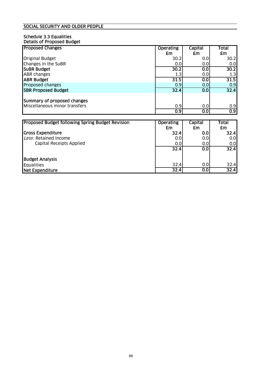#### Schedule 3.3 Equalities Details of Proposed Budget

| <b>Proposed Changes</b>       | <b>Operating</b> | Capital | <b>Total</b>     |
|-------------------------------|------------------|---------|------------------|
|                               | £m               | £m      | £m               |
| <b>Original Budget</b>        | 30.2             | 0.01    | 30.2             |
| Changes in the SuBR           | 0.0              | 0.0     | 0.0              |
| <b>SUBR Budget</b>            | 30.2             | 0.0     | 30.2             |
| <b>ABR</b> changes            | 1.3              | 0.0     | 1.3              |
| <b>ABR Budget</b>             | 31.5             | 0.0     | 31.5             |
| Proposed changes              | 0.9              | 0.0     | 0.9              |
| <b>ISBR Proposed Budget</b>   | 32.4             | 0.0     | 32.4             |
|                               |                  |         |                  |
| Summary of proposed changes   |                  |         |                  |
| Miscellaneous minor transfers | 0.9              | 0.0     | 0.9              |
|                               | 0.9              | 0.0     | $\overline{0.9}$ |

| <b>Proposed Budget following Spring Budget Revision</b> | <b>Operating</b><br>£m | Capital<br>£m | Total<br>£m      |
|---------------------------------------------------------|------------------------|---------------|------------------|
| Gross Expenditure                                       | 32.4                   | 0.0           | 32.4             |
| Less: Retained Income                                   | 0.0                    | 0.0           | 0.0 <sub>l</sub> |
| Capital Receipts Applied                                | 0.0                    | 0.0           | 0.0 <sub>l</sub> |
|                                                         | 32.4                   | 0.0           | 32.4             |
| <b>Budget Analysis</b>                                  |                        |               |                  |
| Equalities                                              | 32.4                   | 0.0           | 32.4             |
| Net Expenditure                                         | 32.4                   | 0.0           | 32.4             |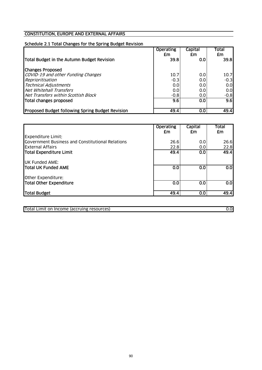### CONSTITUTION, EUROPE AND EXTERNAL AFFAIRS

### Schedule 2.1 Total Changes for the Spring Budget Revision

|                                                         | <b>Operating</b><br>£m | <b>Capital</b><br>£m | <b>Total</b><br><b>£m</b> |
|---------------------------------------------------------|------------------------|----------------------|---------------------------|
| Total Budget in the Autumn Budget Revision              | 39.8                   | 0.0                  | 39.8I                     |
| <b>Changes Proposed</b>                                 |                        |                      |                           |
| COVID-19 and other Funding Changes                      | 10.7                   | 0.0                  | 10.7                      |
| Reprioritisation                                        | $-0.3$                 | 0.0                  | $-0.3$                    |
| <b>Technical Adjustments</b>                            | 0.0                    | 0.0                  | 0.0                       |
| Net Whitehall Transfers                                 | 0.0                    | 0.0                  | 0.0                       |
| Net Transfers within Scottish Block                     | $-0.8$                 | 0.0 <sub>l</sub>     | $-0.8$                    |
| Total changes proposed                                  | 9.6                    | 0.0                  | 9.6                       |
|                                                         |                        |                      |                           |
| <b>Proposed Budget following Spring Budget Revision</b> | 49.4                   | 0.0                  | 49.4                      |

|                                                  | <b>Operating</b><br>£m | Capital<br>£m        | Total<br>£m      |
|--------------------------------------------------|------------------------|----------------------|------------------|
| <b>Expenditure Limit:</b>                        |                        |                      |                  |
| Government Business and Constitutional Relations | 26.6                   | 0.0                  | 26.6             |
| <b>External Affairs</b>                          | 22.8                   | 0.0                  | 22.8             |
| Total Expenditure Limit                          | 49.4                   | 0.0                  | 49.4             |
| <b>UK Funded AME:</b>                            |                        |                      |                  |
| <b>ITotal UK Funded AME</b>                      | 0.0                    | 0.0                  | $\overline{0.0}$ |
| Other Expenditure:                               |                        |                      |                  |
| Total Other Expenditure                          | 0.0                    | 0.0                  | $\overline{0.0}$ |
| Total Budget                                     | 49.4                   | $\overline{\text{}}$ | 49.4             |

Total Limit on Income (accruing resources) 0.0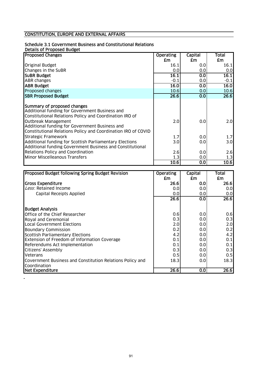### CONSTITUTION, EUROPE AND EXTERNAL AFFAIRS

#### Schedule 3.1 Government Business and Constitutional Relations

Details of Proposed Budget

 $\mathcal{L}$ 

| <b>Proposed Changes</b>                                       | <b>Operating</b> | Capital          | Total            |
|---------------------------------------------------------------|------------------|------------------|------------------|
|                                                               | £m               | £m               | £m               |
| <b>Original Budget</b>                                        | 16.1             | 0.0              | 16.1             |
| Changes in the SuBR                                           | 0.0              | 0.0              | 0.0              |
| <b>SUBR Budget</b>                                            | 16.1             | 0.0              | 16.1             |
| <b>ABR</b> changes                                            | $-0.1$           | 0.0              | $-0.1$           |
| <b>ABR Budget</b>                                             | 16.0             | 0.0              | 16.0             |
| Proposed changes                                              | 10.6             | 0.0 <sub>l</sub> | 10.6             |
| <b>SBR Proposed Budget</b>                                    | 26.6             | 0.0              | 26.6             |
|                                                               |                  |                  |                  |
| Summary of proposed changes                                   |                  |                  |                  |
| Additional funding for Government Business and                |                  |                  |                  |
| Constitutional Relations Policy and Coordination IRO of       |                  |                  |                  |
| Outbreak Management                                           | 2.0              | 0.0              | 2.0              |
| Additional funding for Government Business and                |                  |                  |                  |
| Constitutional Relations Policy and Coordination IRO of COVID |                  |                  |                  |
| <b>Strategic Framework</b>                                    | 1.7              | 0.0              | 1.7              |
| Additional funding for Scottish Parliamentary Elections       | 3.0              | 0.0              | 3.0 <sub>l</sub> |
| Additional funding Government Business and Constitutional     |                  |                  |                  |
| Relations Policy and Coordination                             | 2.6              | 0.0              | 2.6              |
| Minor Miscelleanous Transfers                                 | 1.3              | 0.0              | 1.3              |
|                                                               | 10.6             | 0.0              | 10.6             |

| <b>Proposed Budget following Spring Budget Revision</b>   | <b>Operating</b> | Capital | Total |
|-----------------------------------------------------------|------------------|---------|-------|
|                                                           | £m               | £m      | £m    |
| <b>Gross Expenditure</b>                                  | 26.6             | 0.0     | 26.6  |
| Less: Retained Income                                     | 0.0              | 0.0     | 0.0   |
| Capital Receipts Applied                                  | 0.0              | 0.0     | 0.0   |
|                                                           | 26.6             | 0.0     | 26.6  |
| <b>Budget Analysis</b>                                    |                  |         |       |
| Office of the Chief Researcher                            | 0.6              | 0.0     | 0.6   |
| Royal and Ceremonial                                      | 0.3              | 0.0     | 0.3   |
| <b>Local Government Elections</b>                         | 2.0              | 0.0     | 2.0   |
| <b>Boundary Commission</b>                                | 0.2              | 0.0     | 0.2   |
| Scottish Parliamentary Elections                          | 4.2              | 0.0     | 4.2   |
| <b>Extension of Freedom of Information Coverage</b>       | 0.1              | 0.0     | 0.1   |
| Referendums Act Implementation                            | 0.1              | 0.0     | 0.1   |
| Citizens' Assembly                                        | 0.3              | 0.0     | 0.3   |
| <b>Veterans</b>                                           | 0.5              | 0.0     | 0.5   |
| Covernment Business and Constitution Relations Policy and | 18.3             | 0.0     | 18.3  |
| Coordination                                              |                  |         |       |
| Net Expenditure                                           | 26.6             | 0.0     | 26.6  |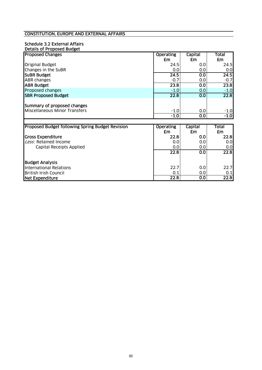#### CONSTITUTION, EUROPE AND EXTERNAL AFFAIRS

#### Schedule 3.2 External Affairs Details of Proposed Budget

| <b>Proposed Changes</b>                                      | <b>Operating</b> | <b>Capital</b>        | <b>Total</b> |
|--------------------------------------------------------------|------------------|-----------------------|--------------|
|                                                              | £m               | £m                    | £m           |
| <b>Original Budget</b>                                       | 24.5             | 0.0                   | 24.5         |
| Changes in the SuBR                                          | 0.0              | 0.0                   | 0.0          |
| <b>SUBR Budget</b>                                           | 24.5             | 0.0                   | 24.5         |
| <b>ABR</b> changes                                           | $-0.7$           | 0.0                   | $-0.7$       |
| <b>ABR Budget</b>                                            | 23.8             | $\overline{0.0}$      | 23.8         |
| Proposed changes                                             | $-1.0$           | 0.0                   | $-1.0$       |
| <b>SBR Proposed Budget</b>                                   | 22.8             | $\overline{\text{O}}$ | 22.8         |
|                                                              |                  |                       |              |
| Summary of proposed changes<br>Miscellaneous Minor Transfers | $-1.0$           | 0.0                   | $-1.0$       |
|                                                              | $-1.0$           | $\overline{0.0}$      | $-1.0$       |
|                                                              |                  |                       |              |
| <b>Proposed Budget following Spring Budget Revision</b>      | <b>Operating</b> | Capital               | Total        |
|                                                              | £m               | £m                    | £m           |
| <b>Gross Expenditure</b>                                     | 22.8             | 0.0                   | 22.8         |
| Less: Retained Income                                        | 0.0              | 0.0                   | 0.0          |
| <b>Capital Receipts Applied</b>                              | 0.0              | 0.0                   | 0.0          |
|                                                              | 22.8             | 0.0 <sub>l</sub>      | 22.8         |
| <b>Budget Analysis</b>                                       |                  |                       |              |
| <b>International Relations</b>                               | 22.7             | 0.0                   | 22.7         |
| <b>British Irish Council</b>                                 | 0.1              | 0.0                   | 0.1          |
| Net Expenditure                                              | 22.8             | $\overline{0.0}$      | 22.8         |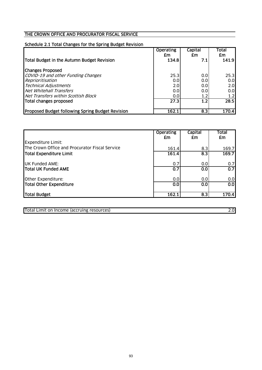### THE CROWN OFFICE AND PROCURATOR FISCAL SERVICE

## Schedule 2.1 Total Changes for the Spring Budget Revision

|                                                  | <b>Operating</b><br>£m | Capital<br>£m    | Total<br>£m      |
|--------------------------------------------------|------------------------|------------------|------------------|
| Total Budget in the Autumn Budget Revision       | 134.8                  | 7.1              | 141.9            |
| <b>Changes Proposed</b>                          |                        |                  |                  |
| COVID-19 and other Funding Changes               | 25.3                   | 0.0              | 25.3             |
| Reprioritisation                                 | 0.0                    | 0.0              | 0.0              |
| <b>Technical Adjustments</b>                     | 2.0                    | 0.0              | 2.0              |
| <b>Net Whitehall Transfers</b>                   | 0.0                    | 0.0              | 0.0              |
| Net Transfers within Scottish Block              | 0.0                    | 1.2              | 1.2 <sub>l</sub> |
| Total changes proposed                           | 27.3                   | $\overline{1.2}$ | 28.5             |
| Proposed Budget following Spring Budget Revision | 162.1                  | 8.3              | 170.4            |

|                                                | <b>Operating</b><br>£m | Capital<br>£m | <b>Total</b><br>£m |
|------------------------------------------------|------------------------|---------------|--------------------|
| <b>Expenditure Limit:</b>                      |                        |               |                    |
| The Crown Office and Procurator Fiscal Service | 161.4                  | 8.3           | 169.7              |
| Total Expenditure Limit                        | 161.4                  | 8.3           | 169.7              |
| <b>UK Funded AME:</b>                          | 0.7                    | 0.0           | 0.7                |
| Total UK Funded AME                            | 0.7                    | 0.0           | $\overline{0.7}$   |
| Other Expenditure:                             | 0.0                    | 0.0           | 0.0                |
| Total Other Expenditure                        | 0.0                    | 0.0           | 0.0                |
| Total Budget                                   | 162.1                  | 8.3           | 170.4              |

Total Limit on Income (accruing resources) 2.0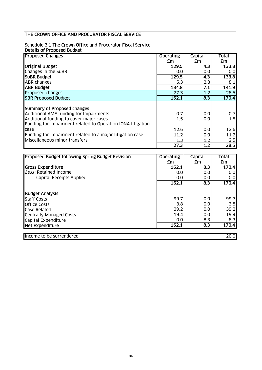## THE CROWN OFFICE AND PROCURATOR FISCAL SERVICE

### Schedule 3.1 The Crown Office and Procurator Fiscal Service

Details of Proposed Budget

| <b>Proposed Changes</b>                                     | Operating | Capital | Total |
|-------------------------------------------------------------|-----------|---------|-------|
|                                                             | £m        | £m      | £m    |
| Original Budget                                             | 129.5     | 4.3     | 133.8 |
| Changes in the SuBR                                         | 0.0       | 0.0     | 0.0   |
| <b>SUBR Budget</b>                                          | 129.5     | 4.3     | 133.8 |
| <b>ABR changes</b>                                          | 5.3       | 2.8     | 8.1   |
| <b>ABR Budget</b>                                           | 134.8     | 7.1     | 141.9 |
| Proposed changes                                            | 27.3      | 1.2     | 28.5  |
| <b>SBR Proposed Budget</b>                                  | 162.1     | 8.3     | 170.4 |
|                                                             |           |         |       |
| Summary of Proposed changes                                 |           |         |       |
| Additional AME funding for Impairments                      | 0.7       | 0.0     | 0.7   |
| Additional funding to cover major cases                     | 1.5       | 0.0     | 1.5   |
| Funding for impairment related to Operation IONA litigation |           |         |       |
| case                                                        | 12.6      | 0.0     | 12.6  |
| Funding for impairment related to a major litigation case   | 11.2      | 0.0     | 11.2  |
| Miscellaneous minor transfers                               | 1.3       | 1.2     | 2.5   |
|                                                             | 27.3      | 1.2     | 28.5  |

| <b>Proposed Budget following Spring Budget Revision</b> | <b>Operating</b> | Capital          | <b>Total</b> |
|---------------------------------------------------------|------------------|------------------|--------------|
|                                                         | £m               | £m               | £m           |
| Gross Expenditure                                       | 162.1            | 8.3              | 170.4        |
| Less: Retained Income                                   | 0.0              | 0.0              | 0.0          |
| Capital Receipts Applied                                | 0.0              | 0.0              | 0.0          |
|                                                         | 162.1            | 8.3              | 170.4        |
| <b>Budget Analysis</b>                                  |                  |                  |              |
| <b>Staff Costs</b>                                      | 99.7             | 0.0              | 99.7         |
| <b>Office Costs</b>                                     | 3.8              | 0.0              | 3.8          |
| Case Related                                            | 39.2             | 0.0              | 39.2         |
| <b>Centrally Managed Costs</b>                          | 19.4             | 0.0              | 19.4         |
| Capital Expenditure                                     | 0.0              | 8.3              | 8.3          |
| Net Expenditure                                         | 162.1            | $\overline{8.3}$ | 170.4        |
|                                                         |                  |                  |              |
| Income to be surrendered                                |                  |                  | 20.0         |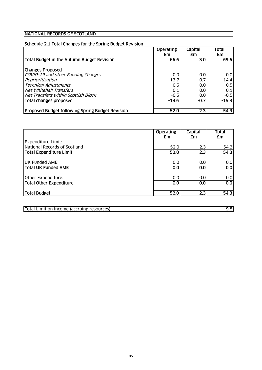### NATIONAL RECORDS OF SCOTLAND

### Schedule 2.1 Total Changes for the Spring Budget Revision

|                                                  | <b>Operating</b><br>£m | Capital<br>£m    | <b>Total</b><br>£m |
|--------------------------------------------------|------------------------|------------------|--------------------|
| Total Budget in the Autumn Budget Revision       | 66.6                   | 3.0 <sub>l</sub> | 69.6               |
| <b>Changes Proposed</b>                          |                        |                  |                    |
| COVID-19 and other Funding Changes               | 0.0                    | 0.0              | 0.0                |
| Reprioritisation                                 | $-13.7$                | $-0.7$           | $-14.4$            |
| <b>Technical Adjustments</b>                     | $-0.5$                 | 0.0              | $-0.5$             |
| Net Whitehall Transfers                          | 0.1                    | 0.0              | 0.1                |
| Net Transfers within Scottish Block              | $-0.5$                 | 0.0              | $-0.5$             |
| Total changes proposed                           | $-14.6$                | $-0.7$           | $-15.3$            |
| Proposed Budget following Spring Budget Revision | 52.0                   | $\overline{2.3}$ | 54.3               |

|                                                           | <b>Operating</b><br>£m | Capital<br>£m    | Total<br>£m      |
|-----------------------------------------------------------|------------------------|------------------|------------------|
| <b>Expenditure Limit:</b><br>National Records of Scotland | 52.0                   | 2.3              | 54.3             |
| Total Expenditure Limit                                   | 52.0                   | $\overline{2.3}$ | 54.3             |
| <b>UK Funded AME:</b>                                     | 0.0                    | 0.0              | 0.0              |
| Total UK Funded AME                                       | 0.0                    | 0.0              | $\overline{0.0}$ |
| Other Expenditure:                                        | 0.0                    | 0.0              | 0.0              |
| Total Other Expenditure                                   | 0.0                    | 0.0              | $\overline{0.0}$ |
| Total Budget                                              | 52.0                   | 2.3              | 54.3             |

Total Limit on Income (accruing resources) 9.8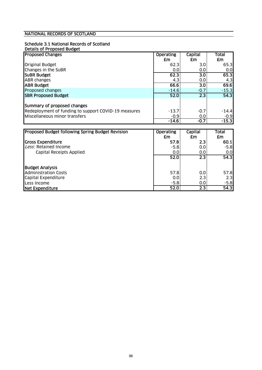### NATIONAL RECORDS OF SCOTLAND

## Schedule 3.1 National Records of Scotland

| Details of Proposed Budget |  |
|----------------------------|--|
|----------------------------|--|

| <b>Proposed Changes</b>                              | <b>Operating</b> | Capital          | Total   |
|------------------------------------------------------|------------------|------------------|---------|
|                                                      | £m               | £m               | £m      |
| <b>Original Budget</b>                               | 62.3             | 3.0              | 65.3    |
| Changes in the SuBR                                  | 0.0              | 0.0              | 0.0     |
| <b>SUBR Budget</b>                                   | 62.3             | 3.0              | 65.3    |
| <b>ABR</b> changes                                   | 4.3              | 0.0              | 4.3     |
| <b>ABR Budget</b>                                    | 66.6             | $\overline{3.0}$ | 69.6    |
| Proposed changes                                     | $-14.6$          | $-0.7$           | $-15.3$ |
| <b>SBR Proposed Budget</b>                           | 52.0             | $\overline{2.3}$ | 54.3    |
|                                                      |                  |                  |         |
| Summary of proposed changes                          |                  |                  |         |
| Redeployment of funding to support COVID-19 measures | $-13.7$          | $-0.7$           | $-14.4$ |
| Miscellaneous minor transfers                        | $-0.9$           | 0.0              | $-0.9$  |
|                                                      | $-14.6$          | $-0.7$           | $-15.3$ |

| Proposed Budget following Spring Budget Revision | <b>Operating</b> | Capital          | Total   |
|--------------------------------------------------|------------------|------------------|---------|
|                                                  | £m               | £m               | £m      |
| <b>Gross Expenditure</b>                         | 57.8             | 2.3              | 60.1    |
| Less: Retained Income                            | $-5.8$           | 0.0              | $-5.8$  |
| Capital Receipts Applied                         | 0.0              | 0.0              | 0.0     |
|                                                  | 52.0             | 2.3              | 54.3    |
| <b>Budget Analysis</b>                           |                  |                  |         |
| <b>Administration Costs</b>                      | 57.8             | 0.0              | 57.8    |
| Capital Expenditure                              | 0.0              | 2.3              | 2.3     |
| Less Income                                      | $-5.8$           | 0.0              | $-5.81$ |
| Net Expenditure                                  | 52.0             | $\overline{2.3}$ | 54.3    |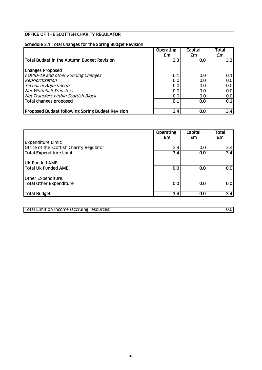### OFFICE OF THE SCOTTISH CHARITY REGULATOR

## Schedule 2.1 Total Changes for the Spring Budget Revision

|                                                  | <b>Operating</b><br>£m | Capital<br>£m | Total<br>£m      |
|--------------------------------------------------|------------------------|---------------|------------------|
| Total Budget in the Autumn Budget Revision       | 3.3                    | 0.0           | 3.3 <sub>l</sub> |
| <b>Changes Proposed</b>                          |                        |               |                  |
| COVID-19 and other Funding Changes               | 0.1                    | 0.0           | 0.1              |
| Reprioritisation                                 | 0.0                    | 0.0           | 0.0              |
| <b>Technical Adjustments</b>                     | 0.0                    | 0.0           | 0.0              |
| Net Whitehall Transfers                          | 0.0                    | 0.0           | 0.0              |
| Net Transfers within Scottish Block              | 0.0                    | 0.0           | 0.0              |
| Total changes proposed                           | 0.1                    | 0.0           | 0.1              |
| Proposed Budget following Spring Budget Revision | 3.4                    | 0.0           | 3.4              |

|                                                                       | <b>Operating</b><br>£m | Capital<br>£m | Total<br>£m             |
|-----------------------------------------------------------------------|------------------------|---------------|-------------------------|
| <b>Expenditure Limit:</b><br>Office of the Scottish Charity Regulator | 3.4                    | 0.0           | 3.4                     |
| Total Expenditure Limit                                               | $\overline{3.4}$       | 0.0           | $\overline{3.4}$        |
| <b>UK Funded AME:</b>                                                 |                        |               |                         |
| Total Uk Funded AME                                                   | 0.0                    | 0.0           | $\overline{0.0}$        |
| Other Expenditure:                                                    |                        |               |                         |
| Total Other Expenditure                                               | 0.0                    | 0.0           | $\overline{\textbf{S}}$ |
| Total Budget                                                          | 3.4                    | 0.0           | $\overline{3.4}$        |

Total Limit on Income (accruing resources) 0.0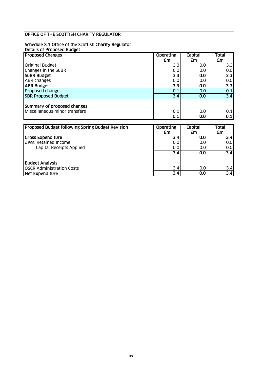### OFFICE OF THE SCOTTISH CHARITY REGULATOR

### Schedule 3.1 Office of the Scottish Charity Regulator

#### Details of Proposed Budget

| <b>Proposed Changes</b>                          | <b>Operating</b> | Capital | <b>Total</b>     |
|--------------------------------------------------|------------------|---------|------------------|
|                                                  | £m               | £m      | £m               |
| <b>Original Budget</b>                           | 3.3              | 0.0     | 3.3              |
| Changes in the SuBR                              | 0.0              | 0.0     | 0.0              |
| <b>SUBR Budget</b>                               | $\overline{3.3}$ | 0.0     | 3.3              |
| <b>ABR</b> changes                               | 0.0              | 0.0     | 0.0              |
| <b>ABR Budget</b>                                | $\overline{3.3}$ | 0.0     | $\overline{3.3}$ |
| Proposed changes                                 | 0.1              | 0.0     | 0.1              |
| <b>SBR Proposed Budget</b>                       | $\overline{3.4}$ | 0.0     | $\overline{3.4}$ |
|                                                  |                  |         |                  |
| Summary of proposed changes                      |                  |         |                  |
| Miscellaneous minor transfers                    | 0.1              | 0.0     | 0.1              |
|                                                  | 0.1              | 0.0     | 0.1              |
|                                                  |                  |         |                  |
| Proposed Budget following Spring Budget Revision | <b>Operating</b> | Capital | Total            |
|                                                  | £m               | £m      | £m               |
| <b>Gross Expenditure</b>                         | 3.4              | 0.0     | 3.4              |
| Less: Retained Income                            | 0.0              | 0.0     | 0.0              |
| Capital Receipts Applied                         | 0.0              | 0.0     | 0.0              |
|                                                  | $\overline{3.4}$ | 0.0     | $\overline{3.4}$ |
| <b>Budget Analysis</b>                           |                  |         |                  |
| <b>OSCR Administration Costs</b>                 | 3.4              | 0.0     | 3.4              |
| <b>Net Expenditure</b>                           | $\overline{3.4}$ | 0.0     | $\overline{3.4}$ |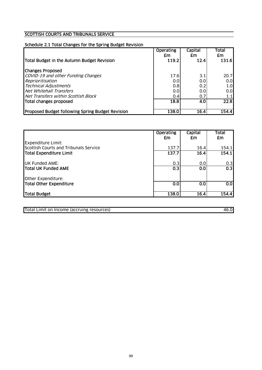### SCOTTISH COURTS AND TRIBUNALS SERVICE

### Schedule 2.1 Total Changes for the Spring Budget Revision

|                                                         | <b>Operating</b><br>£m | <b>Capital</b><br>£m | Total<br>£m |
|---------------------------------------------------------|------------------------|----------------------|-------------|
| Total Budget in the Autumn Budget Revision              | 119.2                  | 12.4                 | 131.6       |
| <b>Changes Proposed</b>                                 |                        |                      |             |
| COVID-19 and other Funding Changes                      | 17.6                   | 3.1                  | 20.7        |
| Reprioritisation                                        | 0.0                    | 0.0                  | 0.0         |
| <b>Technical Adjustments</b>                            | 0.8                    | 0.2                  | 1.0         |
| Net Whitehall Transfers                                 | 0.0                    | 0.0                  | 0.0         |
| Net Transfers within Scottish Block                     | 0.4                    | 0.7                  | 1.1         |
| Total changes proposed                                  | 18.8                   | 4.0                  | 22.8        |
| <b>Proposed Budget following Spring Budget Revision</b> | 138.0                  | 16.4                 | 154.4       |

|                                                                    | <b>Operating</b><br>£m | Capital<br>£m | Total<br>£m          |
|--------------------------------------------------------------------|------------------------|---------------|----------------------|
| <b>Expenditure Limit:</b><br>Scottish Courts and Tribunals Service | 137.7                  | 16.4          | 154.1                |
| Total Expenditure Limit                                            | 137.7                  | 16.4          | 154.1                |
| <b>UK Funded AME:</b>                                              | 0.3                    | 0.0           | 0.3                  |
| <b>Total UK Funded AME</b>                                         | 0.3                    | 0.0           | $\overline{0.3}$     |
| Other Expenditure:                                                 |                        |               |                      |
| Total Other Expenditure                                            | 0.0                    | 0.0           | $\overline{\text{}}$ |
| Total Budget                                                       | 138.0                  | 16.4          | 154.4                |

Total Limit on Income (accruing resources) 46.0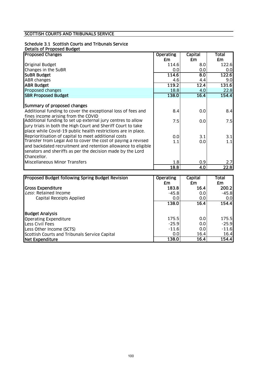### SCOTTISH COURTS AND TRIBUNALS SERVICE

# Schedule 3.1 Scottish Courts and Tribunals Service

|  | Details of Proposed Budget |  |
|--|----------------------------|--|
|  |                            |  |
|  |                            |  |

| <b>Proposed Changes</b>                                       | <b>Operating</b> | Capital | Total |
|---------------------------------------------------------------|------------------|---------|-------|
|                                                               | £m               | £m      | £m    |
| <b>Original Budget</b>                                        | 114.6            | 8.0     | 122.6 |
| Changes in the SuBR                                           | 0.0              | 0.0     | 0.0   |
| <b>SUBR Budget</b>                                            | 114.6            | 8.0     | 122.6 |
| <b>ABR</b> changes                                            | 4.6              | 4.4     | 9.0   |
| <b>ABR Budget</b>                                             | 119.2            | 12.4    | 131.6 |
| Proposed changes                                              | 18.8             | 4.0     | 22.8  |
| <b>SBR Proposed Budget</b>                                    | 138.0            | 16.4    | 154.4 |
|                                                               |                  |         |       |
| Summary of proposed changes                                   |                  |         |       |
| Additional funding to cover the exceptional loss of fees and  | 8.4              | 0.0     | 8.4   |
| fines income arising from the COVID                           |                  |         |       |
| Additional funding to set up external jury centres to allow   | 7.5              | 0.0     | 7.5   |
| jury trials in both the High Court and Sheriff Court to take  |                  |         |       |
| place while Covid-19 public health restrictions are in place. |                  |         |       |
| Reprioritisation of capital to meet additional costs          | 0.0              | 3.1     | 3.1   |
| Transfer from Legal Aid to cover the cost of paying a revised | 1.1              | 0.0     | 1.1   |
| and backdated recruitment and retention allowance to eligible |                  |         |       |
| senators and sheriffs as per the decision made by the Lord    |                  |         |       |
| Chancellor.                                                   |                  |         |       |
| Miscellaneous Minor Transfers                                 | 1.8              | 0.9     | 2.7   |
|                                                               | 18.8             | 4.0     | 22.8  |

| <b>Proposed Budget following Spring Budget Revision</b> | <b>Operating</b> | Capital          | Total   |
|---------------------------------------------------------|------------------|------------------|---------|
|                                                         | £m               | £m               | £m      |
| <b>Gross Expenditure</b>                                | 183.8            | 16.4             | 200.2   |
| Less: Retained Income                                   | -45.81           | 0.0 <sub>l</sub> | $-45.8$ |
| Capital Receipts Applied                                | 0.0              | 0.0              | 0.0     |
|                                                         | 138.0            | 16.4             | 154.4   |
| <b>Budget Analysis</b>                                  |                  |                  |         |
| <b>Operating Expenditure</b>                            | 175.5            | 0.0              | 175.5   |
| <b>Less Civil Fees</b>                                  | $-25.9$          | 0.0              | $-25.9$ |
| Less Other Income (SCTS)                                | $-11.6$          | 0.0              | $-11.6$ |
| Scottish Courts and Tribunals Service Capital           | 0.0              | 16.4             | 16.4    |
| Net Expenditure                                         | 138.0            | 16.4             | 154.4   |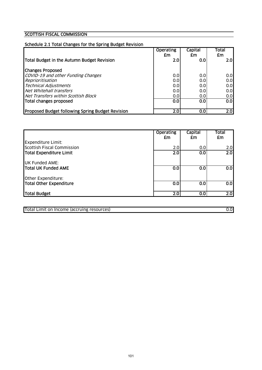## **SCOTTISH FISCAL COMMISSION**

| Schedule 2.1 Total Changes for the Spring Budget Revision |                        |                      |                    |
|-----------------------------------------------------------|------------------------|----------------------|--------------------|
|                                                           | <b>Operating</b><br>£m | <b>Capital</b><br>£m | <b>Total</b><br>£m |
| Total Budget in the Autumn Budget Revision                | 2.0                    | 0.0                  | 2.01               |
| <b>Changes Proposed</b>                                   |                        |                      |                    |
| COVID-19 and other Funding Changes                        | 0.0                    | 0.0                  | 0.0                |
| Reprioritisation                                          | 0.0                    | 0.0                  | 0.0                |
| <b>Technical Adjustments</b>                              | 0.0                    | 0.0                  | 0.0                |
| Net Whitehall transfers                                   | 0.0                    | 0.0                  | 0.0                |
| Net Transfers within Scottish Block                       | 0.0                    | 0.0                  | 0.0                |
| Total changes proposed                                    | 0.0                    | 0.0                  | 0.0                |
| Proposed Budget following Spring Budget Revision          | 2.0                    | 0.0                  | $\overline{2.0}$   |

|                                                                | <b>Operating</b><br>£m | Capital<br>£m           | <b>Total</b><br>£m |
|----------------------------------------------------------------|------------------------|-------------------------|--------------------|
| <b>Expenditure Limit:</b><br><b>Scottish Fiscal Commission</b> | 2.0                    | 0.0                     | 2.0                |
| Total Expenditure Limit                                        | 2.0                    | $\overline{\textbf{S}}$ | $\overline{2.0}$   |
| <b>UK Funded AME:</b>                                          |                        |                         |                    |
| <b>Total UK Funded AME</b>                                     | 0.0                    | $\overline{\textbf{S}}$ | $\overline{0.0}$   |
| Other Expenditure:                                             |                        |                         |                    |
| Total Other Expenditure                                        | 0.0                    | 0.0                     | 0.0                |
| Total Budget                                                   | 2.0                    | 0.0                     | $\overline{2.0}$   |

Total Limit on Income (accruing resources) 0.0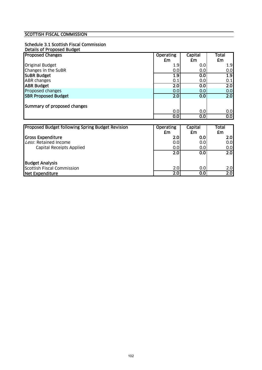## SCOTTISH FISCAL COMMISSION

#### Schedule 3.1 Scottish Fiscal Commission

|  | Details of Proposed Budget |  |
|--|----------------------------|--|
|  |                            |  |

| <b>Proposed Changes</b>                          | <b>Operating</b> | <b>Capital</b> | Total            |
|--------------------------------------------------|------------------|----------------|------------------|
|                                                  | £m               | £m             | £m               |
| <b>Original Budget</b>                           | 1.9              | 0.0            | 1.9              |
| Changes in the SuBR                              | 0.0              | 0.0            | 0.0              |
| <b>SUBR Budget</b>                               | 1.9              | 0.0            | 1.9              |
| <b>ABR changes</b>                               | 0.1              | 0.0            | 0.1              |
| <b>ABR Budget</b>                                | $\overline{2.0}$ | 0.0            | $\overline{2.0}$ |
| Proposed changes                                 | 0.0              | 0.0            | 0.0              |
| <b>SBR Proposed Budget</b>                       | 2.0              | 0.0            | 2.0              |
|                                                  |                  |                |                  |
| Summary of proposed changes                      |                  |                |                  |
|                                                  | 0.0              | 0.0            | 0.0              |
|                                                  | 0.0              | 0.0            | $\overline{0.0}$ |
|                                                  |                  |                |                  |
| Proposed Budget following Spring Budget Revision | <b>Operating</b> | Capital        | Total            |
|                                                  | £m               | £m             | £m               |
| <b>Gross Expenditure</b>                         | 2.0              | 0.0            | 2.0              |
| Less: Retained Income                            | 0.0              | 0.0            | 0.0              |
| Capital Receipts Applied                         | 0.0              | 0.0            | 0.0              |
|                                                  | $\overline{2.0}$ | 0.0            | 2.0              |
|                                                  |                  |                |                  |

|                            | --- | --- | --- |
|----------------------------|-----|-----|-----|
| <b>Budget Analysis</b>     |     |     |     |
| Scottish Fiscal Commission | 2.0 | 0.0 | 2.0 |
| Net Expenditure            | 2.0 | 0.0 | 2.0 |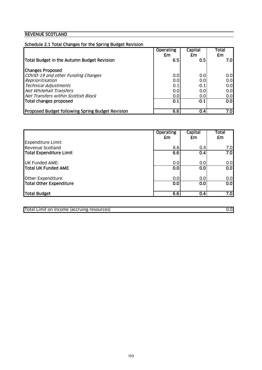## REVENUE SCOTLAND

|                                                         | <b>Operating</b><br>£m | Capital<br>£m | Total<br>£m |
|---------------------------------------------------------|------------------------|---------------|-------------|
| Total Budget in the Autumn Budget Revision              | 6.5                    | 0.5           | 7.OI        |
| <b>Changes Proposed</b>                                 |                        |               |             |
| COVID-19 and other Funding Changes                      | 0.0                    | 0.0           | 0.0         |
| Reprioritisation                                        | 0.0                    | 0.0           | 0.0         |
| <b>Technical Adjustments</b>                            | 0.1                    | $-0.1$        | 0.0         |
| Net Whitehall Transfers                                 | 0.0                    | 0.0           | 0.0         |
| Net Transfers within Scottish Block                     | 0.0                    | 0.01          | 0.0         |
| Total changes proposed                                  | 0.1                    | $-0.1$        | 0.0         |
| <b>Proposed Budget following Spring Budget Revision</b> | 6.6                    | 0.4           | 7.0         |

|                         | <b>Operating</b><br>£m | Capital<br>£m | Total<br>£m      |
|-------------------------|------------------------|---------------|------------------|
| Expenditure Limit:      |                        |               |                  |
| Revenue Scotland        | 6.6                    | 0.4           | 7.0              |
| Total Expenditure Limit | 6.6                    | 0.4           | 7.0              |
| <b>UK Funded AME:</b>   | 0.0                    | 0.0           | 0.0              |
| Total UK Funded AME     | 0.0                    | 0.0           | 0.0              |
| Other Expenditure:      | 0.0                    | 0.0           | 0.0              |
| Total Other Expenditure | 0.0                    | 0.0           | $\overline{0.0}$ |
| Total Budget            | 6.6                    | 0.4           | 7.0              |

Total Limit on Income (accruing resources) 0.0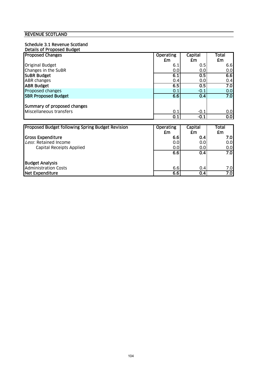#### REVENUE SCOTLAND

#### Schedule 3.1 Revenue Scotland

| Details of Proposed Budget                       |                  |         |       |
|--------------------------------------------------|------------------|---------|-------|
| <b>Proposed Changes</b>                          | <b>Operating</b> | Capital | Total |
|                                                  | £m               | £m      | £m    |
| <b>Original Budget</b>                           | 6.1              | 0.5     | 6.6   |
| Changes in the SuBR                              | 0.0              | 0.0     | 0.0   |
| <b>SUBR Budget</b>                               | 6.1              | 0.5     | 6.6   |
| ABR changes                                      | 0.4              | 0.0     | 0.4   |
| <b>ABR Budget</b>                                | 6.5              | 0.5     | 7.0   |
| Proposed changes                                 | 0.1              | $-0.1$  | 0.0   |
| <b>SBR Proposed Budget</b>                       | 6.6              | 0.4     | 7.0   |
|                                                  |                  |         |       |
| Summary of proposed changes                      |                  |         |       |
| Miscellaneous transfers                          | 0.1              | $-0.1$  | 0.0   |
|                                                  | 0.1              | $-0.1$  | 0.0   |
|                                                  |                  |         |       |
| Proposed Budget following Spring Budget Revision | <b>Operating</b> | Capital | Total |
|                                                  | £m               | £m      | £m    |
| <b>Gross Expenditure</b>                         | 6.6              | 0.4     | 7.0   |
| Less: Retained Income                            | 0.0              | 0.0     | 0.0   |
| Capital Receipts Applied                         | 0.0              | 0.0     | 0.0   |
|                                                  | 6.6              | 0.4     | 7.0   |
|                                                  |                  |         |       |
| <b>Budget Analysis</b>                           |                  |         |       |
| <b>Administration Costs</b>                      | 6.6              | 0.4     | 7.0   |
| <b>Net Expenditure</b>                           | 6.6              | 0.4     | 7.0   |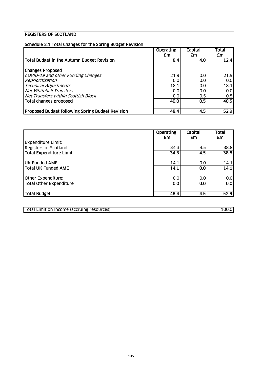## REGISTERS OF SCOTLAND

| Schedule 2.1 Total Changes for the Spring Budget Revision |                        |                  |             |
|-----------------------------------------------------------|------------------------|------------------|-------------|
|                                                           | <b>Operating</b><br>£m | Capital<br>£m    | Total<br>£m |
| Total Budget in the Autumn Budget Revision                | 8.4                    | 4.0              | 12.4        |
|                                                           |                        |                  |             |
| <b>Changes Proposed</b>                                   |                        |                  |             |
| COVID-19 and other Funding Changes                        | 21.9                   | 0.0              | 21.9        |
| Reprioritisation                                          | 0.0                    | 0.0              | 0.0         |
| <b>Technical Adjustments</b>                              | 18.1                   | 0.0              | 18.1        |
| Net Whitehall Transfers                                   | 0.0                    | 0.0              | 0.0         |
| Net Transfers within Scottish Block                       | 0.0                    | 0.5              | 0.5         |
| Total changes proposed                                    | 40.0                   | $\overline{0.5}$ | 40.5        |
| <b>Proposed Budget following Spring Budget Revision</b>   | 48.4                   | 4.5              | 52.9        |

|                                                           | <b>Operating</b><br>£m | Capital<br>£m | <b>Total</b><br>£m |
|-----------------------------------------------------------|------------------------|---------------|--------------------|
| <b>Expenditure Limit:</b><br><b>Registers of Scotland</b> | 34.3                   | 4.5           | 38.8               |
| Total Expenditure Limit                                   | 34.3                   | 4.5           | 38.8               |
| <b>UK Funded AME:</b>                                     | 14.1                   | 0.0           | 14.1               |
| <b>Total UK Funded AME</b>                                | 14.1                   | 0.0           | 14.1               |
| Other Expenditure:                                        | 0.0                    | 0.0           | 0.0                |
| Total Other Expenditure                                   | 0.0                    | 0.0           | $\overline{0.0}$   |
| Total Budget                                              | 48.4                   | 4.5           | 52.9               |

Total Limit on Income (accruing resources) 100.0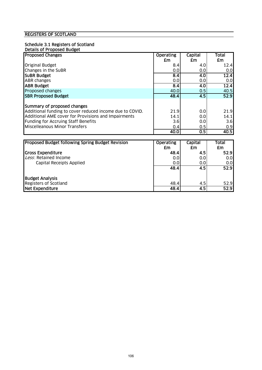#### REGISTERS OF SCOTLAND

#### Schedule 3.1 Registers of Scotland

| <b>Proposed Changes</b>                                  | <b>Operating</b> | Capital | <b>Total</b> |
|----------------------------------------------------------|------------------|---------|--------------|
|                                                          | £m               | £m      | £m           |
| <b>Original Budget</b>                                   | 8.4              | 4.0     | 12.4         |
| Changes in the SuBR                                      | 0.0              | 0.0     | 0.0          |
| <b>SUBR Budget</b>                                       | $\overline{8.4}$ | 4.0     | 12.4         |
| <b>ABR</b> changes                                       | 0.0              | 0.0     | 0.0          |
| <b>JABR Budget</b>                                       | 8.4              | 4.0     | 12.4         |
| Proposed changes                                         | 40.0             | 0.5     | 40.5         |
| <b>SBR Proposed Budget</b>                               | 48.4             | 4.5     | 52.9         |
| Summary of proposed changes                              |                  |         |              |
| Additional funding to cover reduced income due to COVID. | 21.9             | 0.0     | 21.9         |
| Additional AME cover for Provisions and Impairments      | 14.1             | 0.0     | 14.1         |
| Funding for Accruing Staff Benefits                      | 3.6              | 0.0     | 3.6          |
| Miscelleanous Minor Transfers                            | 0.4              | 0.5     | 0.9          |
|                                                          | 40.0             | 0.5     | 40.5         |

| Proposed Budget following Spring Budget Revision | <b>Operating</b> | Capital | Total |
|--------------------------------------------------|------------------|---------|-------|
|                                                  | £m               | £m      | £m    |
| <b>Gross Expenditure</b>                         | 48.4             | 4.5     | 52.9  |
| Less: Retained Income                            | 0.0              | 0.0     | 0.0   |
| Capital Receipts Applied                         | 0.0              | 0.0     | 0.0   |
|                                                  | 48.4             | 4.5     | 52.9  |
| <b>Budget Analysis</b>                           |                  |         |       |
| <b>Registers of Scotland</b>                     | 48.4             | 4.5     | 52.9  |
| Net Expenditure                                  | 48.4             | 4.5     | 52.9  |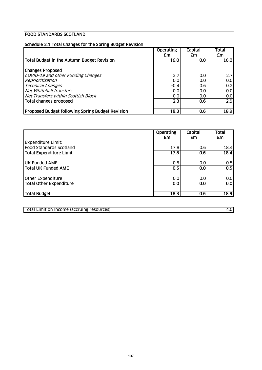## FOOD STANDARDS SCOTLAND

| Schedule 2.1 Total Changes for the Spring Budget Revision |                                |                      |                     |
|-----------------------------------------------------------|--------------------------------|----------------------|---------------------|
| Total Budget in the Autumn Budget Revision                | <b>Operating</b><br>£m<br>16.0 | Capital<br>£m<br>0.0 | Total<br>£m<br>16.0 |
| <b>Changes Proposed</b>                                   |                                |                      |                     |
| COVID-19 and other Funding Changes                        | 2.7                            | 0.0                  | 2.7                 |
| Reprioritisation                                          | 0.0                            | 0.0                  | 0.0                 |
| <b>Technical Changes</b>                                  | $-0.4$                         | 0.61                 | 0.2                 |
| Net Whitehall transfers                                   | 0.0                            | 0.0                  | 0.0                 |
| Net Transfers within Scottish Block                       | 0.0                            | 0.0                  | 0.0                 |
| Total changes proposed                                    | 2.3                            | 0.6                  | $\overline{2.9}$    |
| Proposed Budget following Spring Budget Revision          | 18.3                           | 0.6                  | 18.9                |

|                                                             | <b>Operating</b><br>£m | Capital<br>£m | Total<br>£m |
|-------------------------------------------------------------|------------------------|---------------|-------------|
| <b>Expenditure Limit:</b><br><b>Food Standards Scotland</b> | 17.8                   | 0.6           | 18.4        |
| Total Expenditure Limit                                     | 17.8                   | 0.6           | 18.4        |
| <b>UK Funded AME:</b>                                       | 0.5                    | 0.0           | 0.5         |
| Total UK Funded AME                                         | 0.5                    | 0.0           | 0.5         |
| Other Expenditure :                                         | 0.0                    | 0.0           | 0.0         |
| Total Other Expenditure                                     | 0.0                    | 0.0           | 0.0         |
| Total Budget                                                | 18.3                   | 0.6           | 18.9        |

Total Limit on Income (accruing resources) 4.0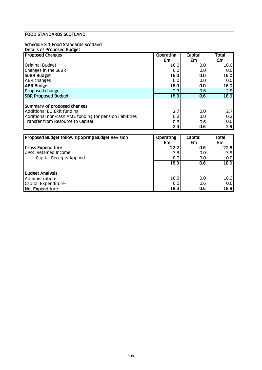#### FOOD STANDARDS SCOTLAND

#### Schedule 3.1 Food Standards Scotland

#### Details of Proposed Budget

| <b>Proposed Changes</b>                                 | <b>Operating</b> | Capital | Total            |
|---------------------------------------------------------|------------------|---------|------------------|
|                                                         | £m               | £m      | £m               |
| <b>Original Budget</b>                                  | 16.0             | 0.0     | 16.0             |
| Changes in the SuBR                                     | 0.0              | 0.0     | 0.0              |
| <b>SUBR Budget</b>                                      | 16.0             | 0.0     | 16.0             |
| <b>ABR</b> changes                                      | 0.0              | 0.0     | 0.0              |
| <b>ABR Budget</b>                                       | 16.0             | 0.0     | 16.0             |
| <b>Proposed changes</b>                                 | 2.3              | 0.6     | 2.9              |
| <b>SBR Proposed Budget</b>                              | 18.3             | 0.6     | 18.9             |
| Summary of proposed changes                             |                  |         |                  |
| Additional EU Exit funding                              | 2.7              | 0.0     | 2.7              |
| Additional non-cash AME funding for pension liabilities | 0.2              | 0.0     | 0.2              |
| Transfer from Resource to Capital                       | $-0.6$           | 0.6     | 0.0              |
|                                                         | 2.3              | 0.6     | $\overline{2.9}$ |

| <b>Proposed Budget following Spring Budget Revision</b> | <b>Operating</b> | Capital          | Total  |
|---------------------------------------------------------|------------------|------------------|--------|
|                                                         | £m               | £m               | £m     |
| <b>Gross Expenditure</b>                                | 22.2             | 0.6              | 22.8   |
| Less: Retained Income                                   | $-3.9$           | 0.01             | $-3.9$ |
| <b>Capital Receipts Applied</b>                         | 0.0              | 0.0              | 0.0    |
|                                                         | 18.3             | 0.6              | 18.9   |
| <b>Budget Analysis</b>                                  |                  |                  |        |
| Administration-                                         | 18.3             | 0.0 <sub>l</sub> | 18.3   |
| Capital Expenditure-                                    | 0.0              | 0.6              | 0.6    |
| Net Expenditure                                         | 18.3             | 0.6              | 18.9   |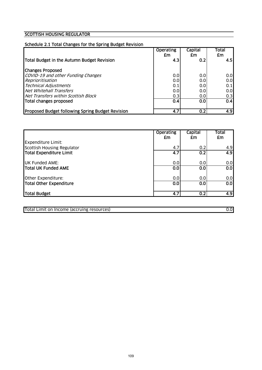#### SCOTTISH HOUSING REGULATOR

#### Schedule 2.1 Total Changes for the Spring Budget Revision

|                                                         | <b>Operating</b><br>£m | Capital<br>£m | Total<br>£m |
|---------------------------------------------------------|------------------------|---------------|-------------|
| Total Budget in the Autumn Budget Revision              | 4.3                    | 0.2           | 4.5         |
| <b>Changes Proposed</b>                                 |                        |               |             |
| COVID-19 and other Funding Changes                      | 0.0                    | 0.0           | 0.0         |
| Reprioritisation                                        | 0.0                    | 0.0           | 0.0         |
| <b>Technical Adjustments</b>                            | 0.1                    | 0.0           | 0.1         |
| Net Whitehall Transfers                                 | 0.0                    | 0.0           | 0.0         |
| Net Transfers within Scottish Block                     | 0.3                    | 0.0           | 0.3         |
| Total changes proposed                                  | 0.4                    | 0.0           | 0.4         |
| <b>Proposed Budget following Spring Budget Revision</b> | 4.7                    | 0.2           | 4.9         |

|                                                  | <b>Operating</b><br>£m | Capital<br>£m    | Total<br>£m      |
|--------------------------------------------------|------------------------|------------------|------------------|
| Expenditure Limit:<br>Scottish Housing Regulator | 4.7                    | 0.2              | 4.9              |
| Total Expenditure Limit                          | 4.7                    | $\overline{0.2}$ | $\overline{4.9}$ |
| <b>UK Funded AME:</b>                            | 0.0                    | 0.0              | 0.0              |
| <b>Total UK Funded AME</b>                       | 0.0                    | 0.0              | $\overline{0.0}$ |
| Other Expenditure:                               | 0.0                    | 0.0              | 0.0              |
| Total Other Expenditure                          | 0.0                    | 0.0              | 0.0              |
| Total Budget                                     | 4.7                    | 0.2              | 4.9              |

Total Limit on Income (accruing resources) 0.0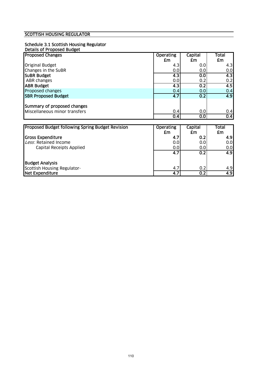#### SCOTTISH HOUSING REGULATOR

# Schedule 3.1 Scottish Housing Regulator

| Details of Proposed Budget |
|----------------------------|
|----------------------------|

| <b>Proposed Changes</b>                                      | <b>Operating</b> | Capital | Total |
|--------------------------------------------------------------|------------------|---------|-------|
|                                                              | £m               | £m      | £m    |
| <b>Original Budget</b>                                       | 4.3              | 0.0     | 4.3   |
| Changes in the SuBR                                          | 0.0              | 0.0     | 0.0   |
| <b>SUBR Budget</b>                                           | 4.3              | 0.0     | 4.3   |
| ABR changes                                                  | 0.0              | 0.2     | 0.2   |
| <b>ABR Budget</b>                                            | 4.3              | 0.2     | 4.5   |
| Proposed changes                                             | 0.4              | 0.0     | 0.4   |
| <b>SBR Proposed Budget</b>                                   | 4.7              | 0.2     | 4.9   |
| Summary of proposed changes<br>Miscellaneous minor transfers | 0.4              | 0.0     | 0.4   |
|                                                              | 0.4              | 0.0     | 0.4   |
|                                                              |                  |         |       |
| Proposed Budget following Spring Budget Revision             | <b>Operating</b> | Capital | Total |
|                                                              | £m               | £m      | £m    |
| <b>Gross Expenditure</b>                                     | 4.7              | 0.2     | 4.9   |
| Less: Retained Income                                        | 0.0              | 0.0     | 0.0   |
| Capital Receipts Applied                                     | 0.0              | 0.0     | 0.0   |
|                                                              | $\overline{4.7}$ | 0.2     | 4.9   |
| IDudaot Analycic                                             |                  |         |       |

Budget Analysis Scottish Housing Regulator- 4.7 0.2 4.9 Net Expenditure 4.7 0.2 4.9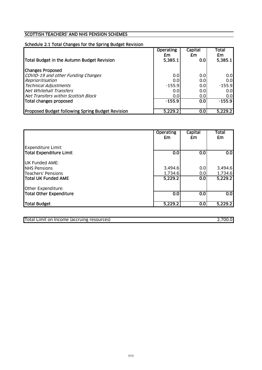#### SCOTTISH TEACHERS' AND NHS PENSION SCHEMES

## Schedule 2.1 Total Changes for the Spring Budget Revision

| Total Budget in the Autumn Budget Revision              | <b>Operating</b><br>£m<br>5,385.1 | Capital<br>£m<br>0.0 | Total<br>£m<br>5,385.1 |
|---------------------------------------------------------|-----------------------------------|----------------------|------------------------|
| <b>Changes Proposed</b>                                 |                                   |                      |                        |
| COVID-19 and other Funding Changes                      | 0.0                               | 0.0                  | 0.0                    |
| Reprioritisation                                        | 0.0                               | 0.0                  | 0.0                    |
| <b>Technical Adjustments</b>                            | $-155.9$                          | 0.0                  | $-155.9$               |
| Net Whitehall Transfers                                 | 0.0                               | 0.0                  | 0.0                    |
| Net Transfers within Scottish Block                     | 0.0                               | 0.0                  | 0.0                    |
| Total changes proposed                                  | $-155.9$                          | 0.0                  | $-155.9$               |
|                                                         |                                   |                      |                        |
| <b>Proposed Budget following Spring Budget Revision</b> | 5,229.2                           | 0.0                  | 5.229.2                |

|                            | <b>Operating</b><br>£m | Capital<br>£m    | <b>Total</b><br>£m      |
|----------------------------|------------------------|------------------|-------------------------|
| Expenditure Limit:         |                        |                  |                         |
| Total Expenditure Limit    | 0.0                    | 0.0              | $\overline{\textbf{S}}$ |
| <b>UK Funded AME:</b>      |                        |                  |                         |
| <b>INHS Pensions</b>       | 3,494.6                | 0.0              | 3,494.6                 |
| Teachers' Pensions         | 1,734.6                | 0.0              | 1,734.6                 |
| <b>Total UK Funded AME</b> | 5,229.2                | 0.0 <sub>1</sub> | 5,229.2                 |
| Other Expenditure:         |                        |                  |                         |
| Total Other Expenditure    | 0.0                    | 0.0              | $\overline{\textbf{O}}$ |
| Total Budget               | 5,229.2                | 0.0              | 5,229.2                 |

Total Limit on Income (accruing resources) 2,700.0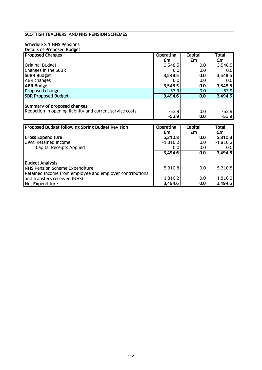#### SCOTTISH TEACHERS' AND NHS PENSION SCHEMES

# Schedule 3.1 NHS Pensions

| Details of Proposed Budget                                                                                           |                    |            |                    |
|----------------------------------------------------------------------------------------------------------------------|--------------------|------------|--------------------|
| <b>Proposed Changes</b>                                                                                              | <b>Operating</b>   | Capital    | Total              |
|                                                                                                                      | £m                 | £m         | £m                 |
| <b>Original Budget</b>                                                                                               | 3,548.5            | 0.0        | 3,548.5            |
| Changes in the SuBR                                                                                                  | 0.0                | 0.0        | 0.0                |
| <b>SUBR Budget</b>                                                                                                   | 3,548.5            | 0.0        | 3,548.5            |
| ABR changes                                                                                                          | 0.0                | 0.0        | 0.0                |
| <b>ABR Budget</b>                                                                                                    | 3,548.5            | 0.0        | 3,548.5            |
| Proposed changes                                                                                                     | $-53.9$            | 0.0        | $-53.9$            |
| <b>SBR Proposed Budget</b>                                                                                           | 3,494.6            | 0.0        | 3,494.6            |
| Summary of proposed changes<br>Reduction in opening liability and current service costs                              | $-53.9$<br>$-53.9$ | 0.0<br>0.0 | $-53.9$<br>$-53.9$ |
|                                                                                                                      |                    |            |                    |
| Proposed Budget following Spring Budget Revision                                                                     | <b>Operating</b>   | Capital    | Total              |
|                                                                                                                      | £m                 | £m         | £m                 |
| <b>Gross Expenditure</b>                                                                                             | 5,310.8            | 0.0        | 5,310.8            |
| Less: Retained Income                                                                                                | $-1,816.2$         | 0.0        | $-1,816.2$         |
| Capital Receipts Applied                                                                                             | 0.0                | 0.0        | 0.0                |
|                                                                                                                      | 3,494.6            | 0.0        | 3,494.6            |
| <b>Budget Analysis</b><br>NHS Pension Scheme Expenditure<br>Retained Income from employee and employer contributions | 5,310.8            | 0.0        | 5,310.8            |

and transfers received (NHS)  $-1,816.2$  0.0  $-1,816.2$ Net Expenditure 3,494.6 0.0 3,494.6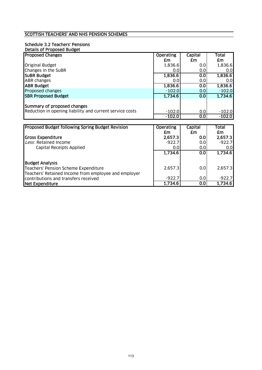#### SCOTTISH TEACHERS' AND NHS PENSION SCHEMES

# Schedule 3.2 Teachers' Pensions

| Details of Proposed Budget                               |                     |                         |                     |
|----------------------------------------------------------|---------------------|-------------------------|---------------------|
| <b>Proposed Changes</b>                                  | <b>Operating</b>    | Capital                 | Total               |
|                                                          | £m                  | £m                      | £m                  |
| Original Budget                                          | 1,836.6             | 0.0                     | 1,836.6             |
| Changes in the SuBR                                      | 0.0                 | 0.0                     | 0.0                 |
| <b>SUBR Budget</b>                                       | 1,836.6             | $\overline{\textbf{O}}$ | 1,836.6             |
| <b>ABR changes</b>                                       | 0.0                 | 0.0                     | 0.0                 |
| <b>ABR Budget</b>                                        | 1,836.6             | $\overline{\textbf{O}}$ | 1,836.6             |
| Proposed changes                                         | $-102.0$            | 0.0                     | $-102.0$            |
| <b>SBR Proposed Budget</b>                               | 1,734.6             | $\overline{0.0}$        | 1,734.6             |
| Summary of proposed changes                              |                     |                         |                     |
| Reduction in opening liability and current service costs | $-102.0$            | 0.0                     | $-102.0$            |
|                                                          | $-102.0$            | $\overline{0.0}$        | $-102.0$            |
|                                                          |                     |                         |                     |
| Proposed Budget following Spring Budget Revision         | <b>Operating</b>    | Capital                 | Total               |
|                                                          | £m                  | £m                      | £m                  |
| <b>Gross Expenditure</b>                                 | 2,657.3             | 0.0                     | 2,657.3             |
| Less: Retained Income                                    | $-922.7$            | 0.0                     | $-922.7$            |
| Capital Receipts Applied                                 | 0.0                 | 0.0                     | 0.0                 |
|                                                          | 1,734.6             | 0.0                     | 1,734.6             |
|                                                          |                     |                         |                     |
| <b>Budget Analysis</b>                                   |                     |                         |                     |
| Teachers' Pension Scheme Expenditure                     | 2,657.3             | 0.0                     |                     |
| Teachers' Retained Income from employee and employer     |                     |                         | 2,657.3             |
| contributions and transfers received<br>Net Expenditure  | $-922.7$<br>1,734.6 | 0.0<br>$\overline{0.0}$ | $-922.7$<br>1,734.6 |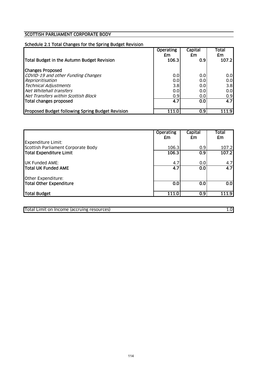#### SCOTTISH PARLIAMENT CORPORATE BODY

## Schedule 2.1 Total Changes for the Spring Budget Revision

|                                                  | <b>Operating</b><br>£m | <b>Capital</b><br>£m | Total<br>£m |
|--------------------------------------------------|------------------------|----------------------|-------------|
| Total Budget in the Autumn Budget Revision       | 106.3                  | 0.9                  | 107.2       |
| <b>Changes Proposed</b>                          |                        |                      |             |
| COVID-19 and other Funding Changes               | 0.0                    | 0.0                  | 0.0         |
| Reprioritisation                                 | 0.0                    | 0.0                  | 0.0         |
| <b>Technical Adjustments</b>                     | 3.8                    | 0.0                  | 3.8         |
| Net Whitehall transfers                          | 0.0                    | 0.0                  | 0.0         |
| Net Transfers within Scottish Block              | 0.9                    | 0.0                  | 0.9         |
| Total changes proposed                           | 4.7                    | 0.0                  | 4.7         |
| Proposed Budget following Spring Budget Revision | 111.0                  | 0.9 <sub>l</sub>     | 111.9       |

|                                                                 | <b>Operating</b><br>£m | Capital<br>£m    | Total<br>£m |
|-----------------------------------------------------------------|------------------------|------------------|-------------|
| <b>Expenditure Limit:</b><br>Scottish Parliament Corporate Body | 106.3                  | 0.9              | 107.2       |
| Total Expenditure Limit                                         | 106.3                  | $\overline{0.9}$ | 107.2       |
| <b>UK Funded AME:</b>                                           | 4.7                    | 0.0              | 4.7         |
| <b>Total UK Funded AME</b>                                      | 4.7                    | 0.0              | 4.7         |
| Other Expenditure:                                              |                        |                  |             |
| Total Other Expenditure                                         | 0.0                    | 0.0              | 0.0         |
| Total Budget                                                    | 111.0                  | 0.9              | 111.9       |

Total Limit on Income (accruing resources) 1.0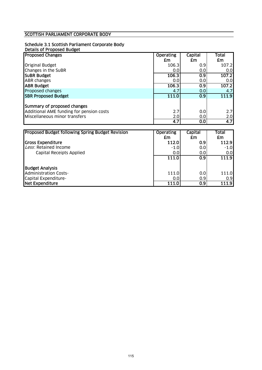# SCOTTISH PARLIAMENT CORPORATE BODY

#### Schedule 3.1 Scottish Parliament Corporate Body

| Details of Proposed Budget |
|----------------------------|
|----------------------------|

| <b>Proposed Changes</b>                                                                                  | <b>Operating</b> | Capital    | Total      |
|----------------------------------------------------------------------------------------------------------|------------------|------------|------------|
|                                                                                                          | £m               | £m         | £m         |
| <b>Original Budget</b>                                                                                   | 106.3            | 0.9        | 107.2      |
| Changes in the SuBR                                                                                      | 0.0              | 0.0        | 0.0        |
| <b>SUBR Budget</b>                                                                                       | 106.3            | 0.9        | 107.2      |
| <b>ABR</b> changes                                                                                       | 0.0              | 0.0        | 0.01       |
| <b>ABR Budget</b>                                                                                        | 106.3            | 0.9        | 107.2      |
| Proposed changes                                                                                         | 4.7              | 0.0        | 4.7        |
| <b>SBR Proposed Budget</b>                                                                               | 111.0            | 0.9        | 111.9      |
| Summary of proposed changes<br>Additional AME funding for pension costs<br>Miscellaneous minor transfers | 2.7<br>2.0       | 0.0<br>0.0 | 2.7<br>2.0 |
|                                                                                                          | 4.7              | 0.0        | 4.7        |

| Proposed Budget following Spring Budget Revision | <b>Operating</b> | Capital          | Total  |
|--------------------------------------------------|------------------|------------------|--------|
|                                                  | £m               | £m               | £m     |
| <b>Gross Expenditure</b>                         | 112.0            | 0.9 <sub>2</sub> | 112.9  |
| Less: Retained Income                            | $-1.0$           | 0.0              | $-1.0$ |
| <b>Capital Receipts Applied</b>                  | 0.0              | 0.0              | 0.0    |
|                                                  | 111.0            | 0.9 <sub>l</sub> | 111.9  |
| <b>Budget Analysis</b>                           |                  |                  |        |
| <b>Administration Costs-</b>                     | 111.0            | 0.0              | 111.0  |
| Capital Expenditure-                             | 0.0              | 0.9              | 0.9    |
| Net Expenditure                                  | 111.0            | 0.9              | 111.9  |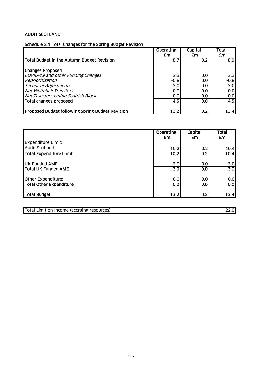# AUDIT SCOTLAND

| Schedule 2.1 Total Changes for the Spring Budget Revision |                  |                |        |
|-----------------------------------------------------------|------------------|----------------|--------|
|                                                           | <b>Operating</b> | <b>Capital</b> | Total  |
|                                                           | £m               | £m             | £m     |
| Total Budget in the Autumn Budget Revision                | 8.7              | 0.2            | 8.9    |
| <b>Changes Proposed</b>                                   |                  |                |        |
| COVID-19 and other Funding Changes                        | 2.3              | 0.0            | 2.3    |
| Reprioritisation                                          | $-0.8$           | 0.0            | $-0.8$ |
| <b>Technical Adjustments</b>                              | 3.0              | 0.0            | 3.0    |
| Net Whitehall Transfers                                   | 0.0              | 0.0            | 0.0    |
| Net Transfers within Scottish Block                       | 0.0              | 0.0            | 0.0    |
| Total changes proposed                                    | $\overline{4.5}$ | 0.0            | 4.5    |
| <b>Proposed Budget following Spring Budget Revision</b>   | 13.2             | 0.2            | 13.4   |

|                                | <b>Operating</b><br>£m | Capital<br>£m | <b>Total</b><br>£m |
|--------------------------------|------------------------|---------------|--------------------|
| <b>Expenditure Limit:</b>      |                        |               |                    |
| <b>Audit Scotland</b>          | 10.2                   | 0.2           | 10.4               |
| <b>Total Expenditure Limit</b> | 10.2                   | 0.2           | 10.4               |
| <b>UK Funded AME:</b>          | 3.0                    | 0.0           | 3.0                |
| <b>Total UK Funded AME</b>     | 3.0                    | 0.0           | 3.0                |
| Other Expenditure:             | 0.0                    | 0.0           | 0.0                |
| <b>Total Other Expenditure</b> | 0.0                    | 0.0           | 0.0                |
| Total Budget                   | 13.2                   | 0.2           | 13.4               |

| <b>Total Limit</b><br>i Income (accruing resources)<br>on |  |
|-----------------------------------------------------------|--|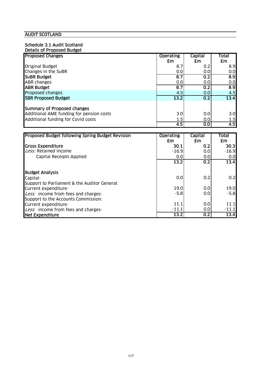# AUDIT SCOTLAND

## Schedule 3.1 Audit Scotland

| Details of Proposed Budget               |                  |         |                  |
|------------------------------------------|------------------|---------|------------------|
| <b>Proposed Changes</b>                  | <b>Operating</b> | Capital | Total            |
|                                          | <b>Em</b>        | £m      | £m               |
| <b>Original Budget</b>                   | 8.7              | 0.2     | 8.9              |
| Changes in the SuBR                      | 0.0              | 0.0     | 0.0              |
| <b>SUBR Budget</b>                       | 8.7              | 0.2     | $\overline{8.9}$ |
| <b>ABR</b> changes                       | 0.0              | 0.0     | 0.0              |
| <b>ABR Budget</b>                        | 8.7              | 0.2     | $\overline{8.9}$ |
| Proposed changes                         | 4.5              | 0.0     | 4.5              |
| <b>SBR Proposed Budget</b>               | 13.2             | 0.2     | 13.4             |
|                                          |                  |         |                  |
| Summary of Proposed changes              |                  |         |                  |
| Additional AME funding for pension costs | 3.0              | 0.0     | 3.0              |
| Additional funding for Covid costs       | 1.5              | 0.0     | 1.5              |
|                                          | 4.5              | 0.0     | 4.5              |

| Proposed Budget following Spring Budget Revision | <b>Operating</b> | Capital | Total   |
|--------------------------------------------------|------------------|---------|---------|
|                                                  | £m               | £m      | £m      |
| <b>Gross Expenditure</b>                         | 30.1             | 0.2     | 30.31   |
| Less: Retained Income                            | $-16.9$          | 0.0     | $-16.9$ |
| Capital Receipts Applied                         | 0.0              | 0.0     | 0.0     |
|                                                  | 13.2             | 0.2     | 13.4    |
| <b>Budget Analysis</b>                           |                  |         |         |
| Capital-                                         | 0.0              | 0.2     | 0.2     |
| Support to Parliament & the Auditor General:     |                  |         |         |
| Current expenditure-                             | 19.0             | 0.0     | 19.0    |
| Less: income from fees and charges-              | $-5.8$           | 0.0     | $-5.8$  |
| Support to the Accounts Commission:              |                  |         |         |
| Current expenditure-                             | 11.1             | 0.0     | 11.1    |
| Less: income from fees and charges-              | $-11.1$          | 0.0     | $-11.1$ |
| <b>Net Expenditure</b>                           | 13.2             | 0.2     | 13.4    |